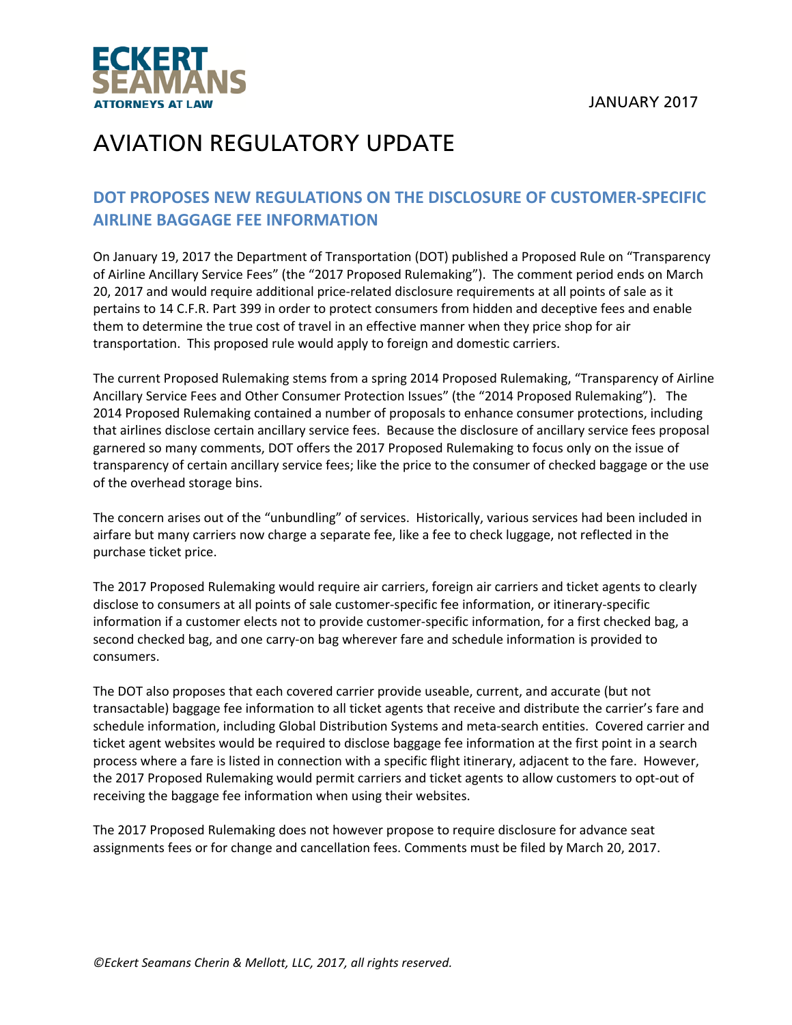JANUARY 2017



### AVIATION REGULATORY UPDATE

#### **DOT PROPOSES NEW REGULATIONS ON THE DISCLOSURE OF CUSTOMER‐SPECIFIC AIRLINE BAGGAGE FEE INFORMATION**

On January 19, 2017 the Department of Transportation (DOT) published a Proposed Rule on "Transparency of Airline Ancillary Service Fees" (the "2017 Proposed Rulemaking"). The comment period ends on March 20, 2017 and would require additional price-related disclosure requirements at all points of sale as it pertains to 14 C.F.R. Part 399 in order to protect consumers from hidden and deceptive fees and enable them to determine the true cost of travel in an effective manner when they price shop for air transportation. This proposed rule would apply to foreign and domestic carriers.

The current Proposed Rulemaking stems from a spring 2014 Proposed Rulemaking, "Transparency of Airline Ancillary Service Fees and Other Consumer Protection Issues" (the "2014 Proposed Rulemaking"). The 2014 Proposed Rulemaking contained a number of proposals to enhance consumer protections, including that airlines disclose certain ancillary service fees. Because the disclosure of ancillary service fees proposal garnered so many comments, DOT offers the 2017 Proposed Rulemaking to focus only on the issue of transparency of certain ancillary service fees; like the price to the consumer of checked baggage or the use of the overhead storage bins.

The concern arises out of the "unbundling" of services. Historically, various services had been included in airfare but many carriers now charge a separate fee, like a fee to check luggage, not reflected in the purchase ticket price.

The 2017 Proposed Rulemaking would require air carriers, foreign air carriers and ticket agents to clearly disclose to consumers at all points of sale customer‐specific fee information, or itinerary‐specific information if a customer elects not to provide customer‐specific information, for a first checked bag, a second checked bag, and one carry‐on bag wherever fare and schedule information is provided to consumers.

The DOT also proposes that each covered carrier provide useable, current, and accurate (but not transactable) baggage fee information to all ticket agents that receive and distribute the carrier's fare and schedule information, including Global Distribution Systems and meta‐search entities. Covered carrier and ticket agent websites would be required to disclose baggage fee information at the first point in a search process where a fare is listed in connection with a specific flight itinerary, adjacent to the fare. However, the 2017 Proposed Rulemaking would permit carriers and ticket agents to allow customers to opt-out of receiving the baggage fee information when using their websites.

The 2017 Proposed Rulemaking does not however propose to require disclosure for advance seat assignments fees or for change and cancellation fees. Comments must be filed by March 20, 2017.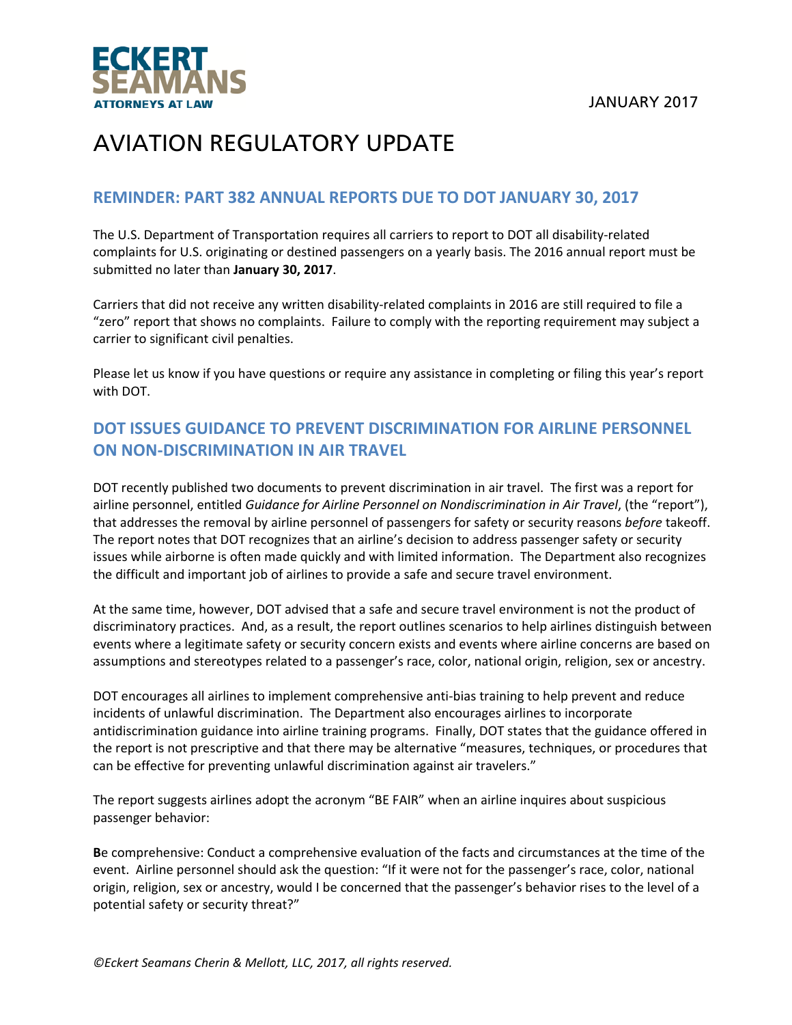

#### **REMINDER: PART 382 ANNUAL REPORTS DUE TO DOT JANUARY 30, 2017**

The U.S. Department of Transportation requires all carriers to report to DOT all disability‐related complaints for U.S. originating or destined passengers on a yearly basis. The 2016 annual report must be submitted no later than **January 30, 2017**.

Carriers that did not receive any written disability‐related complaints in 2016 are still required to file a "zero" report that shows no complaints. Failure to comply with the reporting requirement may subject a carrier to significant civil penalties.

Please let us know if you have questions or require any assistance in completing or filing this year's report with DOT.

### **DOT ISSUES GUIDANCE TO PREVENT DISCRIMINATION FOR AIRLINE PERSONNEL ON NON‐DISCRIMINATION IN AIR TRAVEL**

DOT recently published two documents to prevent discrimination in air travel. The first was a report for airline personnel, entitled *Guidance for Airline Personnel on Nondiscrimination in Air Travel*, (the "report"), that addresses the removal by airline personnel of passengers for safety or security reasons *before* takeoff. The report notes that DOT recognizes that an airline's decision to address passenger safety or security issues while airborne is often made quickly and with limited information. The Department also recognizes the difficult and important job of airlines to provide a safe and secure travel environment.

At the same time, however, DOT advised that a safe and secure travel environment is not the product of discriminatory practices. And, as a result, the report outlines scenarios to help airlines distinguish between events where a legitimate safety or security concern exists and events where airline concerns are based on assumptions and stereotypes related to a passenger's race, color, national origin, religion, sex or ancestry.

DOT encourages all airlines to implement comprehensive anti-bias training to help prevent and reduce incidents of unlawful discrimination. The Department also encourages airlines to incorporate antidiscrimination guidance into airline training programs. Finally, DOT states that the guidance offered in the report is not prescriptive and that there may be alternative "measures, techniques, or procedures that can be effective for preventing unlawful discrimination against air travelers."

The report suggests airlines adopt the acronym "BE FAIR" when an airline inquires about suspicious passenger behavior:

**B**e comprehensive: Conduct a comprehensive evaluation of the facts and circumstances at the time of the event. Airline personnel should ask the question: "If it were not for the passenger's race, color, national origin, religion, sex or ancestry, would I be concerned that the passenger's behavior rises to the level of a potential safety or security threat?"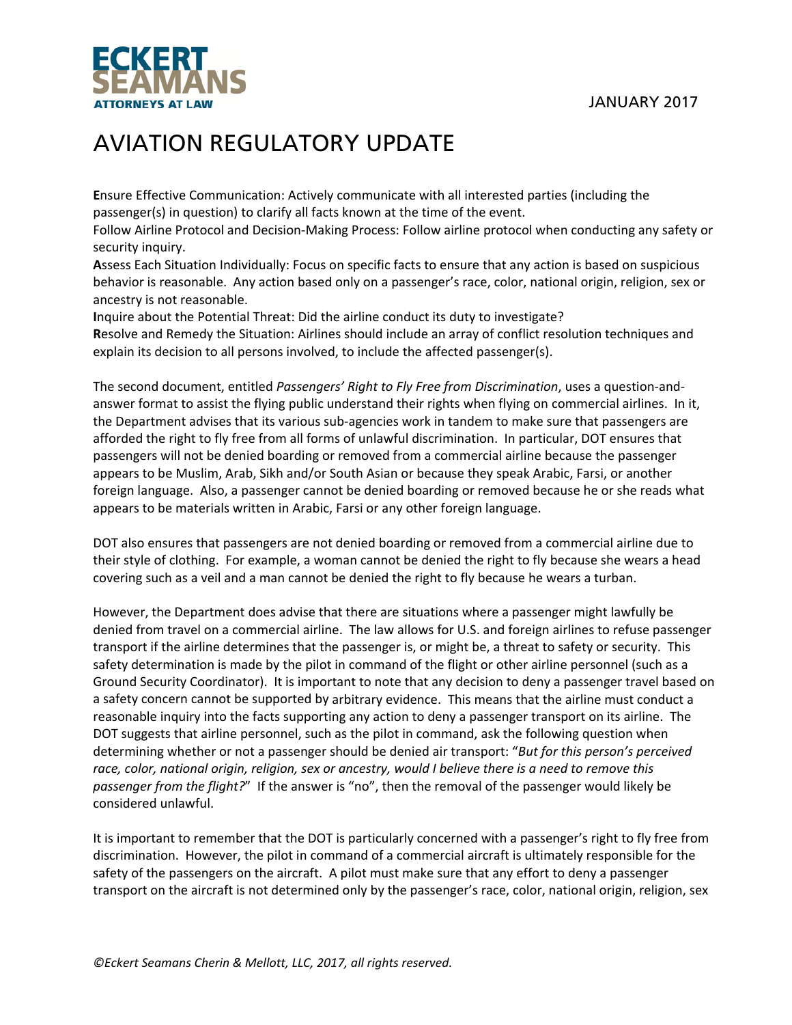

**E**nsure Effective Communication: Actively communicate with all interested parties (including the passenger(s) in question) to clarify all facts known at the time of the event.

Follow Airline Protocol and Decision‐Making Process: Follow airline protocol when conducting any safety or security inquiry.

**A**ssess Each Situation Individually: Focus on specific facts to ensure that any action is based on suspicious behavior is reasonable. Any action based only on a passenger's race, color, national origin, religion, sex or ancestry is not reasonable.

**I**nquire about the Potential Threat: Did the airline conduct its duty to investigate? **R**esolve and Remedy the Situation: Airlines should include an array of conflict resolution techniques and explain its decision to all persons involved, to include the affected passenger(s).

The second document, entitled *Passengers' Right to Fly Free from Discrimination*, uses a question‐and‐ answer format to assist the flying public understand their rights when flying on commercial airlines. In it, the Department advises that its various sub-agencies work in tandem to make sure that passengers are afforded the right to fly free from all forms of unlawful discrimination. In particular, DOT ensures that passengers will not be denied boarding or removed from a commercial airline because the passenger appears to be Muslim, Arab, Sikh and/or South Asian or because they speak Arabic, Farsi, or another foreign language. Also, a passenger cannot be denied boarding or removed because he or she reads what appears to be materials written in Arabic, Farsi or any other foreign language.

DOT also ensures that passengers are not denied boarding or removed from a commercial airline due to their style of clothing. For example, a woman cannot be denied the right to fly because she wears a head covering such as a veil and a man cannot be denied the right to fly because he wears a turban.

However, the Department does advise that there are situations where a passenger might lawfully be denied from travel on a commercial airline. The law allows for U.S. and foreign airlines to refuse passenger transport if the airline determines that the passenger is, or might be, a threat to safety or security. This safety determination is made by the pilot in command of the flight or other airline personnel (such as a Ground Security Coordinator). It is important to note that any decision to deny a passenger travel based on a safety concern cannot be supported by arbitrary evidence. This means that the airline must conduct a reasonable inquiry into the facts supporting any action to deny a passenger transport on its airline. The DOT suggests that airline personnel, such as the pilot in command, ask the following question when determining whether or not a passenger should be denied air transport: "*But for this person's perceived* race, color, national origin, religion, sex or ancestry, would I believe there is a need to remove this *passenger from the flight?*" If the answer is "no", then the removal of the passenger would likely be considered unlawful.

It is important to remember that the DOT is particularly concerned with a passenger's right to fly free from discrimination. However, the pilot in command of a commercial aircraft is ultimately responsible for the safety of the passengers on the aircraft. A pilot must make sure that any effort to deny a passenger transport on the aircraft is not determined only by the passenger's race, color, national origin, religion, sex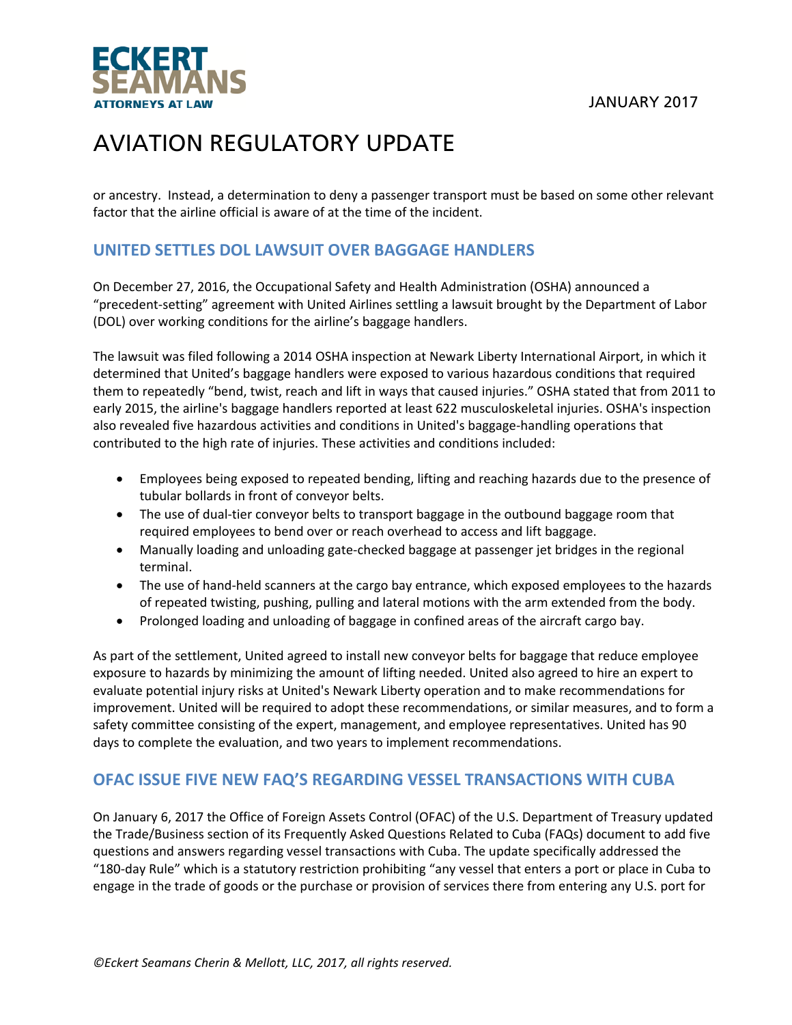JANUARY 2017



# AVIATION REGULATORY UPDATE

or ancestry. Instead, a determination to deny a passenger transport must be based on some other relevant factor that the airline official is aware of at the time of the incident.

### **UNITED SETTLES DOL LAWSUIT OVER BAGGAGE HANDLERS**

On December 27, 2016, the Occupational Safety and Health Administration (OSHA) announced a "precedent‐setting" agreement with United Airlines settling a lawsuit brought by the Department of Labor (DOL) over working conditions for the airline's baggage handlers.

The lawsuit was filed following a 2014 OSHA inspection at Newark Liberty International Airport, in which it determined that United's baggage handlers were exposed to various hazardous conditions that required them to repeatedly "bend, twist, reach and lift in ways that caused injuries." OSHA stated that from 2011 to early 2015, the airline's baggage handlers reported at least 622 musculoskeletal injuries. OSHA's inspection also revealed five hazardous activities and conditions in United's baggage‐handling operations that contributed to the high rate of injuries. These activities and conditions included:

- Employees being exposed to repeated bending, lifting and reaching hazards due to the presence of tubular bollards in front of conveyor belts.
- The use of dual-tier conveyor belts to transport baggage in the outbound baggage room that required employees to bend over or reach overhead to access and lift baggage.
- Manually loading and unloading gate-checked baggage at passenger jet bridges in the regional terminal.
- The use of hand-held scanners at the cargo bay entrance, which exposed employees to the hazards of repeated twisting, pushing, pulling and lateral motions with the arm extended from the body.
- Prolonged loading and unloading of baggage in confined areas of the aircraft cargo bay.

As part of the settlement, United agreed to install new conveyor belts for baggage that reduce employee exposure to hazards by minimizing the amount of lifting needed. United also agreed to hire an expert to evaluate potential injury risks at United's Newark Liberty operation and to make recommendations for improvement. United will be required to adopt these recommendations, or similar measures, and to form a safety committee consisting of the expert, management, and employee representatives. United has 90 days to complete the evaluation, and two years to implement recommendations.

### **OFAC ISSUE FIVE NEW FAQ'S REGARDING VESSEL TRANSACTIONS WITH CUBA**

On January 6, 2017 the Office of Foreign Assets Control (OFAC) of the U.S. Department of Treasury updated the Trade/Business section of its Frequently Asked Questions Related to Cuba (FAQs) document to add five questions and answers regarding vessel transactions with Cuba. The update specifically addressed the "180‐day Rule" which is a statutory restriction prohibiting "any vessel that enters a port or place in Cuba to engage in the trade of goods or the purchase or provision of services there from entering any U.S. port for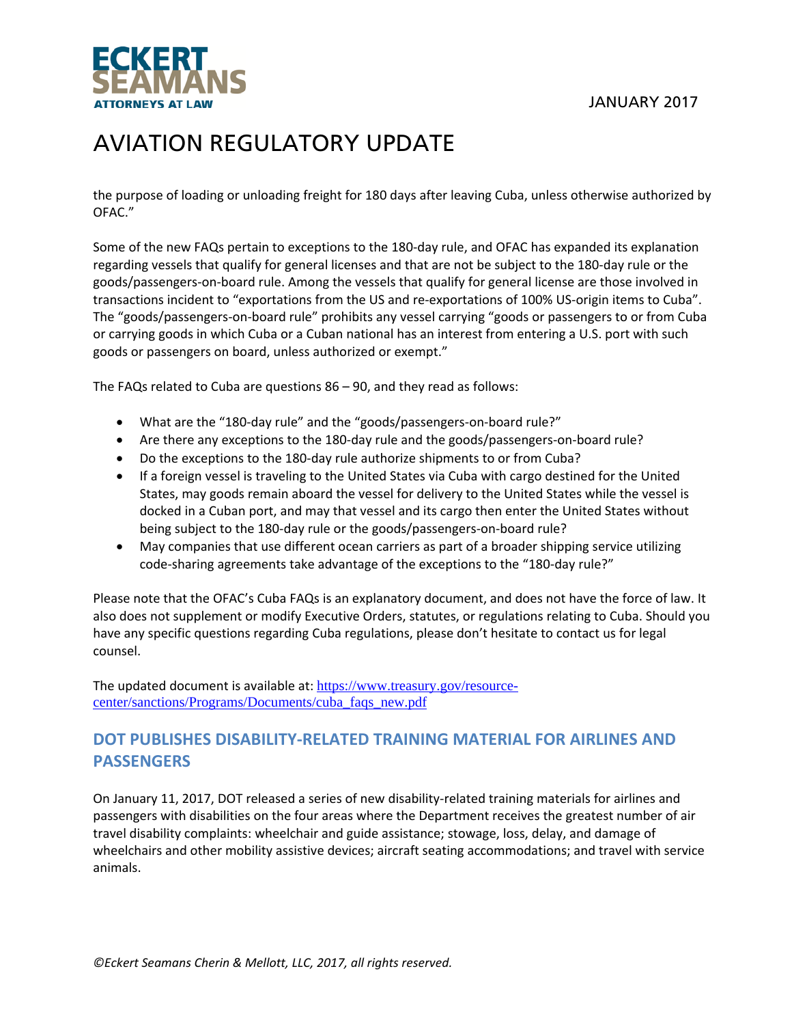

the purpose of loading or unloading freight for 180 days after leaving Cuba, unless otherwise authorized by OFAC."

Some of the new FAQs pertain to exceptions to the 180‐day rule, and OFAC has expanded its explanation regarding vessels that qualify for general licenses and that are not be subject to the 180‐day rule or the goods/passengers‐on‐board rule. Among the vessels that qualify for general license are those involved in transactions incident to "exportations from the US and re‐exportations of 100% US‐origin items to Cuba". The "goods/passengers‐on‐board rule" prohibits any vessel carrying "goods or passengers to or from Cuba or carrying goods in which Cuba or a Cuban national has an interest from entering a U.S. port with such goods or passengers on board, unless authorized or exempt."

The FAQs related to Cuba are questions 86 – 90, and they read as follows:

- What are the "180‐day rule" and the "goods/passengers‐on‐board rule?"
- Are there any exceptions to the 180-day rule and the goods/passengers-on-board rule?
- Do the exceptions to the 180-day rule authorize shipments to or from Cuba?
- If a foreign vessel is traveling to the United States via Cuba with cargo destined for the United States, may goods remain aboard the vessel for delivery to the United States while the vessel is docked in a Cuban port, and may that vessel and its cargo then enter the United States without being subject to the 180-day rule or the goods/passengers-on-board rule?
- May companies that use different ocean carriers as part of a broader shipping service utilizing code-sharing agreements take advantage of the exceptions to the "180-day rule?"

Please note that the OFAC's Cuba FAQs is an explanatory document, and does not have the force of law. It also does not supplement or modify Executive Orders, statutes, or regulations relating to Cuba. Should you have any specific questions regarding Cuba regulations, please don't hesitate to contact us for legal counsel.

The updated document is available at: https://www.treasury.gov/resourcecenter/sanctions/Programs/Documents/cuba\_faqs\_new.pdf

#### **DOT PUBLISHES DISABILITY‐RELATED TRAINING MATERIAL FOR AIRLINES AND PASSENGERS**

On January 11, 2017, DOT released a series of new disability-related training materials for airlines and passengers with disabilities on the four areas where the Department receives the greatest number of air travel disability complaints: wheelchair and guide assistance; stowage, loss, delay, and damage of wheelchairs and other mobility assistive devices; aircraft seating accommodations; and travel with service animals.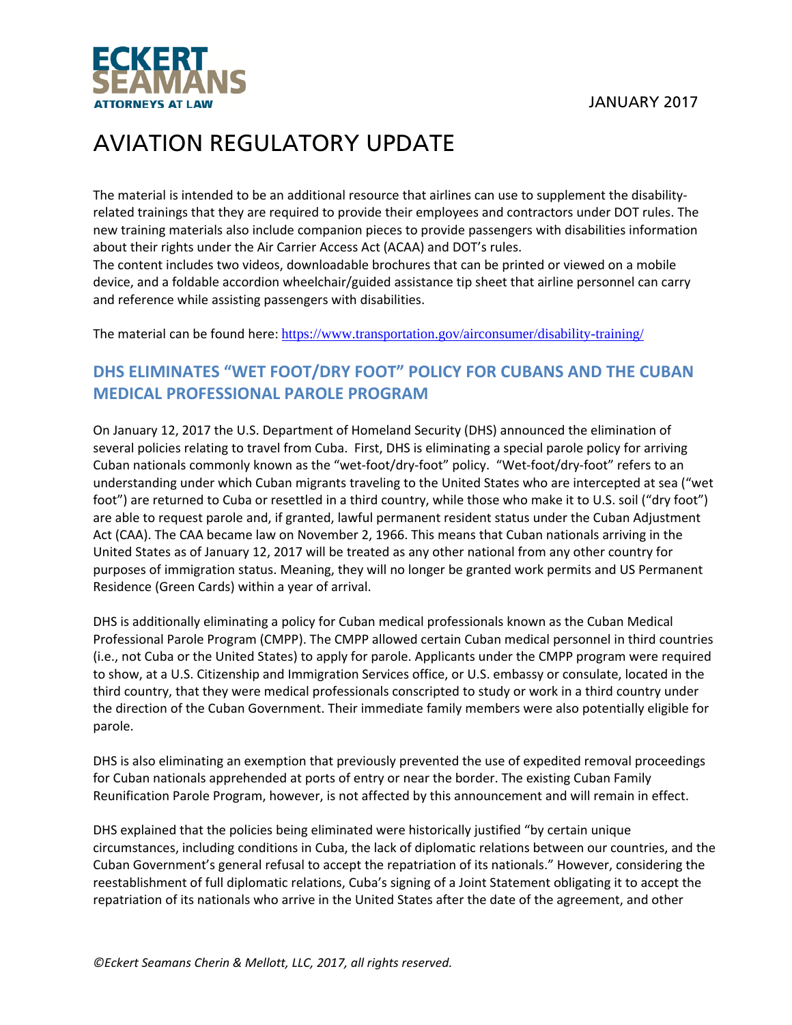

The material is intended to be an additional resource that airlines can use to supplement the disabilityrelated trainings that they are required to provide their employees and contractors under DOT rules. The new training materials also include companion pieces to provide passengers with disabilities information about their rights under the Air Carrier Access Act (ACAA) and DOT's rules.

The content includes two videos, downloadable brochures that can be printed or viewed on a mobile device, and a foldable accordion wheelchair/guided assistance tip sheet that airline personnel can carry and reference while assisting passengers with disabilities.

The material can be found here: https://www.transportation.gov/airconsumer/disability-training/

### **DHS ELIMINATES "WET FOOT/DRY FOOT" POLICY FOR CUBANS AND THE CUBAN MEDICAL PROFESSIONAL PAROLE PROGRAM**

On January 12, 2017 the U.S. Department of Homeland Security (DHS) announced the elimination of several policies relating to travel from Cuba. First, DHS is eliminating a special parole policy for arriving Cuban nationals commonly known as the "wet-foot/dry-foot" policy. "Wet-foot/dry-foot" refers to an understanding under which Cuban migrants traveling to the United States who are intercepted at sea ("wet foot") are returned to Cuba or resettled in a third country, while those who make it to U.S. soil ("dry foot") are able to request parole and, if granted, lawful permanent resident status under the Cuban Adjustment Act (CAA). The CAA became law on November 2, 1966. This means that Cuban nationals arriving in the United States as of January 12, 2017 will be treated as any other national from any other country for purposes of immigration status. Meaning, they will no longer be granted work permits and US Permanent Residence (Green Cards) within a year of arrival.

DHS is additionally eliminating a policy for Cuban medical professionals known as the Cuban Medical Professional Parole Program (CMPP). The CMPP allowed certain Cuban medical personnel in third countries (i.e., not Cuba or the United States) to apply for parole. Applicants under the CMPP program were required to show, at a U.S. Citizenship and Immigration Services office, or U.S. embassy or consulate, located in the third country, that they were medical professionals conscripted to study or work in a third country under the direction of the Cuban Government. Their immediate family members were also potentially eligible for parole.

DHS is also eliminating an exemption that previously prevented the use of expedited removal proceedings for Cuban nationals apprehended at ports of entry or near the border. The existing Cuban Family Reunification Parole Program, however, is not affected by this announcement and will remain in effect.

DHS explained that the policies being eliminated were historically justified "by certain unique circumstances, including conditions in Cuba, the lack of diplomatic relations between our countries, and the Cuban Government's general refusal to accept the repatriation of its nationals." However, considering the reestablishment of full diplomatic relations, Cuba's signing of a Joint Statement obligating it to accept the repatriation of its nationals who arrive in the United States after the date of the agreement, and other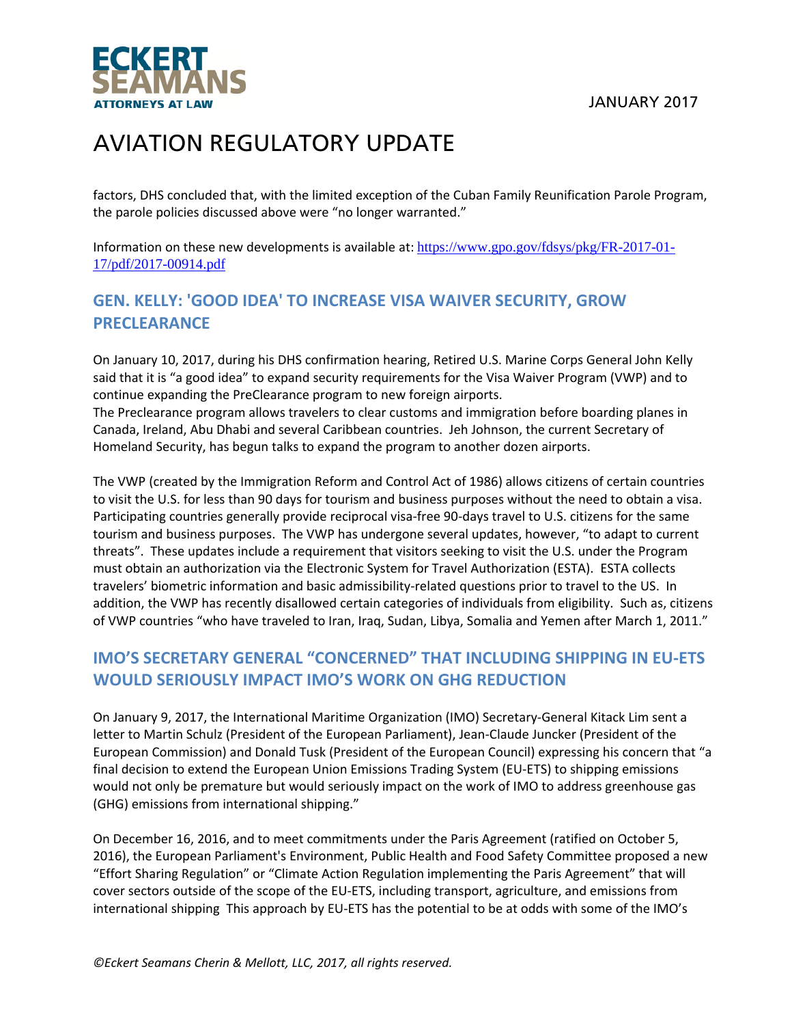

factors, DHS concluded that, with the limited exception of the Cuban Family Reunification Parole Program, the parole policies discussed above were "no longer warranted."

Information on these new developments is available at: https://www.gpo.gov/fdsys/pkg/FR-2017-01- 17/pdf/2017-00914.pdf

### **GEN. KELLY: 'GOOD IDEA' TO INCREASE VISA WAIVER SECURITY, GROW PRECLEARANCE**

On January 10, 2017, during his DHS confirmation hearing, Retired U.S. Marine Corps General John Kelly said that it is "a good idea" to expand security requirements for the Visa Waiver Program (VWP) and to continue expanding the PreClearance program to new foreign airports.

The Preclearance program allows travelers to clear customs and immigration before boarding planes in Canada, Ireland, Abu Dhabi and several Caribbean countries. Jeh Johnson, the current Secretary of Homeland Security, has begun talks to expand the program to another dozen airports.

The VWP (created by the Immigration Reform and Control Act of 1986) allows citizens of certain countries to visit the U.S. for less than 90 days for tourism and business purposes without the need to obtain a visa. Participating countries generally provide reciprocal visa‐free 90‐days travel to U.S. citizens for the same tourism and business purposes. The VWP has undergone several updates, however, "to adapt to current threats". These updates include a requirement that visitors seeking to visit the U.S. under the Program must obtain an authorization via the Electronic System for Travel Authorization (ESTA). ESTA collects travelers' biometric information and basic admissibility-related questions prior to travel to the US. In addition, the VWP has recently disallowed certain categories of individuals from eligibility. Such as, citizens of VWP countries "who have traveled to Iran, Iraq, Sudan, Libya, Somalia and Yemen after March 1, 2011."

### **IMO'S SECRETARY GENERAL "CONCERNED" THAT INCLUDING SHIPPING IN EU‐ETS WOULD SERIOUSLY IMPACT IMO'S WORK ON GHG REDUCTION**

On January 9, 2017, the International Maritime Organization (IMO) Secretary‐General Kitack Lim sent a letter to Martin Schulz (President of the European Parliament), Jean‐Claude Juncker (President of the European Commission) and Donald Tusk (President of the European Council) expressing his concern that "a final decision to extend the European Union Emissions Trading System (EU‐ETS) to shipping emissions would not only be premature but would seriously impact on the work of IMO to address greenhouse gas (GHG) emissions from international shipping."

On December 16, 2016, and to meet commitments under the Paris Agreement (ratified on October 5, 2016), the European Parliament's Environment, Public Health and Food Safety Committee proposed a new "Effort Sharing Regulation" or "Climate Action Regulation implementing the Paris Agreement" that will cover sectors outside of the scope of the EU‐ETS, including transport, agriculture, and emissions from international shipping This approach by EU‐ETS has the potential to be at odds with some of the IMO's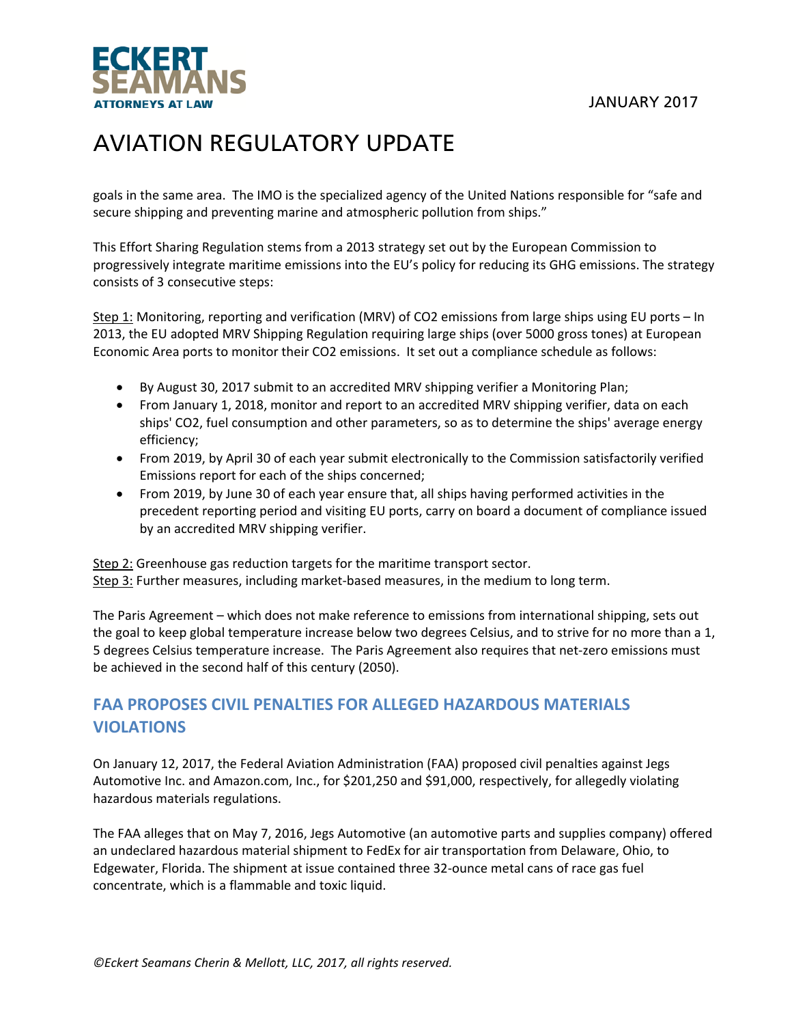

goals in the same area. The IMO is the specialized agency of the United Nations responsible for "safe and secure shipping and preventing marine and atmospheric pollution from ships."

This Effort Sharing Regulation stems from a 2013 strategy set out by the European Commission to progressively integrate maritime emissions into the EU's policy for reducing its GHG emissions. The strategy consists of 3 consecutive steps:

Step 1: Monitoring, reporting and verification (MRV) of CO2 emissions from large ships using EU ports – In 2013, the EU adopted MRV Shipping Regulation requiring large ships (over 5000 gross tones) at European Economic Area ports to monitor their CO2 emissions. It set out a compliance schedule as follows:

- By August 30, 2017 submit to an accredited MRV shipping verifier a Monitoring Plan;
- From January 1, 2018, monitor and report to an accredited MRV shipping verifier, data on each ships' CO2, fuel consumption and other parameters, so as to determine the ships' average energy efficiency;
- From 2019, by April 30 of each year submit electronically to the Commission satisfactorily verified Emissions report for each of the ships concerned;
- From 2019, by June 30 of each year ensure that, all ships having performed activities in the precedent reporting period and visiting EU ports, carry on board a document of compliance issued by an accredited MRV shipping verifier.

Step 2: Greenhouse gas reduction targets for the maritime transport sector. Step 3: Further measures, including market-based measures, in the medium to long term.

The Paris Agreement – which does not make reference to emissions from international shipping, sets out the goal to keep global temperature increase below two degrees Celsius, and to strive for no more than a 1, 5 degrees Celsius temperature increase. The Paris Agreement also requires that net‐zero emissions must be achieved in the second half of this century (2050).

### **FAA PROPOSES CIVIL PENALTIES FOR ALLEGED HAZARDOUS MATERIALS VIOLATIONS**

On January 12, 2017, the Federal Aviation Administration (FAA) proposed civil penalties against Jegs Automotive Inc. and Amazon.com, Inc., for \$201,250 and \$91,000, respectively, for allegedly violating hazardous materials regulations.

The FAA alleges that on May 7, 2016, Jegs Automotive (an automotive parts and supplies company) offered an undeclared hazardous material shipment to FedEx for air transportation from Delaware, Ohio, to Edgewater, Florida. The shipment at issue contained three 32‐ounce metal cans of race gas fuel concentrate, which is a flammable and toxic liquid.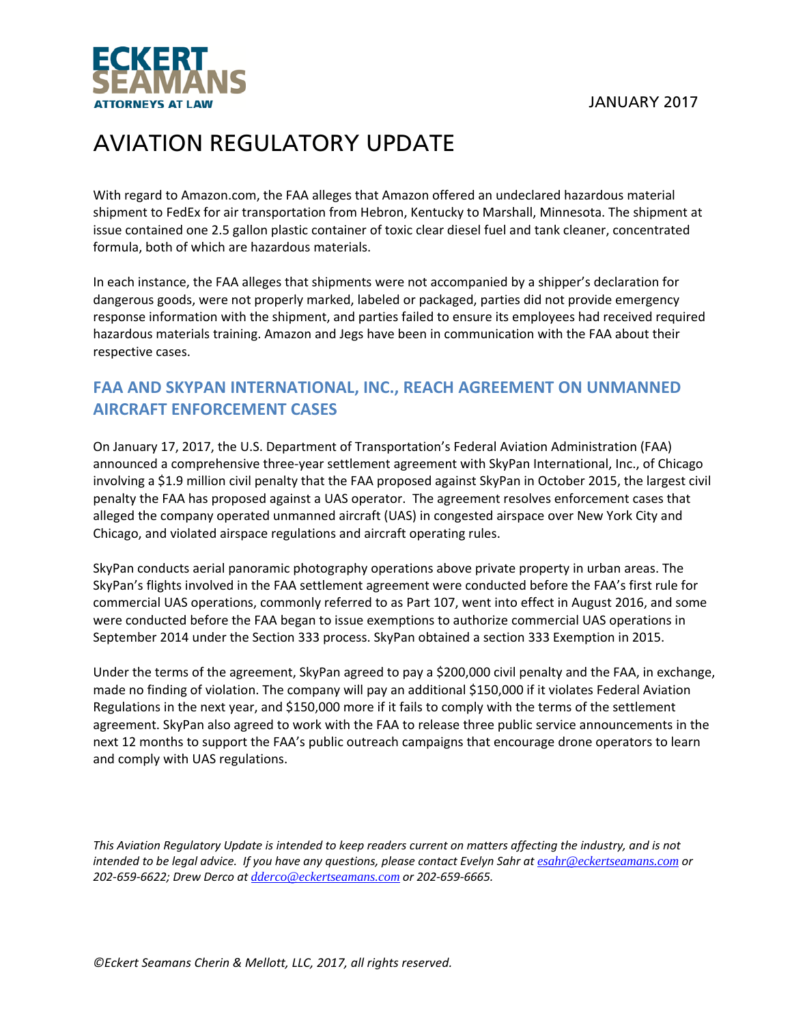



With regard to Amazon.com, the FAA alleges that Amazon offered an undeclared hazardous material shipment to FedEx for air transportation from Hebron, Kentucky to Marshall, Minnesota. The shipment at issue contained one 2.5 gallon plastic container of toxic clear diesel fuel and tank cleaner, concentrated formula, both of which are hazardous materials.

In each instance, the FAA alleges that shipments were not accompanied by a shipper's declaration for dangerous goods, were not properly marked, labeled or packaged, parties did not provide emergency response information with the shipment, and parties failed to ensure its employees had received required hazardous materials training. Amazon and Jegs have been in communication with the FAA about their respective cases.

### **FAA AND SKYPAN INTERNATIONAL, INC., REACH AGREEMENT ON UNMANNED AIRCRAFT ENFORCEMENT CASES**

On January 17, 2017, the U.S. Department of Transportation's Federal Aviation Administration (FAA) announced a comprehensive three-year settlement agreement with SkyPan International, Inc., of Chicago involving a \$1.9 million civil penalty that the FAA proposed against SkyPan in October 2015, the largest civil penalty the FAA has proposed against a UAS operator. The agreement resolves enforcement cases that alleged the company operated unmanned aircraft (UAS) in congested airspace over New York City and Chicago, and violated airspace regulations and aircraft operating rules.

SkyPan conducts aerial panoramic photography operations above private property in urban areas. The SkyPan's flights involved in the FAA settlement agreement were conducted before the FAA's first rule for commercial UAS operations, commonly referred to as Part 107, went into effect in August 2016, and some were conducted before the FAA began to issue exemptions to authorize commercial UAS operations in September 2014 under the Section 333 process. SkyPan obtained a section 333 Exemption in 2015.

Under the terms of the agreement, SkyPan agreed to pay a \$200,000 civil penalty and the FAA, in exchange, made no finding of violation. The company will pay an additional \$150,000 if it violates Federal Aviation Regulations in the next year, and \$150,000 more if it fails to comply with the terms of the settlement agreement. SkyPan also agreed to work with the FAA to release three public service announcements in the next 12 months to support the FAA's public outreach campaigns that encourage drone operators to learn and comply with UAS regulations.

This Aviation Regulatory Update is intended to keep readers current on matters affecting the industry, and is not intended to be legal advice. If you have any questions, please contact Evelyn Sahr at esahr@eckertseamans.com or *202‐659‐6622; Drew Derco at dderco@eckertseamans.com or 202‐659‐6665.*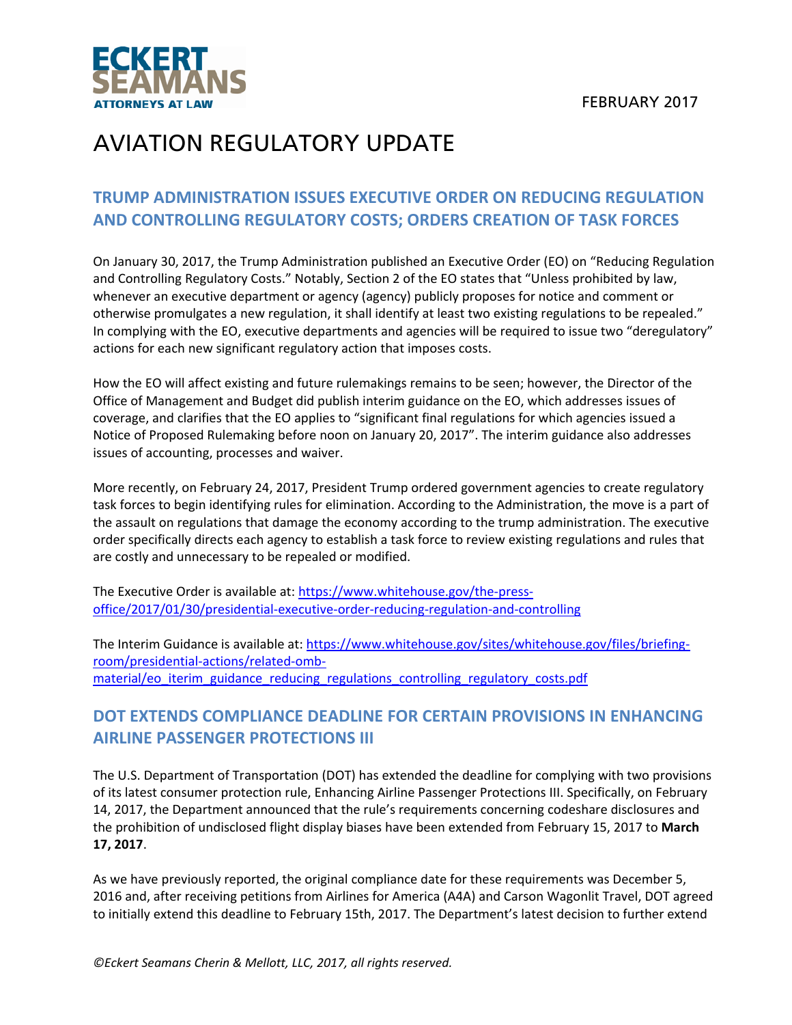

### **TRUMP ADMINISTRATION ISSUES EXECUTIVE ORDER ON REDUCING REGULATION AND CONTROLLING REGULATORY COSTS; ORDERS CREATION OF TASK FORCES**

On January 30, 2017, the Trump Administration published an Executive Order (EO) on "Reducing Regulation and Controlling Regulatory Costs." Notably, Section 2 of the EO states that "Unless prohibited by law, whenever an executive department or agency (agency) publicly proposes for notice and comment or otherwise promulgates a new regulation, it shall identify at least two existing regulations to be repealed." In complying with the EO, executive departments and agencies will be required to issue two "deregulatory" actions for each new significant regulatory action that imposes costs.

How the EO will affect existing and future rulemakings remains to be seen; however, the Director of the Office of Management and Budget did publish interim guidance on the EO, which addresses issues of coverage, and clarifies that the EO applies to "significant final regulations for which agencies issued a Notice of Proposed Rulemaking before noon on January 20, 2017". The interim guidance also addresses issues of accounting, processes and waiver.

More recently, on February 24, 2017, President Trump ordered government agencies to create regulatory task forces to begin identifying rules for elimination. According to the Administration, the move is a part of the assault on regulations that damage the economy according to the trump administration. The executive order specifically directs each agency to establish a task force to review existing regulations and rules that are costly and unnecessary to be repealed or modified.

The Executive Order is available at: https://www.whitehouse.gov/the‐press‐ office/2017/01/30/presidential‐executive‐order‐reducing‐regulation‐and‐controlling

The Interim Guidance is available at: https://www.whitehouse.gov/sites/whitehouse.gov/files/briefing‐ room/presidential‐actions/related‐omb‐ material/eo\_iterim\_guidance\_reducing\_regulations\_controlling\_regulatory\_costs.pdf

### **DOT EXTENDS COMPLIANCE DEADLINE FOR CERTAIN PROVISIONS IN ENHANCING AIRLINE PASSENGER PROTECTIONS III**

The U.S. Department of Transportation (DOT) has extended the deadline for complying with two provisions of its latest consumer protection rule, Enhancing Airline Passenger Protections III. Specifically, on February 14, 2017, the Department announced that the rule's requirements concerning codeshare disclosures and the prohibition of undisclosed flight display biases have been extended from February 15, 2017 to **March 17, 2017**.

As we have previously reported, the original compliance date for these requirements was December 5, 2016 and, after receiving petitions from Airlines for America (A4A) and Carson Wagonlit Travel, DOT agreed to initially extend this deadline to February 15th, 2017. The Department's latest decision to further extend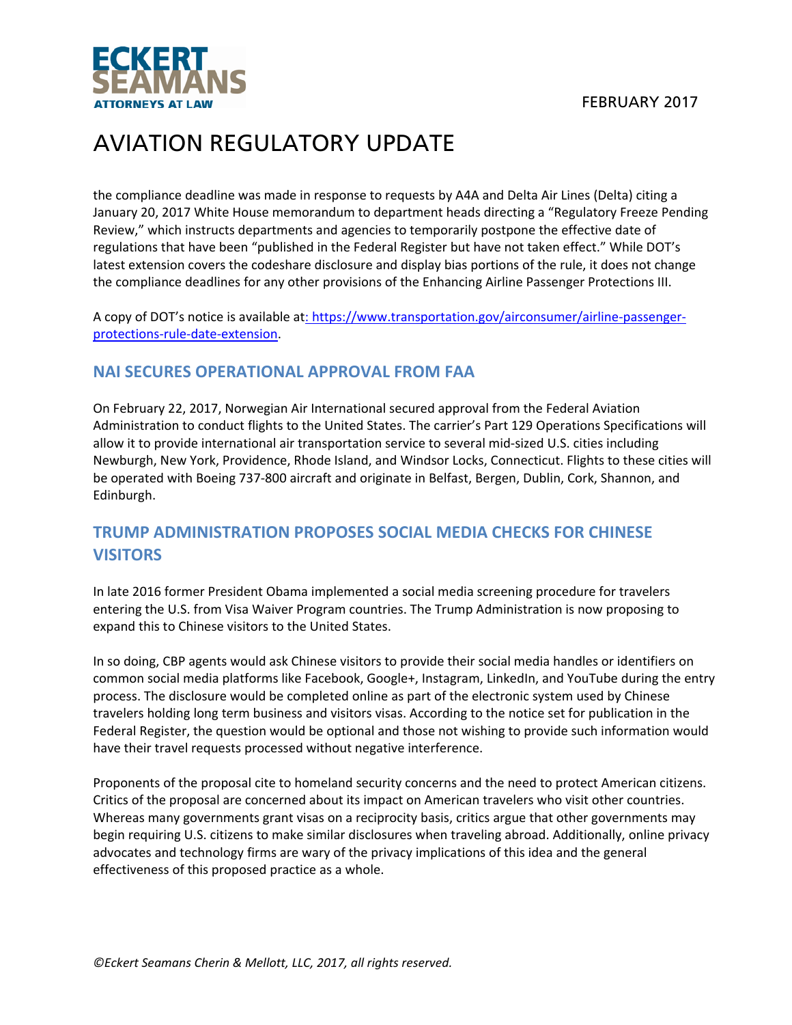

the compliance deadline was made in response to requests by A4A and Delta Air Lines (Delta) citing a January 20, 2017 White House memorandum to department heads directing a "Regulatory Freeze Pending Review," which instructs departments and agencies to temporarily postpone the effective date of regulations that have been "published in the Federal Register but have not taken effect." While DOT's latest extension covers the codeshare disclosure and display bias portions of the rule, it does not change the compliance deadlines for any other provisions of the Enhancing Airline Passenger Protections III.

A copy of DOT's notice is available at: https://www.transportation.gov/airconsumer/airline‐passenger‐ protections‐rule‐date‐extension.

#### **NAI SECURES OPERATIONAL APPROVAL FROM FAA**

On February 22, 2017, Norwegian Air International secured approval from the Federal Aviation Administration to conduct flights to the United States. The carrier's Part 129 Operations Specifications will allow it to provide international air transportation service to several mid‐sized U.S. cities including Newburgh, New York, Providence, Rhode Island, and Windsor Locks, Connecticut. Flights to these cities will be operated with Boeing 737‐800 aircraft and originate in Belfast, Bergen, Dublin, Cork, Shannon, and Edinburgh.

### **TRUMP ADMINISTRATION PROPOSES SOCIAL MEDIA CHECKS FOR CHINESE VISITORS**

In late 2016 former President Obama implemented a social media screening procedure for travelers entering the U.S. from Visa Waiver Program countries. The Trump Administration is now proposing to expand this to Chinese visitors to the United States.

In so doing, CBP agents would ask Chinese visitors to provide their social media handles or identifiers on common social media platforms like Facebook, Google+, Instagram, LinkedIn, and YouTube during the entry process. The disclosure would be completed online as part of the electronic system used by Chinese travelers holding long term business and visitors visas. According to the notice set for publication in the Federal Register, the question would be optional and those not wishing to provide such information would have their travel requests processed without negative interference.

Proponents of the proposal cite to homeland security concerns and the need to protect American citizens. Critics of the proposal are concerned about its impact on American travelers who visit other countries. Whereas many governments grant visas on a reciprocity basis, critics argue that other governments may begin requiring U.S. citizens to make similar disclosures when traveling abroad. Additionally, online privacy advocates and technology firms are wary of the privacy implications of this idea and the general effectiveness of this proposed practice as a whole.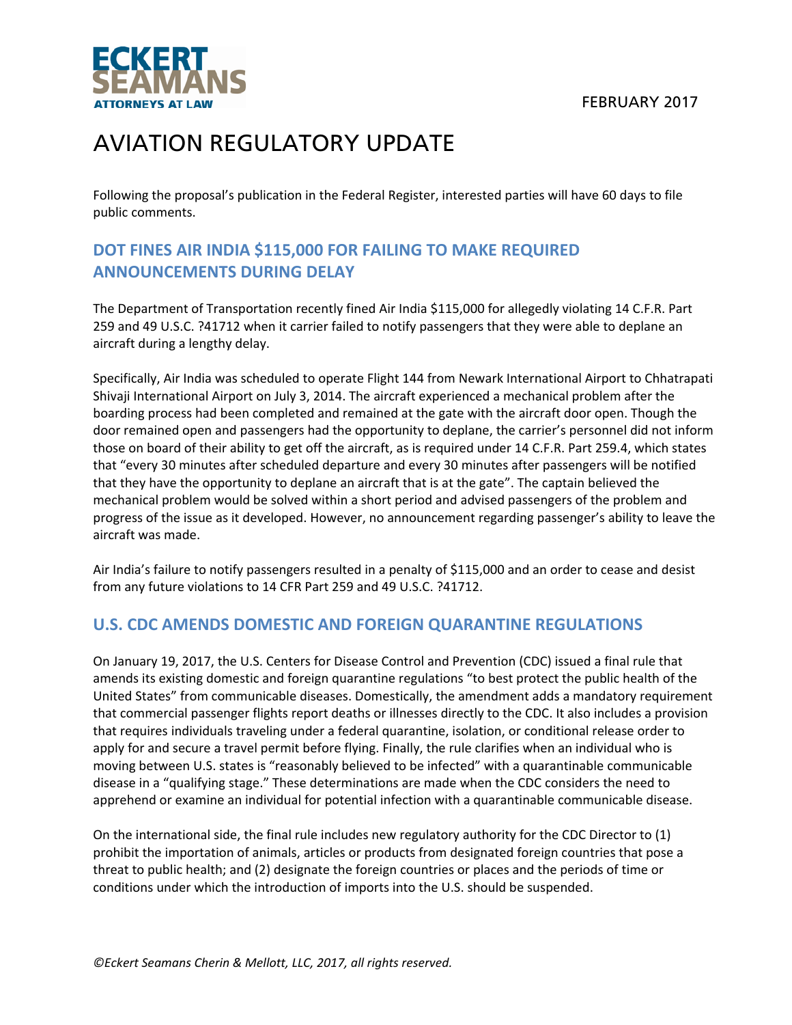

Following the proposal's publication in the Federal Register, interested parties will have 60 days to file public comments.

### **DOT FINES AIR INDIA \$115,000 FOR FAILING TO MAKE REQUIRED ANNOUNCEMENTS DURING DELAY**

The Department of Transportation recently fined Air India \$115,000 for allegedly violating 14 C.F.R. Part 259 and 49 U.S.C. ?41712 when it carrier failed to notify passengers that they were able to deplane an aircraft during a lengthy delay.

Specifically, Air India was scheduled to operate Flight 144 from Newark International Airport to Chhatrapati Shivaji International Airport on July 3, 2014. The aircraft experienced a mechanical problem after the boarding process had been completed and remained at the gate with the aircraft door open. Though the door remained open and passengers had the opportunity to deplane, the carrier's personnel did not inform those on board of their ability to get off the aircraft, as is required under 14 C.F.R. Part 259.4, which states that "every 30 minutes after scheduled departure and every 30 minutes after passengers will be notified that they have the opportunity to deplane an aircraft that is at the gate". The captain believed the mechanical problem would be solved within a short period and advised passengers of the problem and progress of the issue as it developed. However, no announcement regarding passenger's ability to leave the aircraft was made.

Air India's failure to notify passengers resulted in a penalty of \$115,000 and an order to cease and desist from any future violations to 14 CFR Part 259 and 49 U.S.C. ?41712.

#### **U.S. CDC AMENDS DOMESTIC AND FOREIGN QUARANTINE REGULATIONS**

On January 19, 2017, the U.S. Centers for Disease Control and Prevention (CDC) issued a final rule that amends its existing domestic and foreign quarantine regulations "to best protect the public health of the United States" from communicable diseases. Domestically, the amendment adds a mandatory requirement that commercial passenger flights report deaths or illnesses directly to the CDC. It also includes a provision that requires individuals traveling under a federal quarantine, isolation, or conditional release order to apply for and secure a travel permit before flying. Finally, the rule clarifies when an individual who is moving between U.S. states is "reasonably believed to be infected" with a quarantinable communicable disease in a "qualifying stage." These determinations are made when the CDC considers the need to apprehend or examine an individual for potential infection with a quarantinable communicable disease.

On the international side, the final rule includes new regulatory authority for the CDC Director to (1) prohibit the importation of animals, articles or products from designated foreign countries that pose a threat to public health; and (2) designate the foreign countries or places and the periods of time or conditions under which the introduction of imports into the U.S. should be suspended.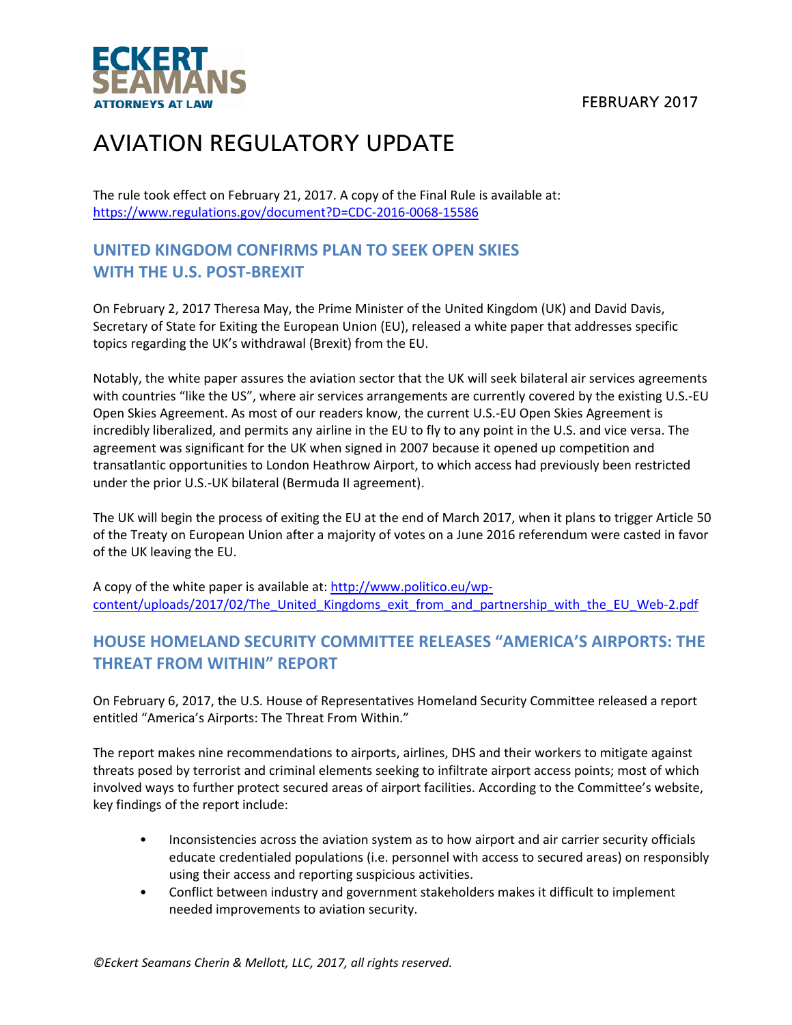FEBRUARY 2017



# AVIATION REGULATORY UPDATE

The rule took effect on February 21, 2017. A copy of the Final Rule is available at: https://www.regulations.gov/document?D=CDC‐2016‐0068‐15586

### **UNITED KINGDOM CONFIRMS PLAN TO SEEK OPEN SKIES WITH THE U.S. POST‐BREXIT**

On February 2, 2017 Theresa May, the Prime Minister of the United Kingdom (UK) and David Davis, Secretary of State for Exiting the European Union (EU), released a white paper that addresses specific topics regarding the UK's withdrawal (Brexit) from the EU.

Notably, the white paper assures the aviation sector that the UK will seek bilateral air services agreements with countries "like the US", where air services arrangements are currently covered by the existing U.S.‐EU Open Skies Agreement. As most of our readers know, the current U.S.‐EU Open Skies Agreement is incredibly liberalized, and permits any airline in the EU to fly to any point in the U.S. and vice versa. The agreement was significant for the UK when signed in 2007 because it opened up competition and transatlantic opportunities to London Heathrow Airport, to which access had previously been restricted under the prior U.S.‐UK bilateral (Bermuda II agreement).

The UK will begin the process of exiting the EU at the end of March 2017, when it plans to trigger Article 50 of the Treaty on European Union after a majority of votes on a June 2016 referendum were casted in favor of the UK leaving the EU.

A copy of the white paper is available at: http://www.politico.eu/wp‐ content/uploads/2017/02/The\_United\_Kingdoms\_exit\_from\_and\_partnership\_with\_the\_EU\_Web-2.pdf

### **HOUSE HOMELAND SECURITY COMMITTEE RELEASES "AMERICA'S AIRPORTS: THE THREAT FROM WITHIN" REPORT**

On February 6, 2017, the U.S. House of Representatives Homeland Security Committee released a report entitled "America's Airports: The Threat From Within."

The report makes nine recommendations to airports, airlines, DHS and their workers to mitigate against threats posed by terrorist and criminal elements seeking to infiltrate airport access points; most of which involved ways to further protect secured areas of airport facilities. According to the Committee's website, key findings of the report include:

- Inconsistencies across the aviation system as to how airport and air carrier security officials educate credentialed populations (i.e. personnel with access to secured areas) on responsibly using their access and reporting suspicious activities.
- Conflict between industry and government stakeholders makes it difficult to implement needed improvements to aviation security.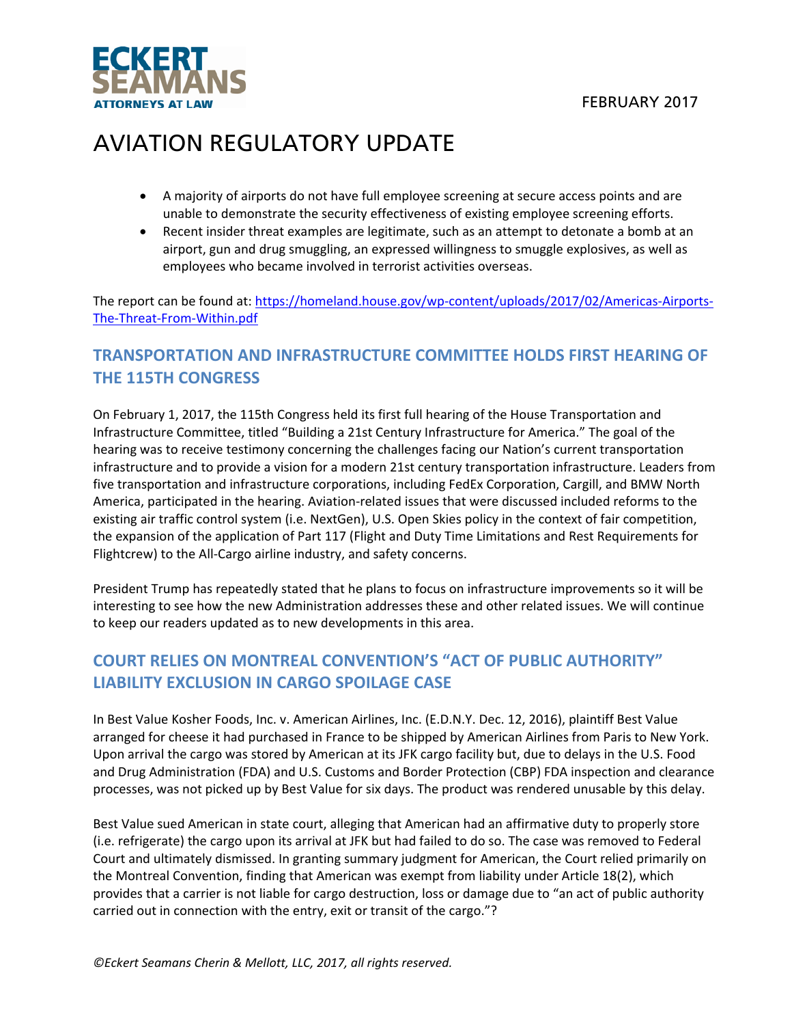

- A majority of airports do not have full employee screening at secure access points and are unable to demonstrate the security effectiveness of existing employee screening efforts.
- Recent insider threat examples are legitimate, such as an attempt to detonate a bomb at an airport, gun and drug smuggling, an expressed willingness to smuggle explosives, as well as employees who became involved in terrorist activities overseas.

The report can be found at: https://homeland.house.gov/wp-content/uploads/2017/02/Americas-Airports-The‐Threat‐From‐Within.pdf

### **TRANSPORTATION AND INFRASTRUCTURE COMMITTEE HOLDS FIRST HEARING OF THE 115TH CONGRESS**

On February 1, 2017, the 115th Congress held its first full hearing of the House Transportation and Infrastructure Committee, titled "Building a 21st Century Infrastructure for America." The goal of the hearing was to receive testimony concerning the challenges facing our Nation's current transportation infrastructure and to provide a vision for a modern 21st century transportation infrastructure. Leaders from five transportation and infrastructure corporations, including FedEx Corporation, Cargill, and BMW North America, participated in the hearing. Aviation‐related issues that were discussed included reforms to the existing air traffic control system (i.e. NextGen), U.S. Open Skies policy in the context of fair competition, the expansion of the application of Part 117 (Flight and Duty Time Limitations and Rest Requirements for Flightcrew) to the All-Cargo airline industry, and safety concerns.

President Trump has repeatedly stated that he plans to focus on infrastructure improvements so it will be interesting to see how the new Administration addresses these and other related issues. We will continue to keep our readers updated as to new developments in this area.

### **COURT RELIES ON MONTREAL CONVENTION'S "ACT OF PUBLIC AUTHORITY" LIABILITY EXCLUSION IN CARGO SPOILAGE CASE**

In Best Value Kosher Foods, Inc. v. American Airlines, Inc. (E.D.N.Y. Dec. 12, 2016), plaintiff Best Value arranged for cheese it had purchased in France to be shipped by American Airlines from Paris to New York. Upon arrival the cargo was stored by American at its JFK cargo facility but, due to delays in the U.S. Food and Drug Administration (FDA) and U.S. Customs and Border Protection (CBP) FDA inspection and clearance processes, was not picked up by Best Value for six days. The product was rendered unusable by this delay.

Best Value sued American in state court, alleging that American had an affirmative duty to properly store (i.e. refrigerate) the cargo upon its arrival at JFK but had failed to do so. The case was removed to Federal Court and ultimately dismissed. In granting summary judgment for American, the Court relied primarily on the Montreal Convention, finding that American was exempt from liability under Article 18(2), which provides that a carrier is not liable for cargo destruction, loss or damage due to "an act of public authority carried out in connection with the entry, exit or transit of the cargo."?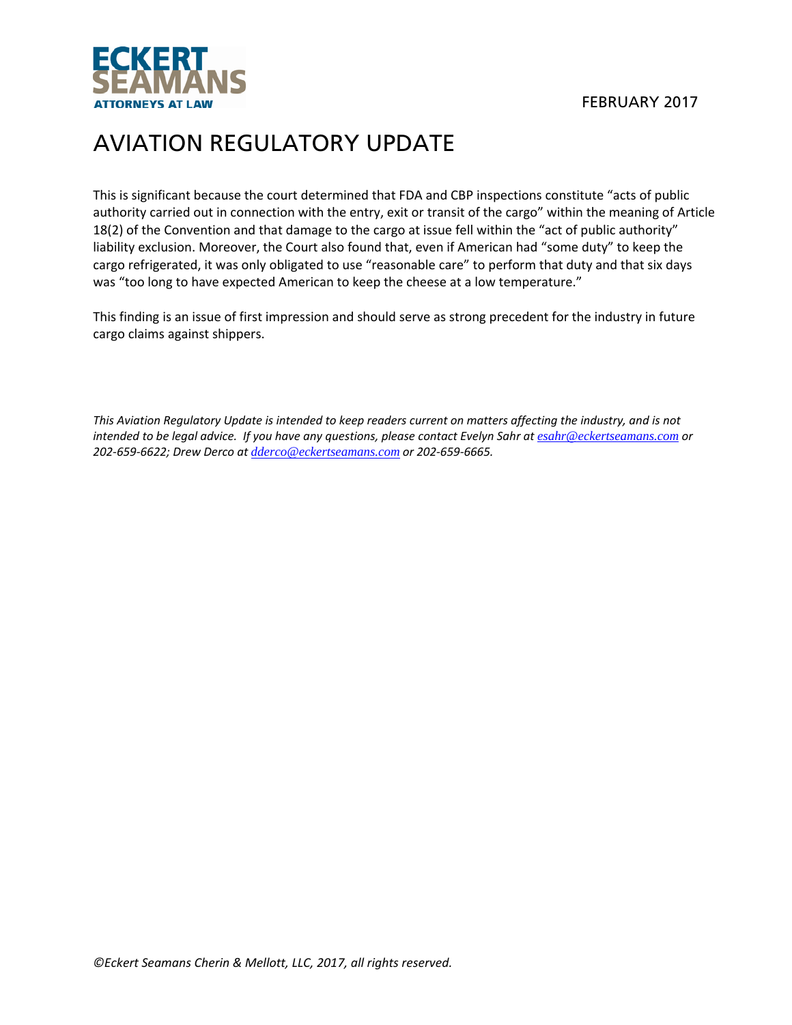

This is significant because the court determined that FDA and CBP inspections constitute "acts of public authority carried out in connection with the entry, exit or transit of the cargo" within the meaning of Article 18(2) of the Convention and that damage to the cargo at issue fell within the "act of public authority" liability exclusion. Moreover, the Court also found that, even if American had "some duty" to keep the cargo refrigerated, it was only obligated to use "reasonable care" to perform that duty and that six days was "too long to have expected American to keep the cheese at a low temperature."

This finding is an issue of first impression and should serve as strong precedent for the industry in future cargo claims against shippers.

This Aviation Regulatory Update is intended to keep readers current on matters affecting the industry, and is not intended to be legal advice. If you have any questions, please contact Evelyn Sahr at  $esahr@eckertseamans.com$  or *202‐659‐6622; Drew Derco at dderco@eckertseamans.com or 202‐659‐6665.*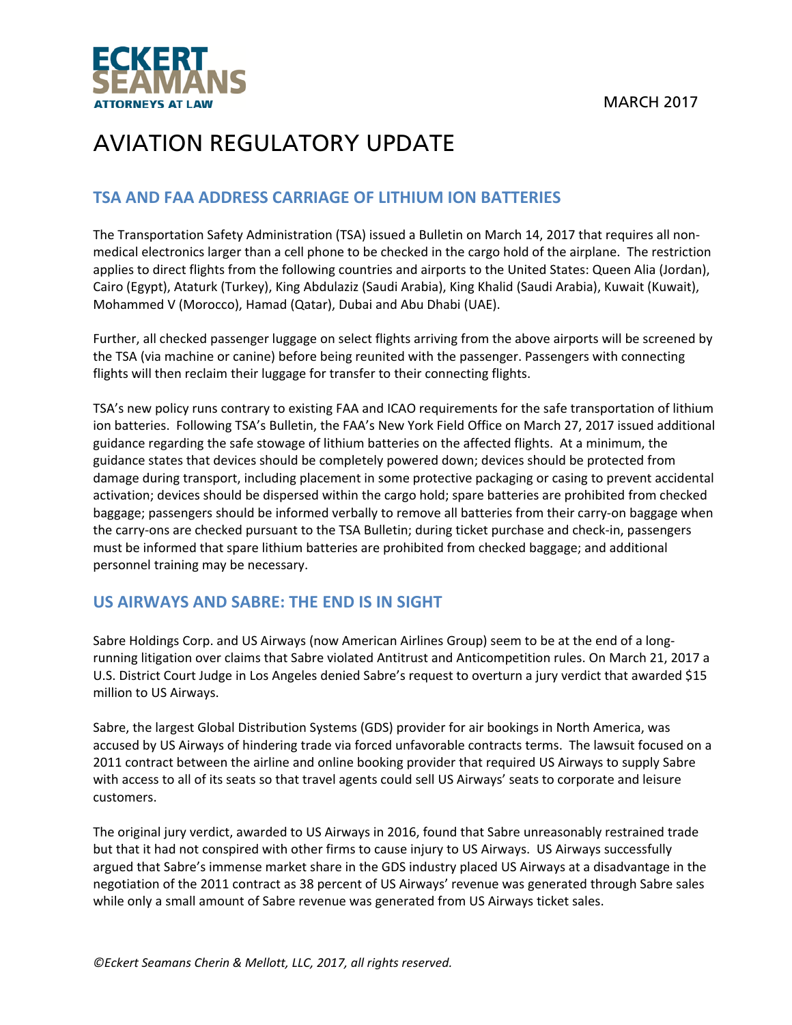

#### **TSA AND FAA ADDRESS CARRIAGE OF LITHIUM ION BATTERIES**

The Transportation Safety Administration (TSA) issued a Bulletin on March 14, 2017 that requires all non‐ medical electronics larger than a cell phone to be checked in the cargo hold of the airplane. The restriction applies to direct flights from the following countries and airports to the United States: Queen Alia (Jordan), Cairo (Egypt), Ataturk (Turkey), King Abdulaziz (Saudi Arabia), King Khalid (Saudi Arabia), Kuwait (Kuwait), Mohammed V (Morocco), Hamad (Qatar), Dubai and Abu Dhabi (UAE).

Further, all checked passenger luggage on select flights arriving from the above airports will be screened by the TSA (via machine or canine) before being reunited with the passenger. Passengers with connecting flights will then reclaim their luggage for transfer to their connecting flights.

TSA's new policy runs contrary to existing FAA and ICAO requirements for the safe transportation of lithium ion batteries. Following TSA's Bulletin, the FAA's New York Field Office on March 27, 2017 issued additional guidance regarding the safe stowage of lithium batteries on the affected flights. At a minimum, the guidance states that devices should be completely powered down; devices should be protected from damage during transport, including placement in some protective packaging or casing to prevent accidental activation; devices should be dispersed within the cargo hold; spare batteries are prohibited from checked baggage; passengers should be informed verbally to remove all batteries from their carry‐on baggage when the carry-ons are checked pursuant to the TSA Bulletin; during ticket purchase and check-in, passengers must be informed that spare lithium batteries are prohibited from checked baggage; and additional personnel training may be necessary.

#### **US AIRWAYS AND SABRE: THE END IS IN SIGHT**

Sabre Holdings Corp. and US Airways (now American Airlines Group) seem to be at the end of a long‐ running litigation over claims that Sabre violated Antitrust and Anticompetition rules. On March 21, 2017 a U.S. District Court Judge in Los Angeles denied Sabre's request to overturn a jury verdict that awarded \$15 million to US Airways.

Sabre, the largest Global Distribution Systems (GDS) provider for air bookings in North America, was accused by US Airways of hindering trade via forced unfavorable contracts terms. The lawsuit focused on a 2011 contract between the airline and online booking provider that required US Airways to supply Sabre with access to all of its seats so that travel agents could sell US Airways' seats to corporate and leisure customers.

The original jury verdict, awarded to US Airways in 2016, found that Sabre unreasonably restrained trade but that it had not conspired with other firms to cause injury to US Airways. US Airways successfully argued that Sabre's immense market share in the GDS industry placed US Airways at a disadvantage in the negotiation of the 2011 contract as 38 percent of US Airways' revenue was generated through Sabre sales while only a small amount of Sabre revenue was generated from US Airways ticket sales.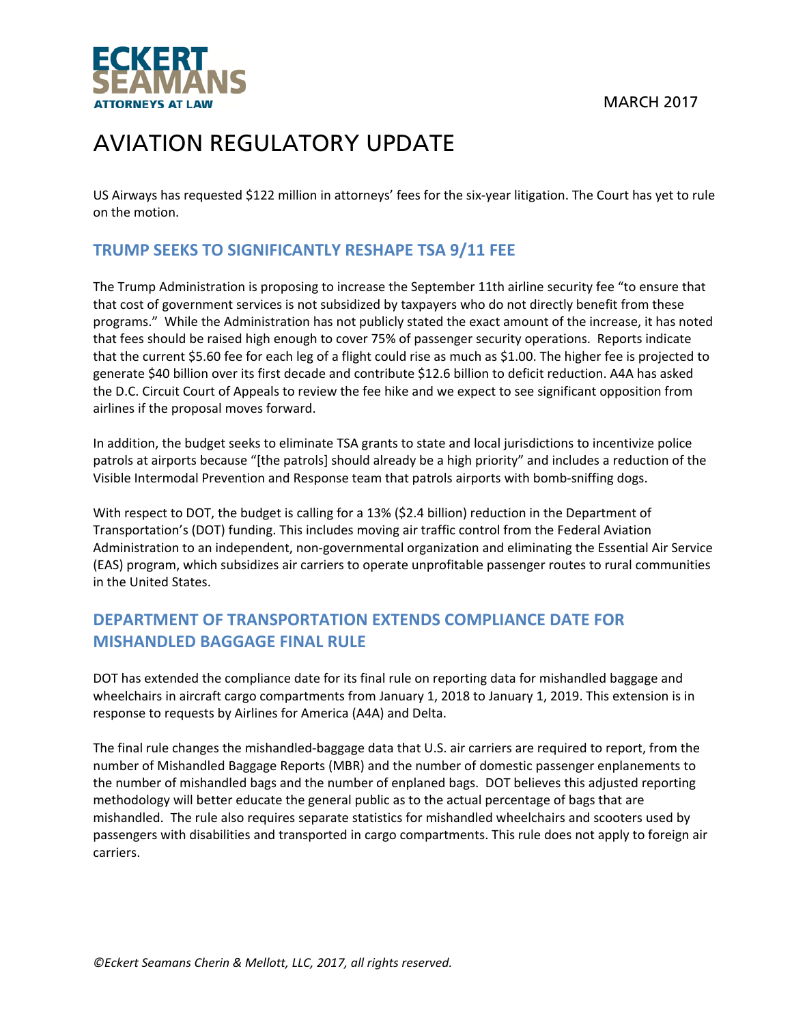MARCH 2017



# AVIATION REGULATORY UPDATE

US Airways has requested \$122 million in attorneys' fees for the six‐year litigation. The Court has yet to rule on the motion.

### **TRUMP SEEKS TO SIGNIFICANTLY RESHAPE TSA 9/11 FEE**

The Trump Administration is proposing to increase the September 11th airline security fee "to ensure that that cost of government services is not subsidized by taxpayers who do not directly benefit from these programs." While the Administration has not publicly stated the exact amount of the increase, it has noted that fees should be raised high enough to cover 75% of passenger security operations. Reports indicate that the current \$5.60 fee for each leg of a flight could rise as much as \$1.00. The higher fee is projected to generate \$40 billion over its first decade and contribute \$12.6 billion to deficit reduction. A4A has asked the D.C. Circuit Court of Appeals to review the fee hike and we expect to see significant opposition from airlines if the proposal moves forward.

In addition, the budget seeks to eliminate TSA grants to state and local jurisdictions to incentivize police patrols at airports because "[the patrols] should already be a high priority" and includes a reduction of the Visible Intermodal Prevention and Response team that patrols airports with bomb‐sniffing dogs.

With respect to DOT, the budget is calling for a 13% (\$2.4 billion) reduction in the Department of Transportation's (DOT) funding. This includes moving air traffic control from the Federal Aviation Administration to an independent, non‐governmental organization and eliminating the Essential Air Service (EAS) program, which subsidizes air carriers to operate unprofitable passenger routes to rural communities in the United States.

### **DEPARTMENT OF TRANSPORTATION EXTENDS COMPLIANCE DATE FOR MISHANDLED BAGGAGE FINAL RULE**

DOT has extended the compliance date for its final rule on reporting data for mishandled baggage and wheelchairs in aircraft cargo compartments from January 1, 2018 to January 1, 2019. This extension is in response to requests by Airlines for America (A4A) and Delta.

The final rule changes the mishandled‐baggage data that U.S. air carriers are required to report, from the number of Mishandled Baggage Reports (MBR) and the number of domestic passenger enplanements to the number of mishandled bags and the number of enplaned bags. DOT believes this adjusted reporting methodology will better educate the general public as to the actual percentage of bags that are mishandled. The rule also requires separate statistics for mishandled wheelchairs and scooters used by passengers with disabilities and transported in cargo compartments. This rule does not apply to foreign air carriers.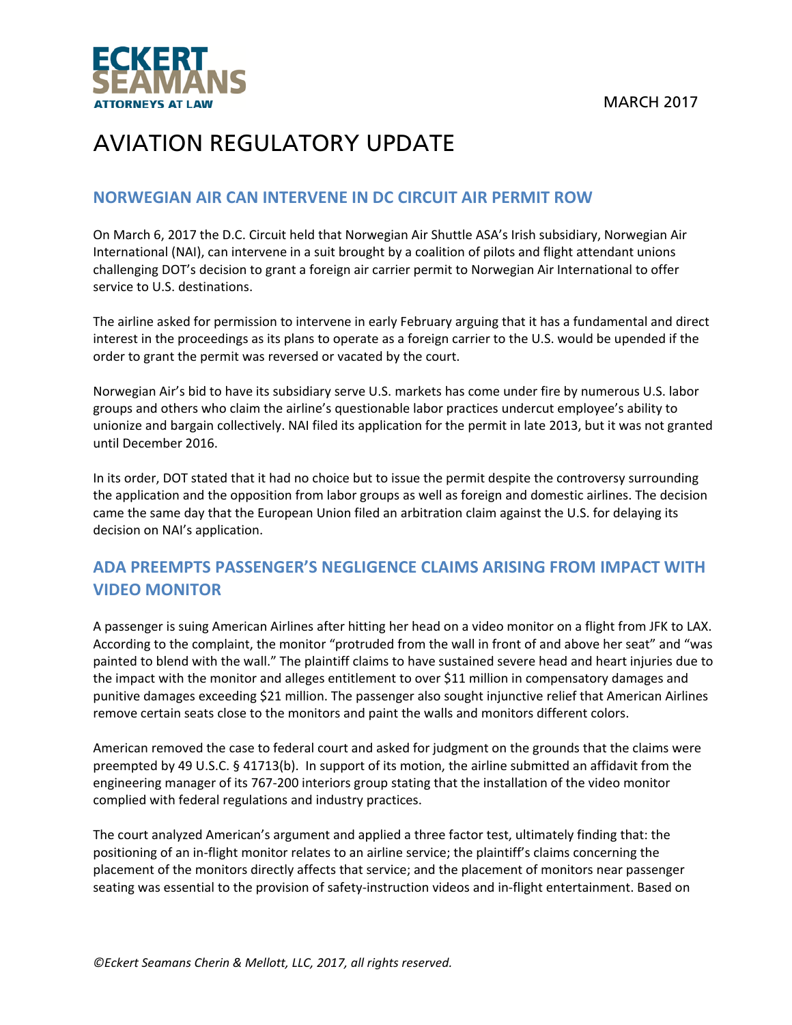

#### **NORWEGIAN AIR CAN INTERVENE IN DC CIRCUIT AIR PERMIT ROW**

On March 6, 2017 the D.C. Circuit held that Norwegian Air Shuttle ASA's Irish subsidiary, Norwegian Air International (NAI), can intervene in a suit brought by a coalition of pilots and flight attendant unions challenging DOT's decision to grant a foreign air carrier permit to Norwegian Air International to offer service to U.S. destinations.

The airline asked for permission to intervene in early February arguing that it has a fundamental and direct interest in the proceedings as its plans to operate as a foreign carrier to the U.S. would be upended if the order to grant the permit was reversed or vacated by the court.

Norwegian Air's bid to have its subsidiary serve U.S. markets has come under fire by numerous U.S. labor groups and others who claim the airline's questionable labor practices undercut employee's ability to unionize and bargain collectively. NAI filed its application for the permit in late 2013, but it was not granted until December 2016.

In its order, DOT stated that it had no choice but to issue the permit despite the controversy surrounding the application and the opposition from labor groups as well as foreign and domestic airlines. The decision came the same day that the European Union filed an arbitration claim against the U.S. for delaying its decision on NAI's application.

#### **ADA PREEMPTS PASSENGER'S NEGLIGENCE CLAIMS ARISING FROM IMPACT WITH VIDEO MONITOR**

A passenger is suing American Airlines after hitting her head on a video monitor on a flight from JFK to LAX. According to the complaint, the monitor "protruded from the wall in front of and above her seat" and "was painted to blend with the wall." The plaintiff claims to have sustained severe head and heart injuries due to the impact with the monitor and alleges entitlement to over \$11 million in compensatory damages and punitive damages exceeding \$21 million. The passenger also sought injunctive relief that American Airlines remove certain seats close to the monitors and paint the walls and monitors different colors.

American removed the case to federal court and asked for judgment on the grounds that the claims were preempted by 49 U.S.C. § 41713(b). In support of its motion, the airline submitted an affidavit from the engineering manager of its 767‐200 interiors group stating that the installation of the video monitor complied with federal regulations and industry practices.

The court analyzed American's argument and applied a three factor test, ultimately finding that: the positioning of an in‐flight monitor relates to an airline service; the plaintiff's claims concerning the placement of the monitors directly affects that service; and the placement of monitors near passenger seating was essential to the provision of safety-instruction videos and in-flight entertainment. Based on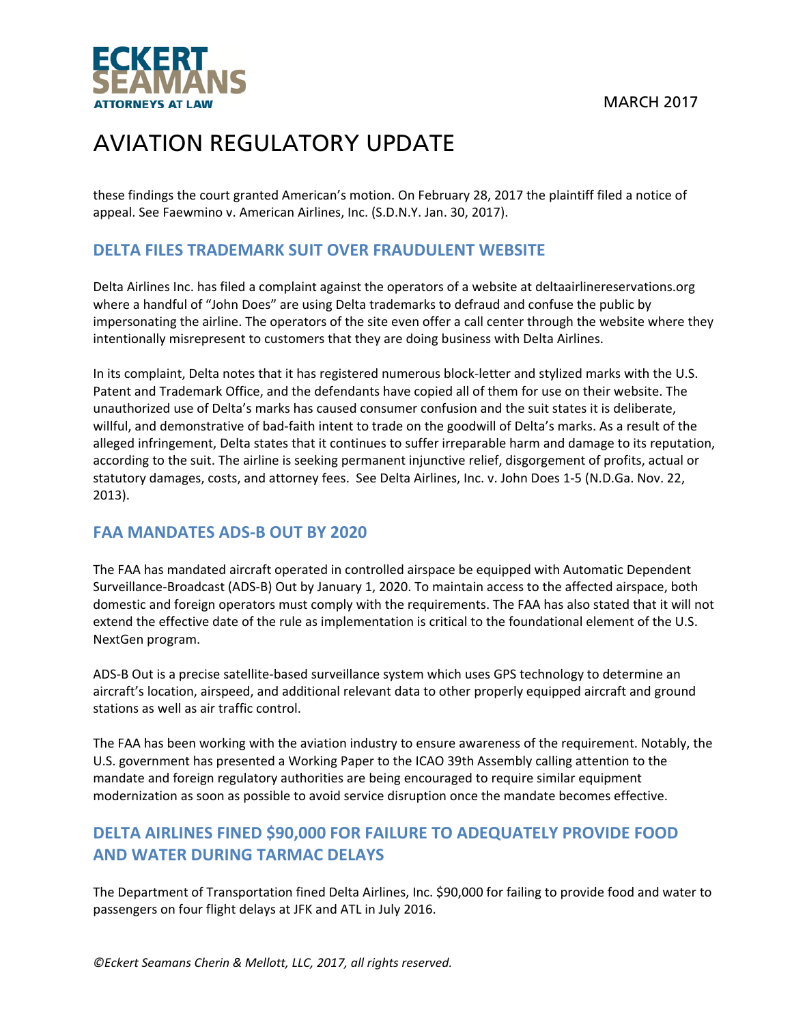MARCH 2017



## AVIATION REGULATORY UPDATE

these findings the court granted American's motion. On February 28, 2017 the plaintiff filed a notice of appeal. See Faewmino v. American Airlines, Inc. (S.D.N.Y. Jan. 30, 2017).

#### **DELTA FILES TRADEMARK SUIT OVER FRAUDULENT WEBSITE**

Delta Airlines Inc. has filed a complaint against the operators of a website at deltaairlinereservations.org where a handful of "John Does" are using Delta trademarks to defraud and confuse the public by impersonating the airline. The operators of the site even offer a call center through the website where they intentionally misrepresent to customers that they are doing business with Delta Airlines.

In its complaint, Delta notes that it has registered numerous block-letter and stylized marks with the U.S. Patent and Trademark Office, and the defendants have copied all of them for use on their website. The unauthorized use of Delta's marks has caused consumer confusion and the suit states it is deliberate, willful, and demonstrative of bad-faith intent to trade on the goodwill of Delta's marks. As a result of the alleged infringement, Delta states that it continues to suffer irreparable harm and damage to its reputation, according to the suit. The airline is seeking permanent injunctive relief, disgorgement of profits, actual or statutory damages, costs, and attorney fees. See Delta Airlines, Inc. v. John Does 1‐5 (N.D.Ga. Nov. 22, 2013).

#### **FAA MANDATES ADS‐B OUT BY 2020**

The FAA has mandated aircraft operated in controlled airspace be equipped with Automatic Dependent Surveillance‐Broadcast (ADS‐B) Out by January 1, 2020. To maintain access to the affected airspace, both domestic and foreign operators must comply with the requirements. The FAA has also stated that it will not extend the effective date of the rule as implementation is critical to the foundational element of the U.S. NextGen program.

ADS‐B Out is a precise satellite‐based surveillance system which uses GPS technology to determine an aircraft's location, airspeed, and additional relevant data to other properly equipped aircraft and ground stations as well as air traffic control.

The FAA has been working with the aviation industry to ensure awareness of the requirement. Notably, the U.S. government has presented a Working Paper to the ICAO 39th Assembly calling attention to the mandate and foreign regulatory authorities are being encouraged to require similar equipment modernization as soon as possible to avoid service disruption once the mandate becomes effective.

### **DELTA AIRLINES FINED \$90,000 FOR FAILURE TO ADEQUATELY PROVIDE FOOD AND WATER DURING TARMAC DELAYS**

The Department of Transportation fined Delta Airlines, Inc. \$90,000 for failing to provide food and water to passengers on four flight delays at JFK and ATL in July 2016.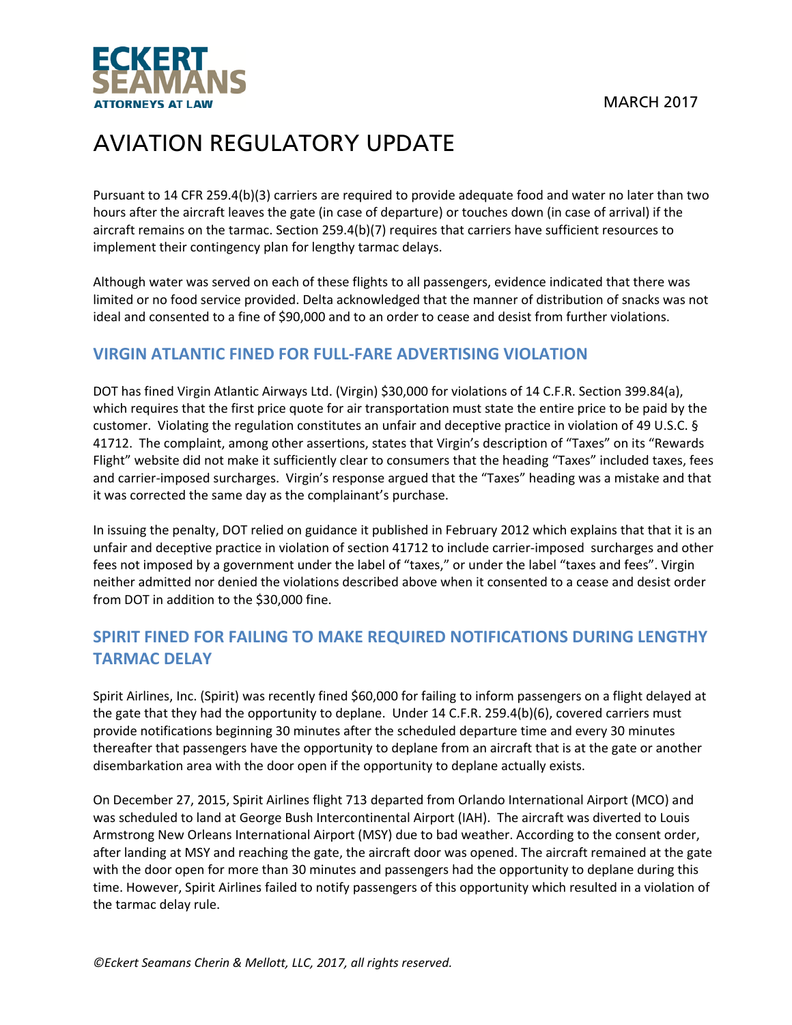

Pursuant to 14 CFR 259.4(b)(3) carriers are required to provide adequate food and water no later than two hours after the aircraft leaves the gate (in case of departure) or touches down (in case of arrival) if the aircraft remains on the tarmac. Section 259.4(b)(7) requires that carriers have sufficient resources to implement their contingency plan for lengthy tarmac delays.

Although water was served on each of these flights to all passengers, evidence indicated that there was limited or no food service provided. Delta acknowledged that the manner of distribution of snacks was not ideal and consented to a fine of \$90,000 and to an order to cease and desist from further violations.

### **VIRGIN ATLANTIC FINED FOR FULL‐FARE ADVERTISING VIOLATION**

DOT has fined Virgin Atlantic Airways Ltd. (Virgin) \$30,000 for violations of 14 C.F.R. Section 399.84(a), which requires that the first price quote for air transportation must state the entire price to be paid by the customer. Violating the regulation constitutes an unfair and deceptive practice in violation of 49 U.S.C. § 41712. The complaint, among other assertions, states that Virgin's description of "Taxes" on its "Rewards Flight" website did not make it sufficiently clear to consumers that the heading "Taxes" included taxes, fees and carrier‐imposed surcharges. Virgin's response argued that the "Taxes" heading was a mistake and that it was corrected the same day as the complainant's purchase.

In issuing the penalty, DOT relied on guidance it published in February 2012 which explains that that it is an unfair and deceptive practice in violation of section 41712 to include carrier‐imposed surcharges and other fees not imposed by a government under the label of "taxes," or under the label "taxes and fees". Virgin neither admitted nor denied the violations described above when it consented to a cease and desist order from DOT in addition to the \$30,000 fine.

### **SPIRIT FINED FOR FAILING TO MAKE REQUIRED NOTIFICATIONS DURING LENGTHY TARMAC DELAY**

Spirit Airlines, Inc. (Spirit) was recently fined \$60,000 for failing to inform passengers on a flight delayed at the gate that they had the opportunity to deplane. Under 14 C.F.R. 259.4(b)(6), covered carriers must provide notifications beginning 30 minutes after the scheduled departure time and every 30 minutes thereafter that passengers have the opportunity to deplane from an aircraft that is at the gate or another disembarkation area with the door open if the opportunity to deplane actually exists.

On December 27, 2015, Spirit Airlines flight 713 departed from Orlando International Airport (MCO) and was scheduled to land at George Bush Intercontinental Airport (IAH). The aircraft was diverted to Louis Armstrong New Orleans International Airport (MSY) due to bad weather. According to the consent order, after landing at MSY and reaching the gate, the aircraft door was opened. The aircraft remained at the gate with the door open for more than 30 minutes and passengers had the opportunity to deplane during this time. However, Spirit Airlines failed to notify passengers of this opportunity which resulted in a violation of the tarmac delay rule.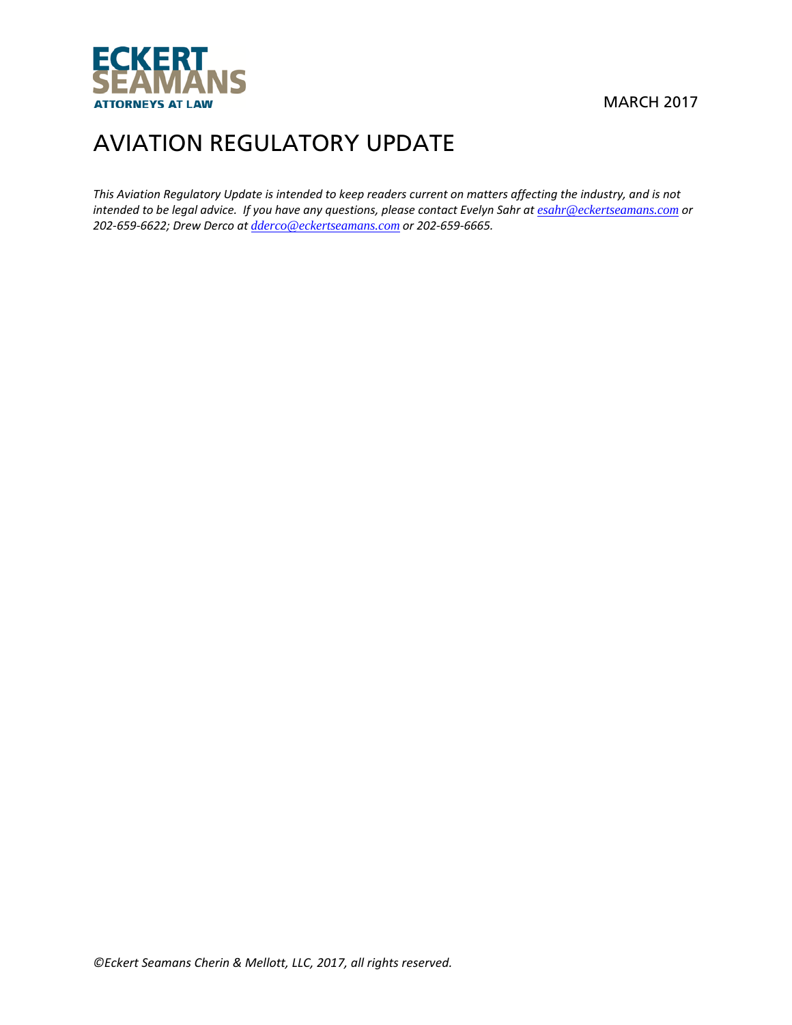

This Aviation Regulatory Update is intended to keep readers current on matters affecting the industry, and is not intended to be legal advice. If you have any questions, please contact Evelyn Sahr at esahr@eckertseamans.com or *202‐659‐6622; Drew Derco at dderco@eckertseamans.com or 202‐659‐6665.*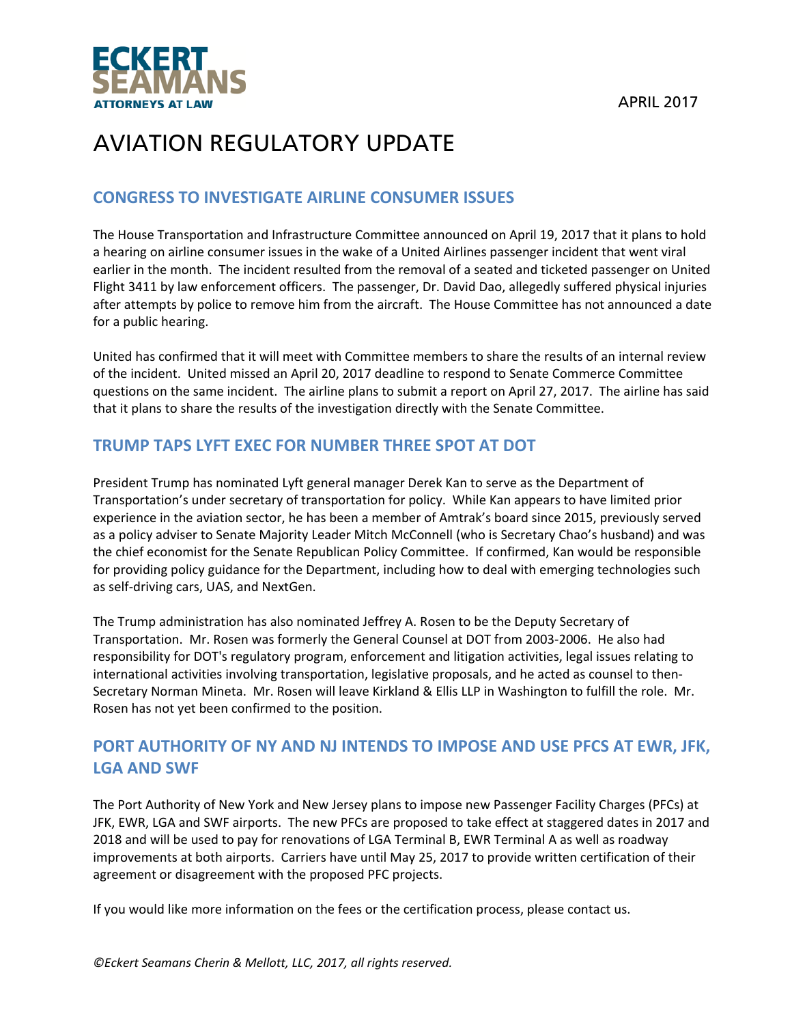



#### **CONGRESS TO INVESTIGATE AIRLINE CONSUMER ISSUES**

The House Transportation and Infrastructure Committee announced on April 19, 2017 that it plans to hold a hearing on airline consumer issues in the wake of a United Airlines passenger incident that went viral earlier in the month. The incident resulted from the removal of a seated and ticketed passenger on United Flight 3411 by law enforcement officers. The passenger, Dr. David Dao, allegedly suffered physical injuries after attempts by police to remove him from the aircraft. The House Committee has not announced a date for a public hearing.

United has confirmed that it will meet with Committee members to share the results of an internal review of the incident. United missed an April 20, 2017 deadline to respond to Senate Commerce Committee questions on the same incident. The airline plans to submit a report on April 27, 2017. The airline has said that it plans to share the results of the investigation directly with the Senate Committee.

#### **TRUMP TAPS LYFT EXEC FOR NUMBER THREE SPOT AT DOT**

President Trump has nominated Lyft general manager Derek Kan to serve as the Department of Transportation's under secretary of transportation for policy. While Kan appears to have limited prior experience in the aviation sector, he has been a member of Amtrak's board since 2015, previously served as a policy adviser to Senate Majority Leader Mitch McConnell (who is Secretary Chao's husband) and was the chief economist for the Senate Republican Policy Committee. If confirmed, Kan would be responsible for providing policy guidance for the Department, including how to deal with emerging technologies such as self‐driving cars, UAS, and NextGen.

The Trump administration has also nominated Jeffrey A. Rosen to be the Deputy Secretary of Transportation. Mr. Rosen was formerly the General Counsel at DOT from 2003‐2006. He also had responsibility for DOT's regulatory program, enforcement and litigation activities, legal issues relating to international activities involving transportation, legislative proposals, and he acted as counsel to then‐ Secretary Norman Mineta. Mr. Rosen will leave Kirkland & Ellis LLP in Washington to fulfill the role. Mr. Rosen has not yet been confirmed to the position.

### **PORT AUTHORITY OF NY AND NJ INTENDS TO IMPOSE AND USE PFCS AT EWR, JFK, LGA AND SWF**

The Port Authority of New York and New Jersey plans to impose new Passenger Facility Charges (PFCs) at JFK, EWR, LGA and SWF airports. The new PFCs are proposed to take effect at staggered dates in 2017 and 2018 and will be used to pay for renovations of LGA Terminal B, EWR Terminal A as well as roadway improvements at both airports. Carriers have until May 25, 2017 to provide written certification of their agreement or disagreement with the proposed PFC projects.

If you would like more information on the fees or the certification process, please contact us.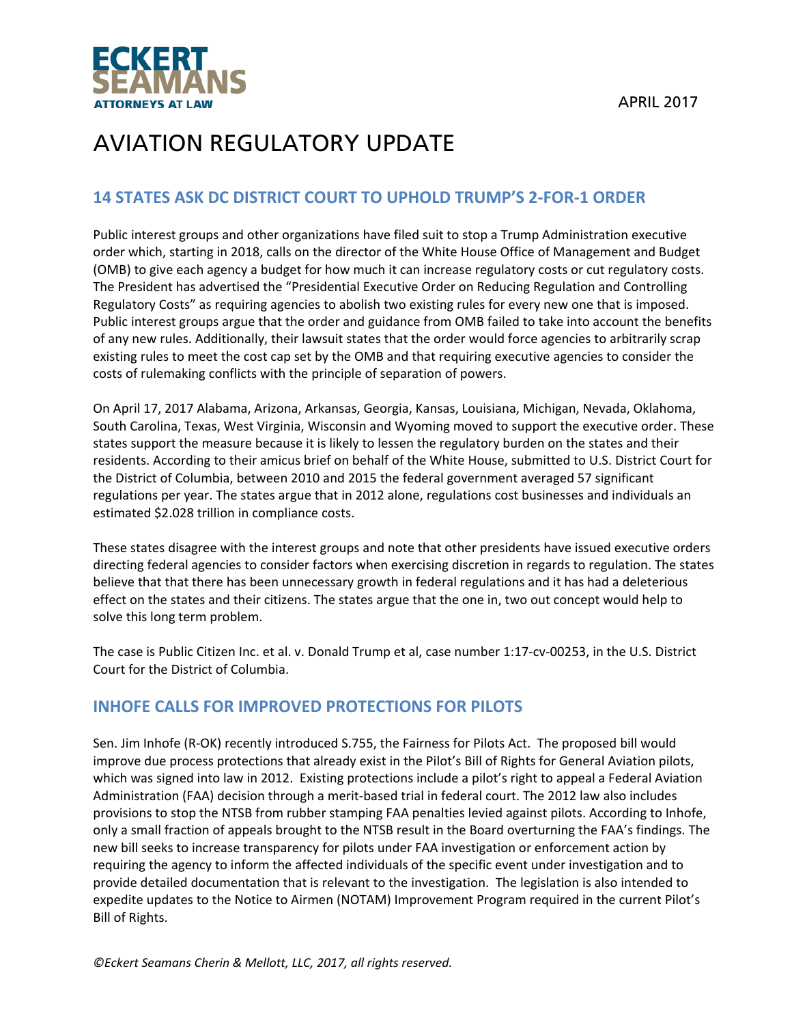

#### **14 STATES ASK DC DISTRICT COURT TO UPHOLD TRUMP'S 2‐FOR‐1 ORDER**

Public interest groups and other organizations have filed suit to stop a Trump Administration executive order which, starting in 2018, calls on the director of the White House Office of Management and Budget (OMB) to give each agency a budget for how much it can increase regulatory costs or cut regulatory costs. The President has advertised the "Presidential Executive Order on Reducing Regulation and Controlling Regulatory Costs" as requiring agencies to abolish two existing rules for every new one that is imposed. Public interest groups argue that the order and guidance from OMB failed to take into account the benefits of any new rules. Additionally, their lawsuit states that the order would force agencies to arbitrarily scrap existing rules to meet the cost cap set by the OMB and that requiring executive agencies to consider the costs of rulemaking conflicts with the principle of separation of powers.

On April 17, 2017 Alabama, Arizona, Arkansas, Georgia, Kansas, Louisiana, Michigan, Nevada, Oklahoma, South Carolina, Texas, West Virginia, Wisconsin and Wyoming moved to support the executive order. These states support the measure because it is likely to lessen the regulatory burden on the states and their residents. According to their amicus brief on behalf of the White House, submitted to U.S. District Court for the District of Columbia, between 2010 and 2015 the federal government averaged 57 significant regulations per year. The states argue that in 2012 alone, regulations cost businesses and individuals an estimated \$2.028 trillion in compliance costs.

These states disagree with the interest groups and note that other presidents have issued executive orders directing federal agencies to consider factors when exercising discretion in regards to regulation. The states believe that that there has been unnecessary growth in federal regulations and it has had a deleterious effect on the states and their citizens. The states argue that the one in, two out concept would help to solve this long term problem.

The case is Public Citizen Inc. et al. v. Donald Trump et al, case number 1:17‐cv‐00253, in the U.S. District Court for the District of Columbia.

#### **INHOFE CALLS FOR IMPROVED PROTECTIONS FOR PILOTS**

Sen. Jim Inhofe (R‐OK) recently introduced S.755, the Fairness for Pilots Act. The proposed bill would improve due process protections that already exist in the Pilot's Bill of Rights for General Aviation pilots, which was signed into law in 2012. Existing protections include a pilot's right to appeal a Federal Aviation Administration (FAA) decision through a merit‐based trial in federal court. The 2012 law also includes provisions to stop the NTSB from rubber stamping FAA penalties levied against pilots. According to Inhofe, only a small fraction of appeals brought to the NTSB result in the Board overturning the FAA's findings. The new bill seeks to increase transparency for pilots under FAA investigation or enforcement action by requiring the agency to inform the affected individuals of the specific event under investigation and to provide detailed documentation that is relevant to the investigation. The legislation is also intended to expedite updates to the Notice to Airmen (NOTAM) Improvement Program required in the current Pilot's Bill of Rights.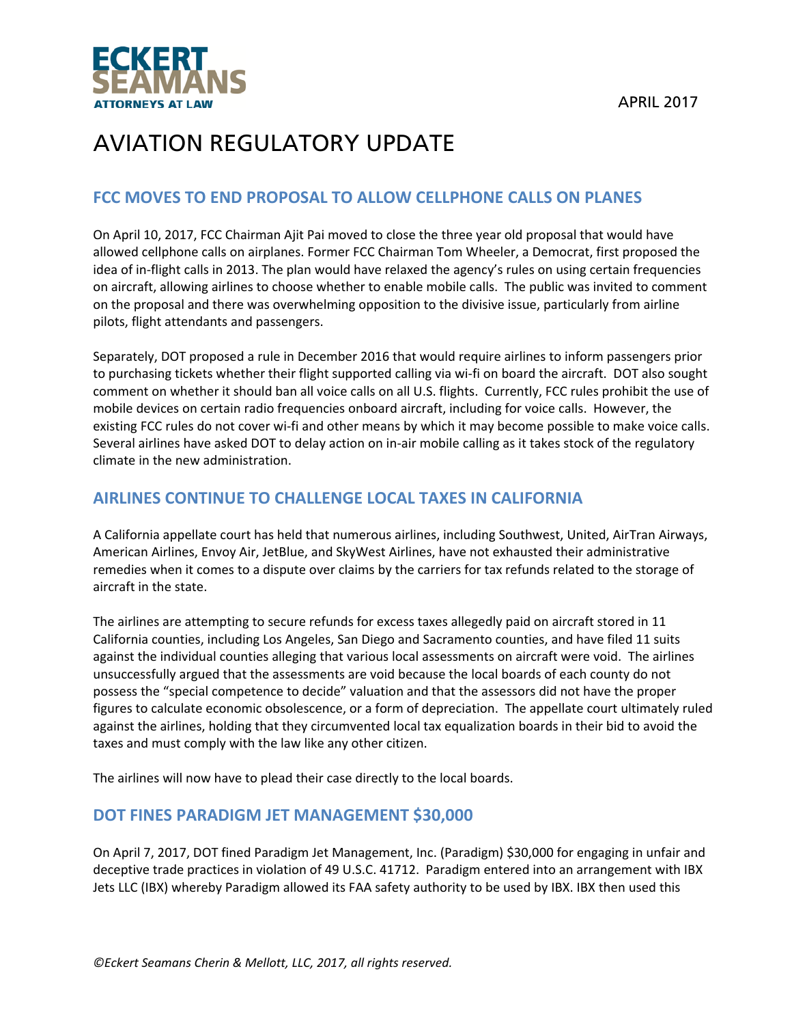

#### **FCC MOVES TO END PROPOSAL TO ALLOW CELLPHONE CALLS ON PLANES**

On April 10, 2017, FCC Chairman Ajit Pai moved to close the three year old proposal that would have allowed cellphone calls on airplanes. Former FCC Chairman Tom Wheeler, a Democrat, first proposed the idea of in‐flight calls in 2013. The plan would have relaxed the agency's rules on using certain frequencies on aircraft, allowing airlines to choose whether to enable mobile calls. The public was invited to comment on the proposal and there was overwhelming opposition to the divisive issue, particularly from airline pilots, flight attendants and passengers.

Separately, DOT proposed a rule in December 2016 that would require airlines to inform passengers prior to purchasing tickets whether their flight supported calling via wi‐fi on board the aircraft. DOT also sought comment on whether it should ban all voice calls on all U.S. flights. Currently, FCC rules prohibit the use of mobile devices on certain radio frequencies onboard aircraft, including for voice calls. However, the existing FCC rules do not cover wi-fi and other means by which it may become possible to make voice calls. Several airlines have asked DOT to delay action on in‐air mobile calling as it takes stock of the regulatory climate in the new administration.

#### **AIRLINES CONTINUE TO CHALLENGE LOCAL TAXES IN CALIFORNIA**

A California appellate court has held that numerous airlines, including Southwest, United, AirTran Airways, American Airlines, Envoy Air, JetBlue, and SkyWest Airlines, have not exhausted their administrative remedies when it comes to a dispute over claims by the carriers for tax refunds related to the storage of aircraft in the state.

The airlines are attempting to secure refunds for excess taxes allegedly paid on aircraft stored in 11 California counties, including Los Angeles, San Diego and Sacramento counties, and have filed 11 suits against the individual counties alleging that various local assessments on aircraft were void. The airlines unsuccessfully argued that the assessments are void because the local boards of each county do not possess the "special competence to decide" valuation and that the assessors did not have the proper figures to calculate economic obsolescence, or a form of depreciation. The appellate court ultimately ruled against the airlines, holding that they circumvented local tax equalization boards in their bid to avoid the taxes and must comply with the law like any other citizen.

The airlines will now have to plead their case directly to the local boards.

#### **DOT FINES PARADIGM JET MANAGEMENT \$30,000**

On April 7, 2017, DOT fined Paradigm Jet Management, Inc. (Paradigm) \$30,000 for engaging in unfair and deceptive trade practices in violation of 49 U.S.C. 41712. Paradigm entered into an arrangement with IBX Jets LLC (IBX) whereby Paradigm allowed its FAA safety authority to be used by IBX. IBX then used this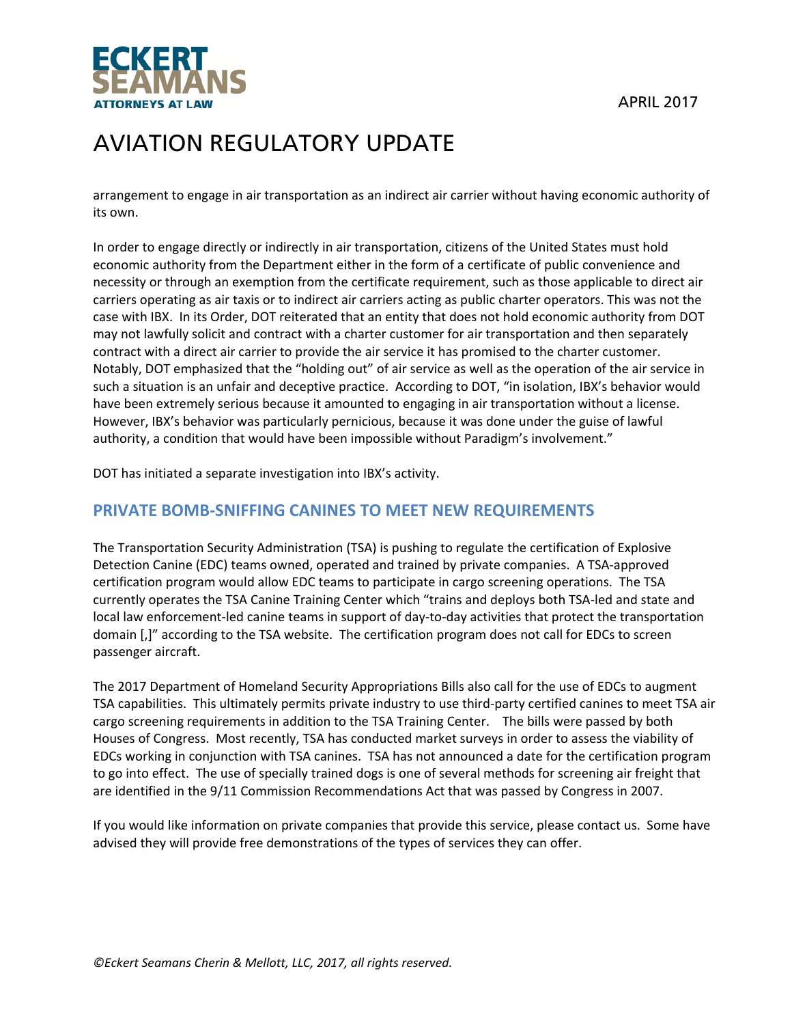

arrangement to engage in air transportation as an indirect air carrier without having economic authority of its own.

In order to engage directly or indirectly in air transportation, citizens of the United States must hold economic authority from the Department either in the form of a certificate of public convenience and necessity or through an exemption from the certificate requirement, such as those applicable to direct air carriers operating as air taxis or to indirect air carriers acting as public charter operators. This was not the case with IBX. In its Order, DOT reiterated that an entity that does not hold economic authority from DOT may not lawfully solicit and contract with a charter customer for air transportation and then separately contract with a direct air carrier to provide the air service it has promised to the charter customer. Notably, DOT emphasized that the "holding out" of air service as well as the operation of the air service in such a situation is an unfair and deceptive practice. According to DOT, "in isolation, IBX's behavior would have been extremely serious because it amounted to engaging in air transportation without a license. However, IBX's behavior was particularly pernicious, because it was done under the guise of lawful authority, a condition that would have been impossible without Paradigm's involvement."

DOT has initiated a separate investigation into IBX's activity.

#### **PRIVATE BOMB‐SNIFFING CANINES TO MEET NEW REQUIREMENTS**

The Transportation Security Administration (TSA) is pushing to regulate the certification of Explosive Detection Canine (EDC) teams owned, operated and trained by private companies. A TSA‐approved certification program would allow EDC teams to participate in cargo screening operations. The TSA currently operates the TSA Canine Training Center which "trains and deploys both TSA‐led and state and local law enforcement-led canine teams in support of day-to-day activities that protect the transportation domain [,]" according to the TSA website. The certification program does not call for EDCs to screen passenger aircraft.

The 2017 Department of Homeland Security Appropriations Bills also call for the use of EDCs to augment TSA capabilities. This ultimately permits private industry to use third‐party certified canines to meet TSA air cargo screening requirements in addition to the TSA Training Center. The bills were passed by both Houses of Congress. Most recently, TSA has conducted market surveys in order to assess the viability of EDCs working in conjunction with TSA canines. TSA has not announced a date for the certification program to go into effect. The use of specially trained dogs is one of several methods for screening air freight that are identified in the 9/11 Commission Recommendations Act that was passed by Congress in 2007.

If you would like information on private companies that provide this service, please contact us. Some have advised they will provide free demonstrations of the types of services they can offer.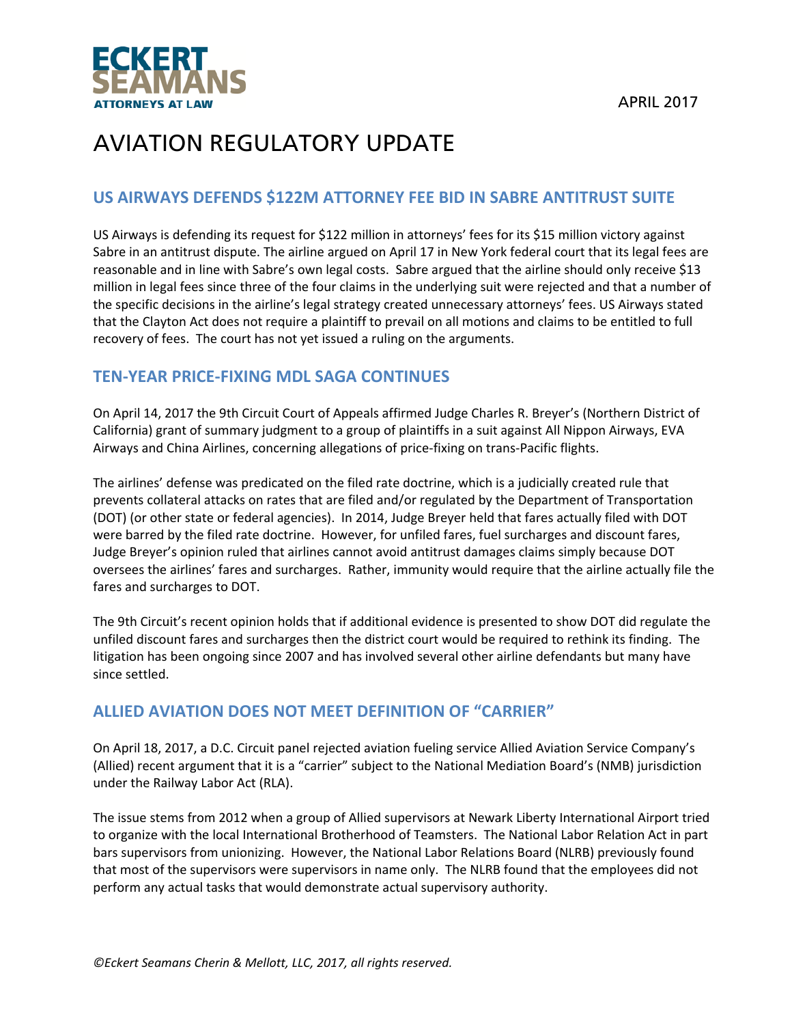

#### **US AIRWAYS DEFENDS \$122M ATTORNEY FEE BID IN SABRE ANTITRUST SUITE**

US Airways is defending its request for \$122 million in attorneys' fees for its \$15 million victory against Sabre in an antitrust dispute. The airline argued on April 17 in New York federal court that its legal fees are reasonable and in line with Sabre's own legal costs. Sabre argued that the airline should only receive \$13 million in legal fees since three of the four claims in the underlying suit were rejected and that a number of the specific decisions in the airline's legal strategy created unnecessary attorneys' fees. US Airways stated that the Clayton Act does not require a plaintiff to prevail on all motions and claims to be entitled to full recovery of fees. The court has not yet issued a ruling on the arguments.

#### **TEN‐YEAR PRICE‐FIXING MDL SAGA CONTINUES**

On April 14, 2017 the 9th Circuit Court of Appeals affirmed Judge Charles R. Breyer's (Northern District of California) grant of summary judgment to a group of plaintiffs in a suit against All Nippon Airways, EVA Airways and China Airlines, concerning allegations of price‐fixing on trans‐Pacific flights.

The airlines' defense was predicated on the filed rate doctrine, which is a judicially created rule that prevents collateral attacks on rates that are filed and/or regulated by the Department of Transportation (DOT) (or other state or federal agencies). In 2014, Judge Breyer held that fares actually filed with DOT were barred by the filed rate doctrine. However, for unfiled fares, fuel surcharges and discount fares, Judge Breyer's opinion ruled that airlines cannot avoid antitrust damages claims simply because DOT oversees the airlines' fares and surcharges. Rather, immunity would require that the airline actually file the fares and surcharges to DOT.

The 9th Circuit's recent opinion holds that if additional evidence is presented to show DOT did regulate the unfiled discount fares and surcharges then the district court would be required to rethink its finding. The litigation has been ongoing since 2007 and has involved several other airline defendants but many have since settled.

#### **ALLIED AVIATION DOES NOT MEET DEFINITION OF "CARRIER"**

On April 18, 2017, a D.C. Circuit panel rejected aviation fueling service Allied Aviation Service Company's (Allied) recent argument that it is a "carrier" subject to the National Mediation Board's (NMB) jurisdiction under the Railway Labor Act (RLA).

The issue stems from 2012 when a group of Allied supervisors at Newark Liberty International Airport tried to organize with the local International Brotherhood of Teamsters. The National Labor Relation Act in part bars supervisors from unionizing. However, the National Labor Relations Board (NLRB) previously found that most of the supervisors were supervisors in name only. The NLRB found that the employees did not perform any actual tasks that would demonstrate actual supervisory authority.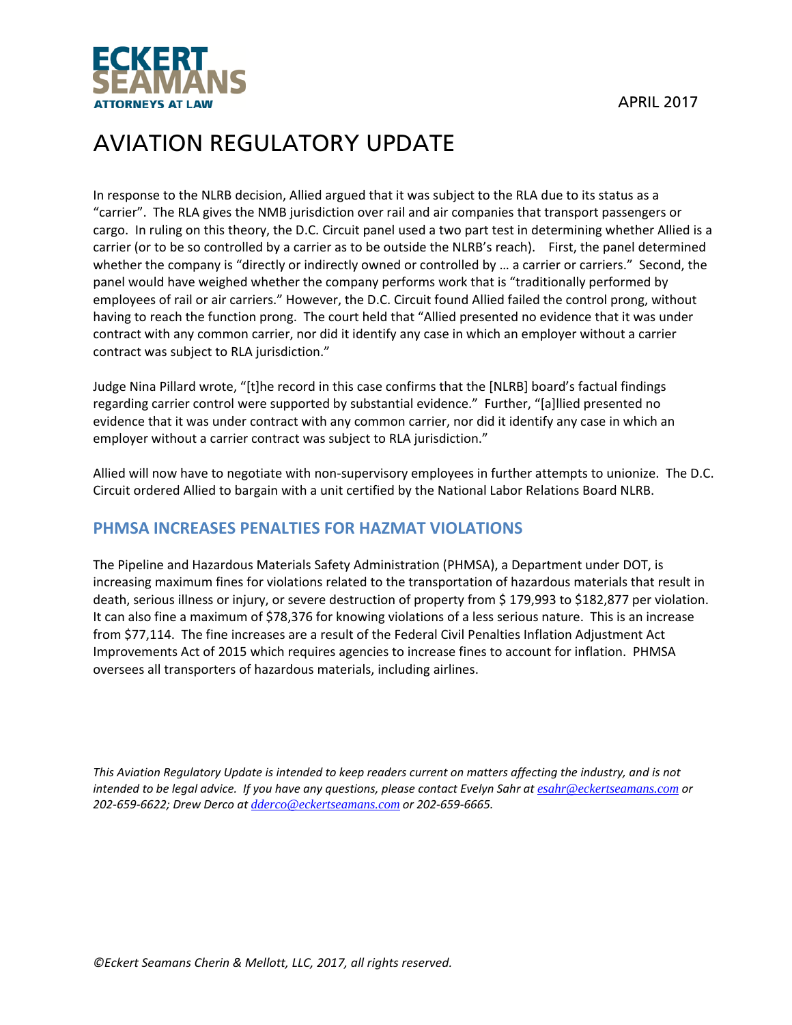

In response to the NLRB decision, Allied argued that it was subject to the RLA due to its status as a "carrier". The RLA gives the NMB jurisdiction over rail and air companies that transport passengers or cargo. In ruling on this theory, the D.C. Circuit panel used a two part test in determining whether Allied is a carrier (or to be so controlled by a carrier as to be outside the NLRB's reach). First, the panel determined whether the company is "directly or indirectly owned or controlled by … a carrier or carriers." Second, the panel would have weighed whether the company performs work that is "traditionally performed by employees of rail or air carriers." However, the D.C. Circuit found Allied failed the control prong, without having to reach the function prong. The court held that "Allied presented no evidence that it was under contract with any common carrier, nor did it identify any case in which an employer without a carrier contract was subject to RLA jurisdiction."

Judge Nina Pillard wrote, "[t]he record in this case confirms that the [NLRB] board's factual findings regarding carrier control were supported by substantial evidence." Further, "[a]llied presented no evidence that it was under contract with any common carrier, nor did it identify any case in which an employer without a carrier contract was subject to RLA jurisdiction."

Allied will now have to negotiate with non‐supervisory employees in further attempts to unionize. The D.C. Circuit ordered Allied to bargain with a unit certified by the National Labor Relations Board NLRB.

### **PHMSA INCREASES PENALTIES FOR HAZMAT VIOLATIONS**

The Pipeline and Hazardous Materials Safety Administration (PHMSA), a Department under DOT, is increasing maximum fines for violations related to the transportation of hazardous materials that result in death, serious illness or injury, or severe destruction of property from \$ 179,993 to \$182,877 per violation. It can also fine a maximum of \$78,376 for knowing violations of a less serious nature. This is an increase from \$77,114. The fine increases are a result of the Federal Civil Penalties Inflation Adjustment Act Improvements Act of 2015 which requires agencies to increase fines to account for inflation. PHMSA oversees all transporters of hazardous materials, including airlines.

This Aviation Regulatory Update is intended to keep readers current on matters affecting the industry, and is not intended to be legal advice. If you have any questions, please contact Evelyn Sahr at esahr@eckertseamans.com or *202‐659‐6622; Drew Derco at dderco@eckertseamans.com or 202‐659‐6665.*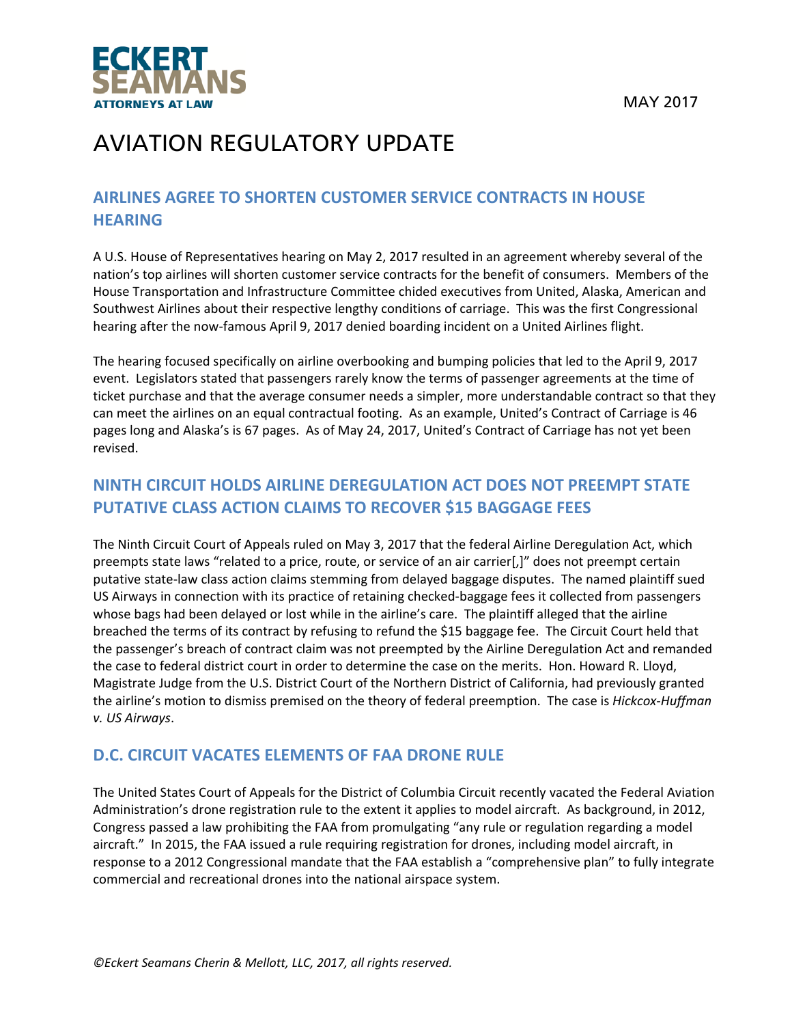



#### **AIRLINES AGREE TO SHORTEN CUSTOMER SERVICE CONTRACTS IN HOUSE HEARING**

A U.S. House of Representatives hearing on May 2, 2017 resulted in an agreement whereby several of the nation's top airlines will shorten customer service contracts for the benefit of consumers. Members of the House Transportation and Infrastructure Committee chided executives from United, Alaska, American and Southwest Airlines about their respective lengthy conditions of carriage. This was the first Congressional hearing after the now-famous April 9, 2017 denied boarding incident on a United Airlines flight.

The hearing focused specifically on airline overbooking and bumping policies that led to the April 9, 2017 event. Legislators stated that passengers rarely know the terms of passenger agreements at the time of ticket purchase and that the average consumer needs a simpler, more understandable contract so that they can meet the airlines on an equal contractual footing. As an example, United's Contract of Carriage is 46 pages long and Alaska's is 67 pages. As of May 24, 2017, United's Contract of Carriage has not yet been revised.

### **NINTH CIRCUIT HOLDS AIRLINE DEREGULATION ACT DOES NOT PREEMPT STATE PUTATIVE CLASS ACTION CLAIMS TO RECOVER \$15 BAGGAGE FEES**

The Ninth Circuit Court of Appeals ruled on May 3, 2017 that the federal Airline Deregulation Act, which preempts state laws "related to a price, route, or service of an air carrier[,]" does not preempt certain putative state‐law class action claims stemming from delayed baggage disputes. The named plaintiff sued US Airways in connection with its practice of retaining checked‐baggage fees it collected from passengers whose bags had been delayed or lost while in the airline's care. The plaintiff alleged that the airline breached the terms of its contract by refusing to refund the \$15 baggage fee. The Circuit Court held that the passenger's breach of contract claim was not preempted by the Airline Deregulation Act and remanded the case to federal district court in order to determine the case on the merits. Hon. Howard R. Lloyd, Magistrate Judge from the U.S. District Court of the Northern District of California, had previously granted the airline's motion to dismiss premised on the theory of federal preemption. The case is *Hickcox‐Huffman v. US Airways*.

### **D.C. CIRCUIT VACATES ELEMENTS OF FAA DRONE RULE**

The United States Court of Appeals for the District of Columbia Circuit recently vacated the Federal Aviation Administration's drone registration rule to the extent it applies to model aircraft. As background, in 2012, Congress passed a law prohibiting the FAA from promulgating "any rule or regulation regarding a model aircraft." In 2015, the FAA issued a rule requiring registration for drones, including model aircraft, in response to a 2012 Congressional mandate that the FAA establish a "comprehensive plan" to fully integrate commercial and recreational drones into the national airspace system.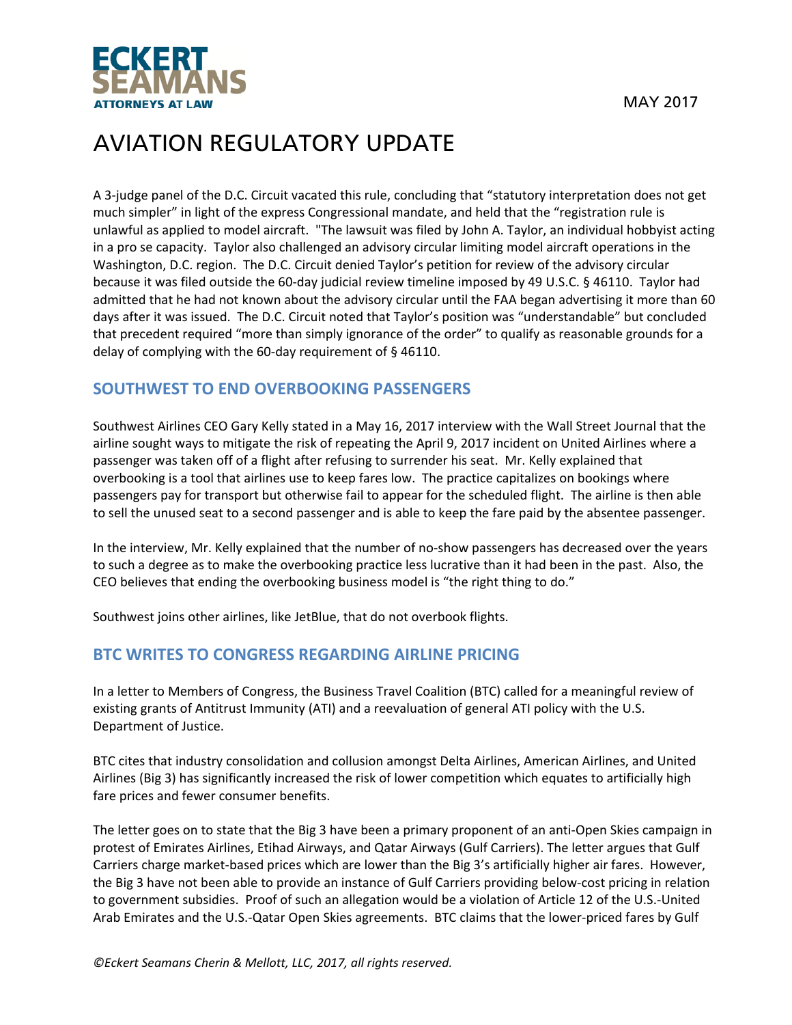

A 3‐judge panel of the D.C. Circuit vacated this rule, concluding that "statutory interpretation does not get much simpler" in light of the express Congressional mandate, and held that the "registration rule is unlawful as applied to model aircraft. "The lawsuit was filed by John A. Taylor, an individual hobbyist acting in a pro se capacity. Taylor also challenged an advisory circular limiting model aircraft operations in the Washington, D.C. region. The D.C. Circuit denied Taylor's petition for review of the advisory circular because it was filed outside the 60‐day judicial review timeline imposed by 49 U.S.C. § 46110. Taylor had admitted that he had not known about the advisory circular until the FAA began advertising it more than 60 days after it was issued. The D.C. Circuit noted that Taylor's position was "understandable" but concluded that precedent required "more than simply ignorance of the order" to qualify as reasonable grounds for a delay of complying with the 60‐day requirement of § 46110.

#### **SOUTHWEST TO END OVERBOOKING PASSENGERS**

Southwest Airlines CEO Gary Kelly stated in a May 16, 2017 interview with the Wall Street Journal that the airline sought ways to mitigate the risk of repeating the April 9, 2017 incident on United Airlines where a passenger was taken off of a flight after refusing to surrender his seat. Mr. Kelly explained that overbooking is a tool that airlines use to keep fares low. The practice capitalizes on bookings where passengers pay for transport but otherwise fail to appear for the scheduled flight. The airline is then able to sell the unused seat to a second passenger and is able to keep the fare paid by the absentee passenger.

In the interview, Mr. Kelly explained that the number of no-show passengers has decreased over the years to such a degree as to make the overbooking practice less lucrative than it had been in the past. Also, the CEO believes that ending the overbooking business model is "the right thing to do."

Southwest joins other airlines, like JetBlue, that do not overbook flights.

#### **BTC WRITES TO CONGRESS REGARDING AIRLINE PRICING**

In a letter to Members of Congress, the Business Travel Coalition (BTC) called for a meaningful review of existing grants of Antitrust Immunity (ATI) and a reevaluation of general ATI policy with the U.S. Department of Justice.

BTC cites that industry consolidation and collusion amongst Delta Airlines, American Airlines, and United Airlines (Big 3) has significantly increased the risk of lower competition which equates to artificially high fare prices and fewer consumer benefits.

The letter goes on to state that the Big 3 have been a primary proponent of an anti‐Open Skies campaign in protest of Emirates Airlines, Etihad Airways, and Qatar Airways (Gulf Carriers). The letter argues that Gulf Carriers charge market-based prices which are lower than the Big 3's artificially higher air fares. However, the Big 3 have not been able to provide an instance of Gulf Carriers providing below‐cost pricing in relation to government subsidies. Proof of such an allegation would be a violation of Article 12 of the U.S.‐United Arab Emirates and the U.S.‐Qatar Open Skies agreements. BTC claims that the lower‐priced fares by Gulf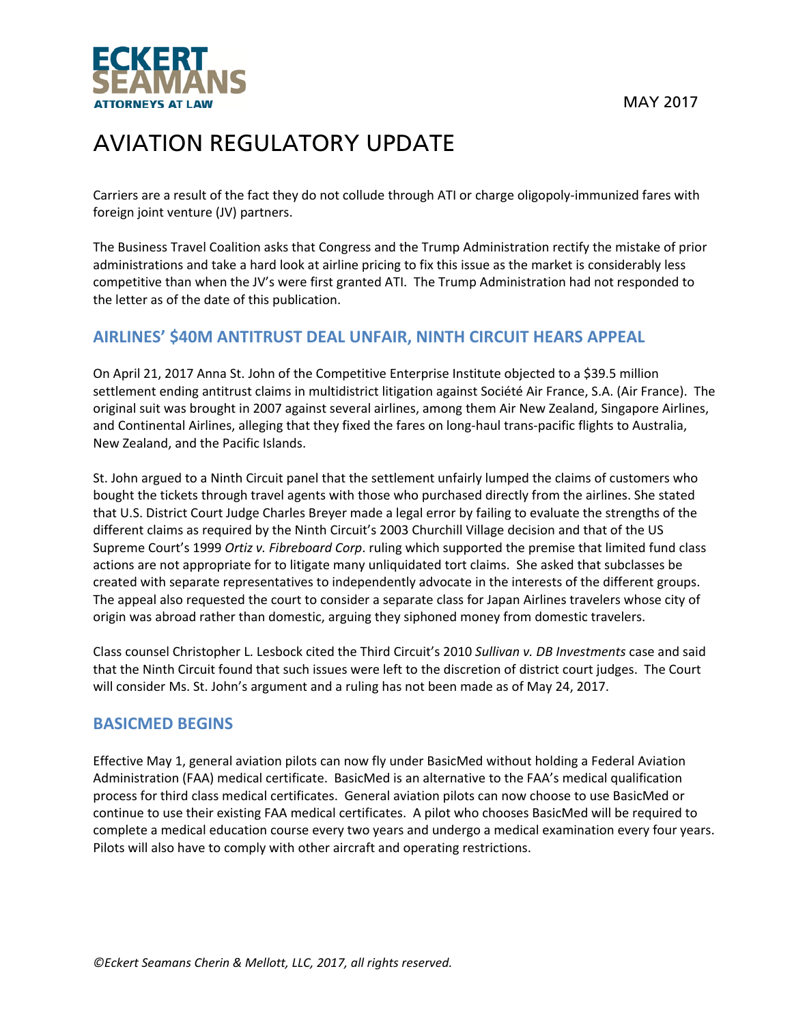



Carriers are a result of the fact they do not collude through ATI or charge oligopoly‐immunized fares with foreign joint venture (JV) partners.

The Business Travel Coalition asks that Congress and the Trump Administration rectify the mistake of prior administrations and take a hard look at airline pricing to fix this issue as the market is considerably less competitive than when the JV's were first granted ATI. The Trump Administration had not responded to the letter as of the date of this publication.

#### **AIRLINES' \$40M ANTITRUST DEAL UNFAIR, NINTH CIRCUIT HEARS APPEAL**

On April 21, 2017 Anna St. John of the Competitive Enterprise Institute objected to a \$39.5 million settlement ending antitrust claims in multidistrict litigation against Société Air France, S.A. (Air France). The original suit was brought in 2007 against several airlines, among them Air New Zealand, Singapore Airlines, and Continental Airlines, alleging that they fixed the fares on long-haul trans-pacific flights to Australia, New Zealand, and the Pacific Islands.

St. John argued to a Ninth Circuit panel that the settlement unfairly lumped the claims of customers who bought the tickets through travel agents with those who purchased directly from the airlines. She stated that U.S. District Court Judge Charles Breyer made a legal error by failing to evaluate the strengths of the different claims as required by the Ninth Circuit's 2003 Churchill Village decision and that of the US Supreme Court's 1999 *Ortiz v. Fibreboard Corp*. ruling which supported the premise that limited fund class actions are not appropriate for to litigate many unliquidated tort claims. She asked that subclasses be created with separate representatives to independently advocate in the interests of the different groups. The appeal also requested the court to consider a separate class for Japan Airlines travelers whose city of origin was abroad rather than domestic, arguing they siphoned money from domestic travelers.

Class counsel Christopher L. Lesbock cited the Third Circuit's 2010 *Sullivan v. DB Investments* case and said that the Ninth Circuit found that such issues were left to the discretion of district court judges. The Court will consider Ms. St. John's argument and a ruling has not been made as of May 24, 2017.

#### **BASICMED BEGINS**

Effective May 1, general aviation pilots can now fly under BasicMed without holding a Federal Aviation Administration (FAA) medical certificate. BasicMed is an alternative to the FAA's medical qualification process for third class medical certificates. General aviation pilots can now choose to use BasicMed or continue to use their existing FAA medical certificates. A pilot who chooses BasicMed will be required to complete a medical education course every two years and undergo a medical examination every four years. Pilots will also have to comply with other aircraft and operating restrictions.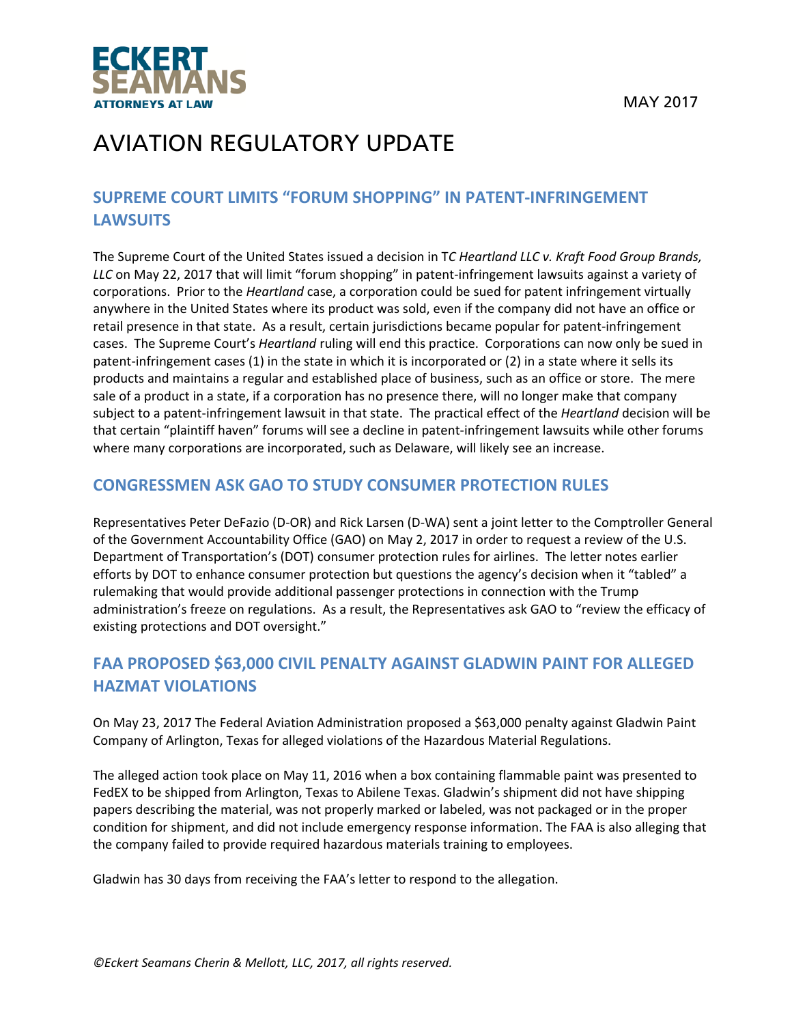

### **SUPREME COURT LIMITS "FORUM SHOPPING" IN PATENT‐INFRINGEMENT LAWSUITS**

The Supreme Court of the United States issued a decision in T*C Heartland LLC v. Kraft Food Group Brands, LLC* on May 22, 2017 that will limit "forum shopping" in patent‐infringement lawsuits against a variety of corporations. Prior to the *Heartland* case, a corporation could be sued for patent infringement virtually anywhere in the United States where its product was sold, even if the company did not have an office or retail presence in that state. As a result, certain jurisdictions became popular for patent-infringement cases. The Supreme Court's *Heartland* ruling will end this practice. Corporations can now only be sued in patent-infringement cases (1) in the state in which it is incorporated or (2) in a state where it sells its products and maintains a regular and established place of business, such as an office or store. The mere sale of a product in a state, if a corporation has no presence there, will no longer make that company subject to a patent‐infringement lawsuit in that state. The practical effect of the *Heartland* decision will be that certain "plaintiff haven" forums will see a decline in patent‐infringement lawsuits while other forums where many corporations are incorporated, such as Delaware, will likely see an increase.

#### **CONGRESSMEN ASK GAO TO STUDY CONSUMER PROTECTION RULES**

Representatives Peter DeFazio (D‐OR) and Rick Larsen (D‐WA) sent a joint letter to the Comptroller General of the Government Accountability Office (GAO) on May 2, 2017 in order to request a review of the U.S. Department of Transportation's (DOT) consumer protection rules for airlines. The letter notes earlier efforts by DOT to enhance consumer protection but questions the agency's decision when it "tabled" a rulemaking that would provide additional passenger protections in connection with the Trump administration's freeze on regulations. As a result, the Representatives ask GAO to "review the efficacy of existing protections and DOT oversight."

### **FAA PROPOSED \$63,000 CIVIL PENALTY AGAINST GLADWIN PAINT FOR ALLEGED HAZMAT VIOLATIONS**

On May 23, 2017 The Federal Aviation Administration proposed a \$63,000 penalty against Gladwin Paint Company of Arlington, Texas for alleged violations of the Hazardous Material Regulations.

The alleged action took place on May 11, 2016 when a box containing flammable paint was presented to FedEX to be shipped from Arlington, Texas to Abilene Texas. Gladwin's shipment did not have shipping papers describing the material, was not properly marked or labeled, was not packaged or in the proper condition for shipment, and did not include emergency response information. The FAA is also alleging that the company failed to provide required hazardous materials training to employees.

Gladwin has 30 days from receiving the FAA's letter to respond to the allegation.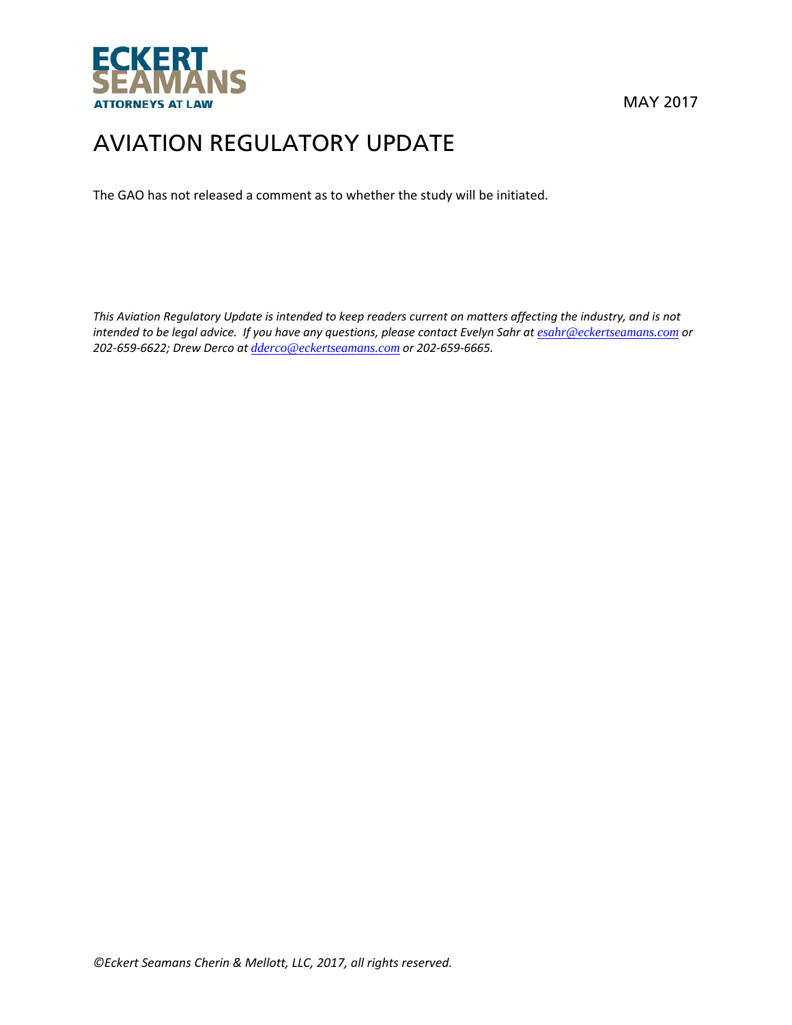

The GAO has not released a comment as to whether the study will be initiated.

This Aviation Regulatory Update is intended to keep readers current on matters affecting the industry, and is not intended to be legal advice. If you have any questions, please contact Evelyn Sahr at esahr@eckertseamans.com or *202‐659‐6622; Drew Derco at dderco@eckertseamans.com or 202‐659‐6665.*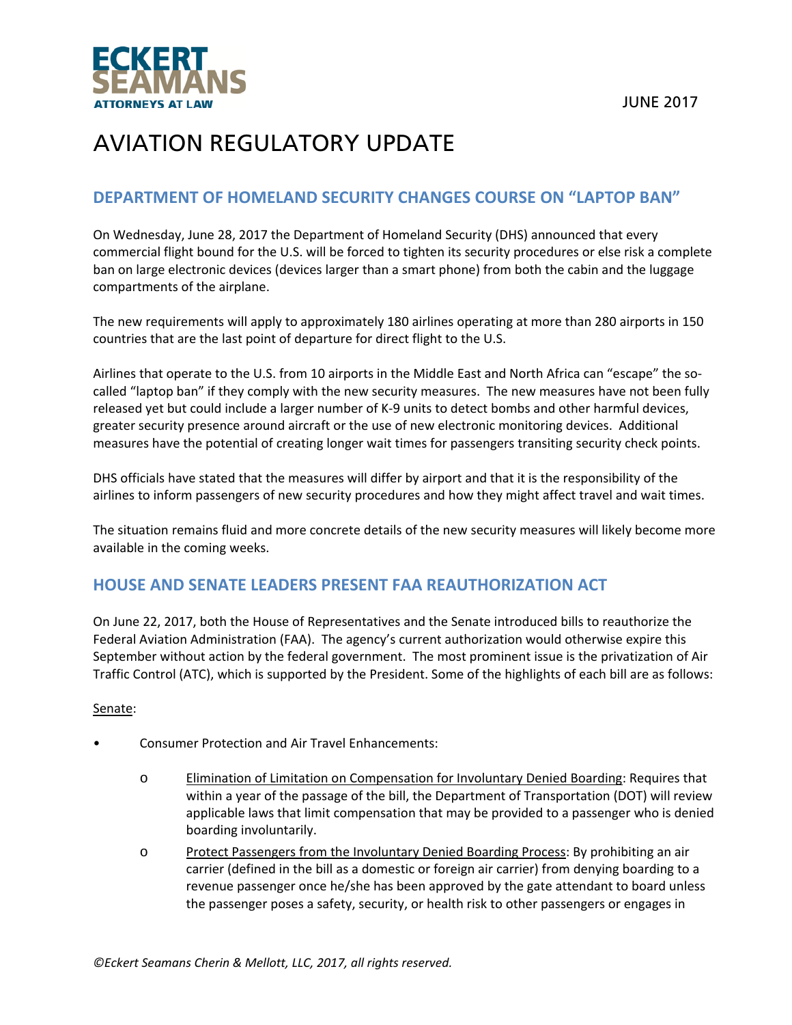

#### **DEPARTMENT OF HOMELAND SECURITY CHANGES COURSE ON "LAPTOP BAN"**

On Wednesday, June 28, 2017 the Department of Homeland Security (DHS) announced that every commercial flight bound for the U.S. will be forced to tighten its security procedures or else risk a complete ban on large electronic devices (devices larger than a smart phone) from both the cabin and the luggage compartments of the airplane.

The new requirements will apply to approximately 180 airlines operating at more than 280 airports in 150 countries that are the last point of departure for direct flight to the U.S.

Airlines that operate to the U.S. from 10 airports in the Middle East and North Africa can "escape" the so‐ called "laptop ban" if they comply with the new security measures. The new measures have not been fully released yet but could include a larger number of K‐9 units to detect bombs and other harmful devices, greater security presence around aircraft or the use of new electronic monitoring devices. Additional measures have the potential of creating longer wait times for passengers transiting security check points.

DHS officials have stated that the measures will differ by airport and that it is the responsibility of the airlines to inform passengers of new security procedures and how they might affect travel and wait times.

The situation remains fluid and more concrete details of the new security measures will likely become more available in the coming weeks.

#### **HOUSE AND SENATE LEADERS PRESENT FAA REAUTHORIZATION ACT**

On June 22, 2017, both the House of Representatives and the Senate introduced bills to reauthorize the Federal Aviation Administration (FAA). The agency's current authorization would otherwise expire this September without action by the federal government. The most prominent issue is the privatization of Air Traffic Control (ATC), which is supported by the President. Some of the highlights of each bill are as follows:

#### Senate:

- Consumer Protection and Air Travel Enhancements:
	- o Elimination of Limitation on Compensation for Involuntary Denied Boarding: Requires that within a year of the passage of the bill, the Department of Transportation (DOT) will review applicable laws that limit compensation that may be provided to a passenger who is denied boarding involuntarily.
	- o Protect Passengers from the Involuntary Denied Boarding Process: By prohibiting an air carrier (defined in the bill as a domestic or foreign air carrier) from denying boarding to a revenue passenger once he/she has been approved by the gate attendant to board unless the passenger poses a safety, security, or health risk to other passengers or engages in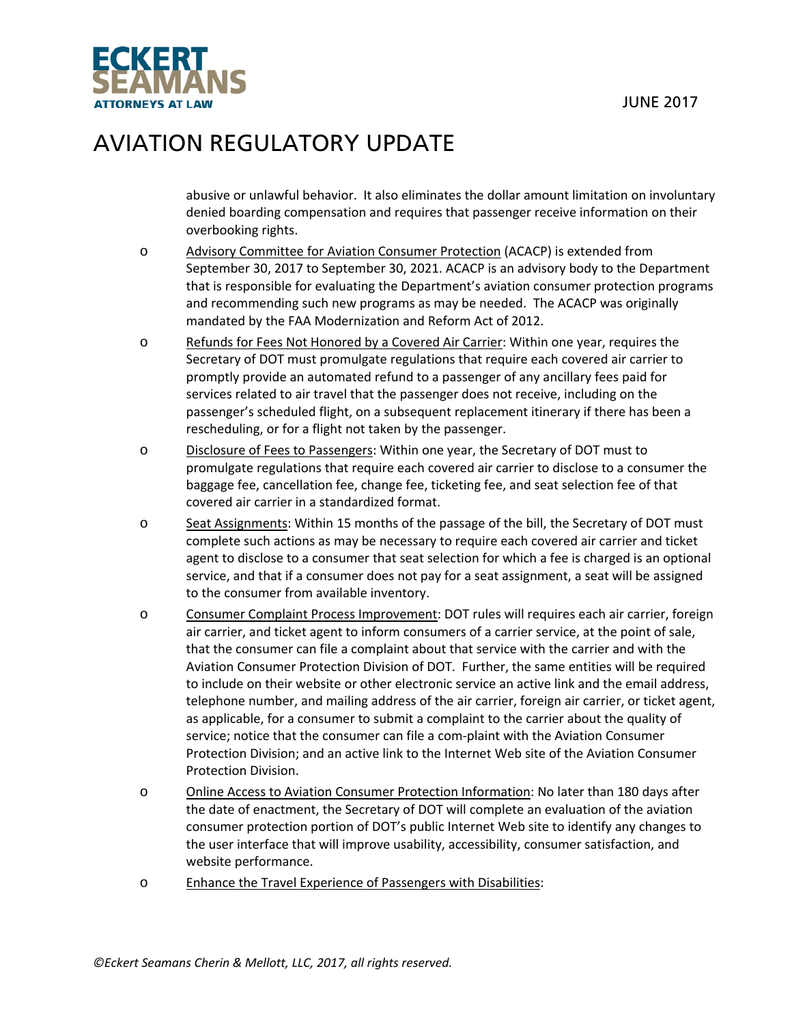

abusive or unlawful behavior. It also eliminates the dollar amount limitation on involuntary denied boarding compensation and requires that passenger receive information on their overbooking rights.

- o Advisory Committee for Aviation Consumer Protection (ACACP) is extended from September 30, 2017 to September 30, 2021. ACACP is an advisory body to the Department that is responsible for evaluating the Department's aviation consumer protection programs and recommending such new programs as may be needed. The ACACP was originally mandated by the FAA Modernization and Reform Act of 2012.
- o Refunds for Fees Not Honored by a Covered Air Carrier: Within one year, requires the Secretary of DOT must promulgate regulations that require each covered air carrier to promptly provide an automated refund to a passenger of any ancillary fees paid for services related to air travel that the passenger does not receive, including on the passenger's scheduled flight, on a subsequent replacement itinerary if there has been a rescheduling, or for a flight not taken by the passenger.
- o Disclosure of Fees to Passengers: Within one year, the Secretary of DOT must to promulgate regulations that require each covered air carrier to disclose to a consumer the baggage fee, cancellation fee, change fee, ticketing fee, and seat selection fee of that covered air carrier in a standardized format.
- o Seat Assignments: Within 15 months of the passage of the bill, the Secretary of DOT must complete such actions as may be necessary to require each covered air carrier and ticket agent to disclose to a consumer that seat selection for which a fee is charged is an optional service, and that if a consumer does not pay for a seat assignment, a seat will be assigned to the consumer from available inventory.
- o Consumer Complaint Process Improvement: DOT rules will requires each air carrier, foreign air carrier, and ticket agent to inform consumers of a carrier service, at the point of sale, that the consumer can file a complaint about that service with the carrier and with the Aviation Consumer Protection Division of DOT. Further, the same entities will be required to include on their website or other electronic service an active link and the email address, telephone number, and mailing address of the air carrier, foreign air carrier, or ticket agent, as applicable, for a consumer to submit a complaint to the carrier about the quality of service; notice that the consumer can file a com-plaint with the Aviation Consumer Protection Division; and an active link to the Internet Web site of the Aviation Consumer Protection Division.
- o Online Access to Aviation Consumer Protection Information: No later than 180 days after the date of enactment, the Secretary of DOT will complete an evaluation of the aviation consumer protection portion of DOT's public Internet Web site to identify any changes to the user interface that will improve usability, accessibility, consumer satisfaction, and website performance.
- o Enhance the Travel Experience of Passengers with Disabilities: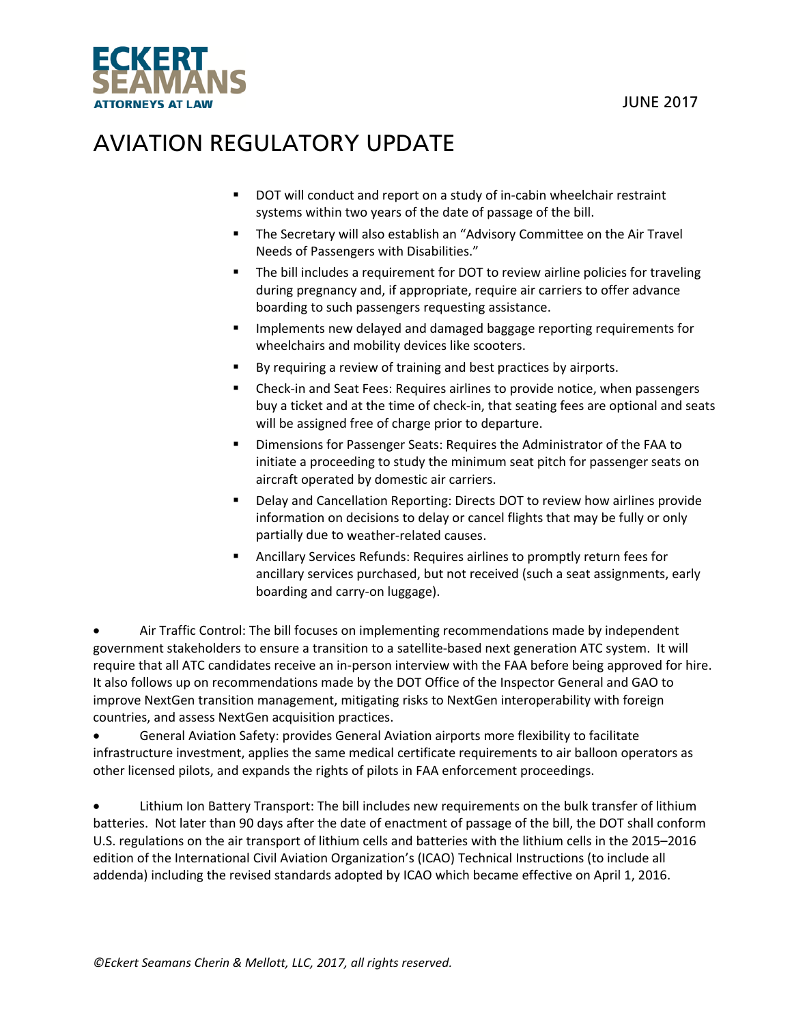

- DOT will conduct and report on a study of in-cabin wheelchair restraint systems within two years of the date of passage of the bill.
- **The Secretary will also establish an "Advisory Committee on the Air Travel** Needs of Passengers with Disabilities."
- The bill includes a requirement for DOT to review airline policies for traveling during pregnancy and, if appropriate, require air carriers to offer advance boarding to such passengers requesting assistance.
- Implements new delayed and damaged baggage reporting requirements for wheelchairs and mobility devices like scooters.
- By requiring a review of training and best practices by airports.
- Check-in and Seat Fees: Requires airlines to provide notice, when passengers buy a ticket and at the time of check‐in, that seating fees are optional and seats will be assigned free of charge prior to departure.
- Dimensions for Passenger Seats: Requires the Administrator of the FAA to initiate a proceeding to study the minimum seat pitch for passenger seats on aircraft operated by domestic air carriers.
- Delay and Cancellation Reporting: Directs DOT to review how airlines provide information on decisions to delay or cancel flights that may be fully or only partially due to weather‐related causes.
- Ancillary Services Refunds: Requires airlines to promptly return fees for ancillary services purchased, but not received (such a seat assignments, early boarding and carry‐on luggage).

 Air Traffic Control: The bill focuses on implementing recommendations made by independent government stakeholders to ensure a transition to a satellite‐based next generation ATC system. It will require that all ATC candidates receive an in‐person interview with the FAA before being approved for hire. It also follows up on recommendations made by the DOT Office of the Inspector General and GAO to improve NextGen transition management, mitigating risks to NextGen interoperability with foreign countries, and assess NextGen acquisition practices.

 General Aviation Safety: provides General Aviation airports more flexibility to facilitate infrastructure investment, applies the same medical certificate requirements to air balloon operators as other licensed pilots, and expands the rights of pilots in FAA enforcement proceedings.

 Lithium Ion Battery Transport: The bill includes new requirements on the bulk transfer of lithium batteries. Not later than 90 days after the date of enactment of passage of the bill, the DOT shall conform U.S. regulations on the air transport of lithium cells and batteries with the lithium cells in the 2015–2016 edition of the International Civil Aviation Organization's (ICAO) Technical Instructions (to include all addenda) including the revised standards adopted by ICAO which became effective on April 1, 2016.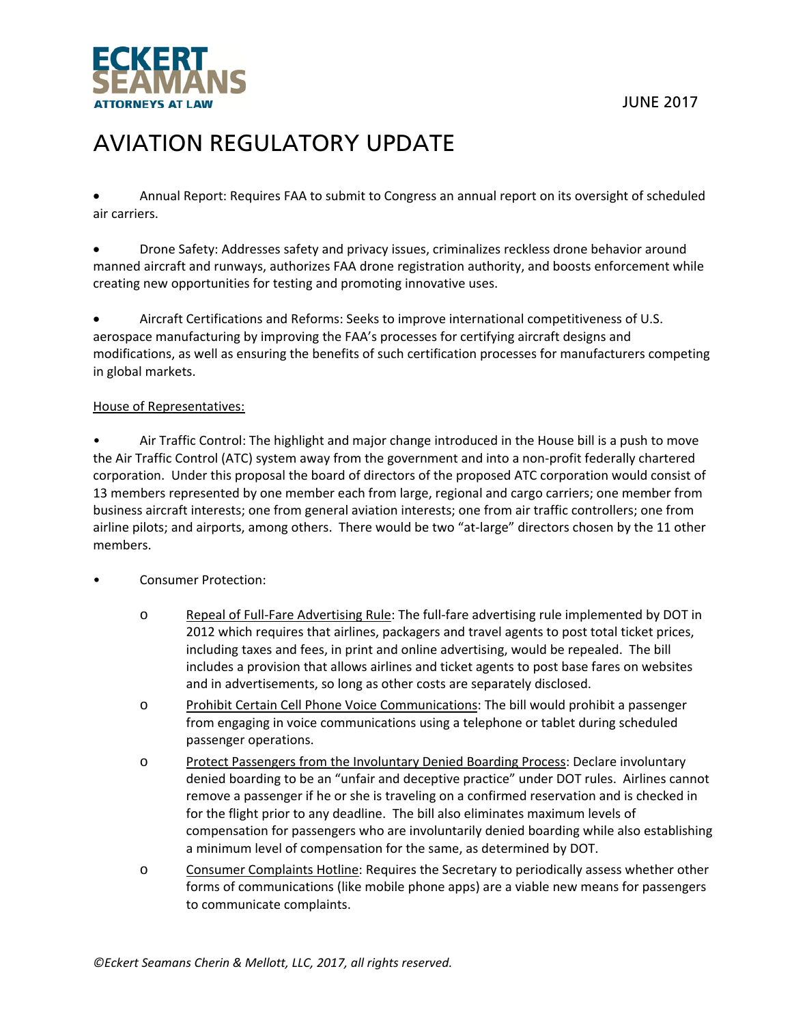



 Annual Report: Requires FAA to submit to Congress an annual report on its oversight of scheduled air carriers.

 Drone Safety: Addresses safety and privacy issues, criminalizes reckless drone behavior around manned aircraft and runways, authorizes FAA drone registration authority, and boosts enforcement while creating new opportunities for testing and promoting innovative uses.

 Aircraft Certifications and Reforms: Seeks to improve international competitiveness of U.S. aerospace manufacturing by improving the FAA's processes for certifying aircraft designs and modifications, as well as ensuring the benefits of such certification processes for manufacturers competing in global markets.

#### House of Representatives:

• Air Traffic Control: The highlight and major change introduced in the House bill is a push to move the Air Traffic Control (ATC) system away from the government and into a non‐profit federally chartered corporation. Under this proposal the board of directors of the proposed ATC corporation would consist of 13 members represented by one member each from large, regional and cargo carriers; one member from business aircraft interests; one from general aviation interests; one from air traffic controllers; one from airline pilots; and airports, among others. There would be two "at-large" directors chosen by the 11 other members.

#### • Consumer Protection:

- o Repeal of Full‐Fare Advertising Rule: The full‐fare advertising rule implemented by DOT in 2012 which requires that airlines, packagers and travel agents to post total ticket prices, including taxes and fees, in print and online advertising, would be repealed. The bill includes a provision that allows airlines and ticket agents to post base fares on websites and in advertisements, so long as other costs are separately disclosed.
- o Prohibit Certain Cell Phone Voice Communications: The bill would prohibit a passenger from engaging in voice communications using a telephone or tablet during scheduled passenger operations.
- o Protect Passengers from the Involuntary Denied Boarding Process: Declare involuntary denied boarding to be an "unfair and deceptive practice" under DOT rules. Airlines cannot remove a passenger if he or she is traveling on a confirmed reservation and is checked in for the flight prior to any deadline. The bill also eliminates maximum levels of compensation for passengers who are involuntarily denied boarding while also establishing a minimum level of compensation for the same, as determined by DOT.
- o Consumer Complaints Hotline: Requires the Secretary to periodically assess whether other forms of communications (like mobile phone apps) are a viable new means for passengers to communicate complaints.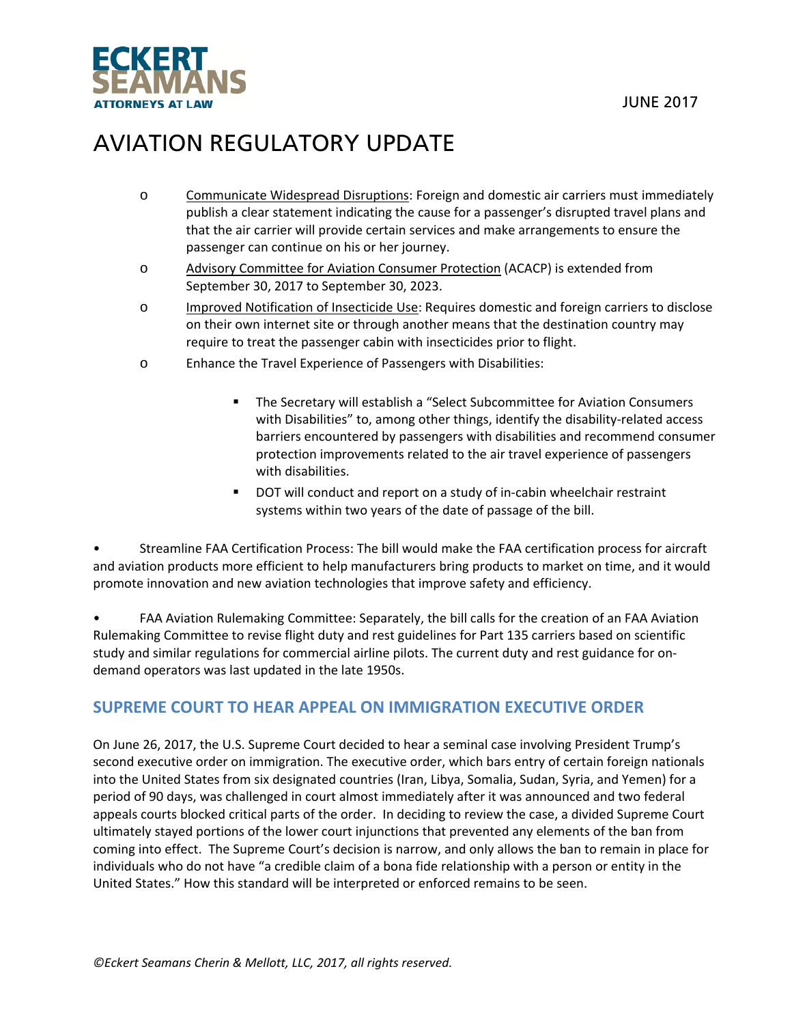

- o Communicate Widespread Disruptions: Foreign and domestic air carriers must immediately publish a clear statement indicating the cause for a passenger's disrupted travel plans and that the air carrier will provide certain services and make arrangements to ensure the passenger can continue on his or her journey.
- o Advisory Committee for Aviation Consumer Protection (ACACP) is extended from September 30, 2017 to September 30, 2023.
- o Improved Notification of Insecticide Use: Requires domestic and foreign carriers to disclose on their own internet site or through another means that the destination country may require to treat the passenger cabin with insecticides prior to flight.
- o Enhance the Travel Experience of Passengers with Disabilities:
	- The Secretary will establish a "Select Subcommittee for Aviation Consumers with Disabilities" to, among other things, identify the disability-related access barriers encountered by passengers with disabilities and recommend consumer protection improvements related to the air travel experience of passengers with disabilities.
	- DOT will conduct and report on a study of in-cabin wheelchair restraint systems within two years of the date of passage of the bill.

• Streamline FAA Certification Process: The bill would make the FAA certification process for aircraft and aviation products more efficient to help manufacturers bring products to market on time, and it would promote innovation and new aviation technologies that improve safety and efficiency.

• FAA Aviation Rulemaking Committee: Separately, the bill calls for the creation of an FAA Aviation Rulemaking Committee to revise flight duty and rest guidelines for Part 135 carriers based on scientific study and similar regulations for commercial airline pilots. The current duty and rest guidance for on‐ demand operators was last updated in the late 1950s.

### **SUPREME COURT TO HEAR APPEAL ON IMMIGRATION EXECUTIVE ORDER**

On June 26, 2017, the U.S. Supreme Court decided to hear a seminal case involving President Trump's second executive order on immigration. The executive order, which bars entry of certain foreign nationals into the United States from six designated countries (Iran, Libya, Somalia, Sudan, Syria, and Yemen) for a period of 90 days, was challenged in court almost immediately after it was announced and two federal appeals courts blocked critical parts of the order. In deciding to review the case, a divided Supreme Court ultimately stayed portions of the lower court injunctions that prevented any elements of the ban from coming into effect. The Supreme Court's decision is narrow, and only allows the ban to remain in place for individuals who do not have "a credible claim of a bona fide relationship with a person or entity in the United States." How this standard will be interpreted or enforced remains to be seen.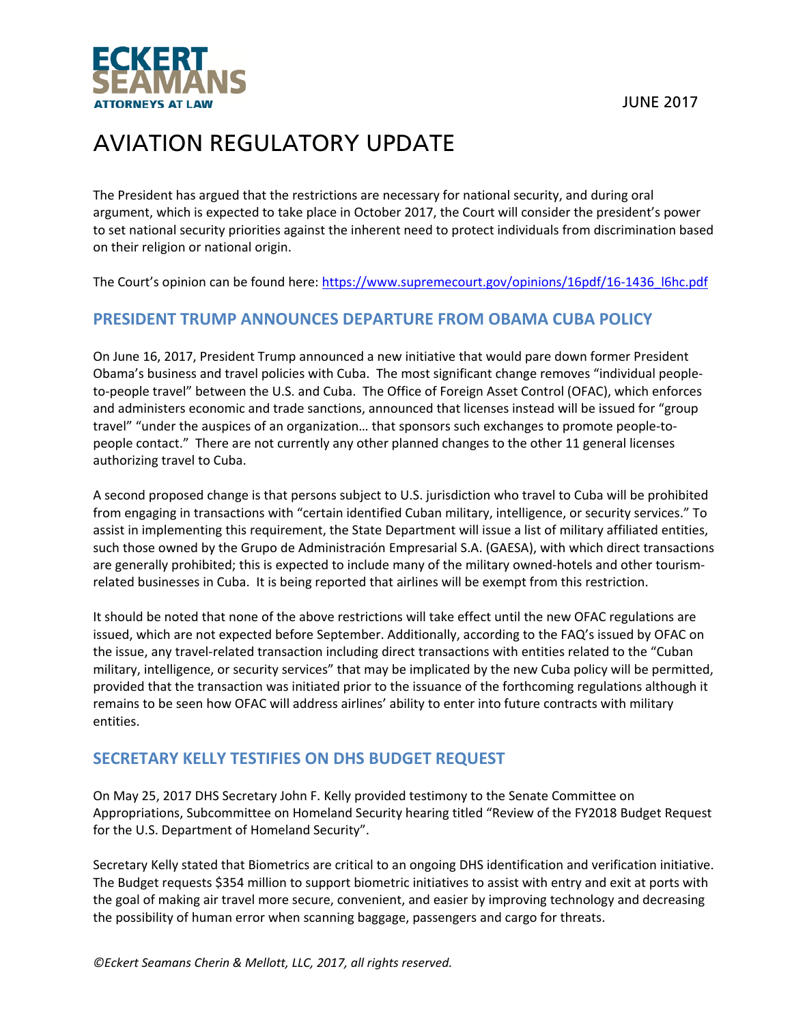

The President has argued that the restrictions are necessary for national security, and during oral argument, which is expected to take place in October 2017, the Court will consider the president's power to set national security priorities against the inherent need to protect individuals from discrimination based on their religion or national origin.

The Court's opinion can be found here: https://www.supremecourt.gov/opinions/16pdf/16-1436\_l6hc.pdf

### **PRESIDENT TRUMP ANNOUNCES DEPARTURE FROM OBAMA CUBA POLICY**

On June 16, 2017, President Trump announced a new initiative that would pare down former President Obama's business and travel policies with Cuba. The most significant change removes "individual people‐ to-people travel" between the U.S. and Cuba. The Office of Foreign Asset Control (OFAC), which enforces and administers economic and trade sanctions, announced that licenses instead will be issued for "group travel" "under the auspices of an organization… that sponsors such exchanges to promote people‐to‐ people contact." There are not currently any other planned changes to the other 11 general licenses authorizing travel to Cuba.

A second proposed change is that persons subject to U.S. jurisdiction who travel to Cuba will be prohibited from engaging in transactions with "certain identified Cuban military, intelligence, or security services." To assist in implementing this requirement, the State Department will issue a list of military affiliated entities, such those owned by the Grupo de Administración Empresarial S.A. (GAESA), with which direct transactions are generally prohibited; this is expected to include many of the military owned-hotels and other tourismrelated businesses in Cuba. It is being reported that airlines will be exempt from this restriction.

It should be noted that none of the above restrictions will take effect until the new OFAC regulations are issued, which are not expected before September. Additionally, according to the FAQ's issued by OFAC on the issue, any travel‐related transaction including direct transactions with entities related to the "Cuban military, intelligence, or security services" that may be implicated by the new Cuba policy will be permitted, provided that the transaction was initiated prior to the issuance of the forthcoming regulations although it remains to be seen how OFAC will address airlines' ability to enter into future contracts with military entities.

### **SECRETARY KELLY TESTIFIES ON DHS BUDGET REQUEST**

On May 25, 2017 DHS Secretary John F. Kelly provided testimony to the Senate Committee on Appropriations, Subcommittee on Homeland Security hearing titled "Review of the FY2018 Budget Request for the U.S. Department of Homeland Security".

Secretary Kelly stated that Biometrics are critical to an ongoing DHS identification and verification initiative. The Budget requests \$354 million to support biometric initiatives to assist with entry and exit at ports with the goal of making air travel more secure, convenient, and easier by improving technology and decreasing the possibility of human error when scanning baggage, passengers and cargo for threats.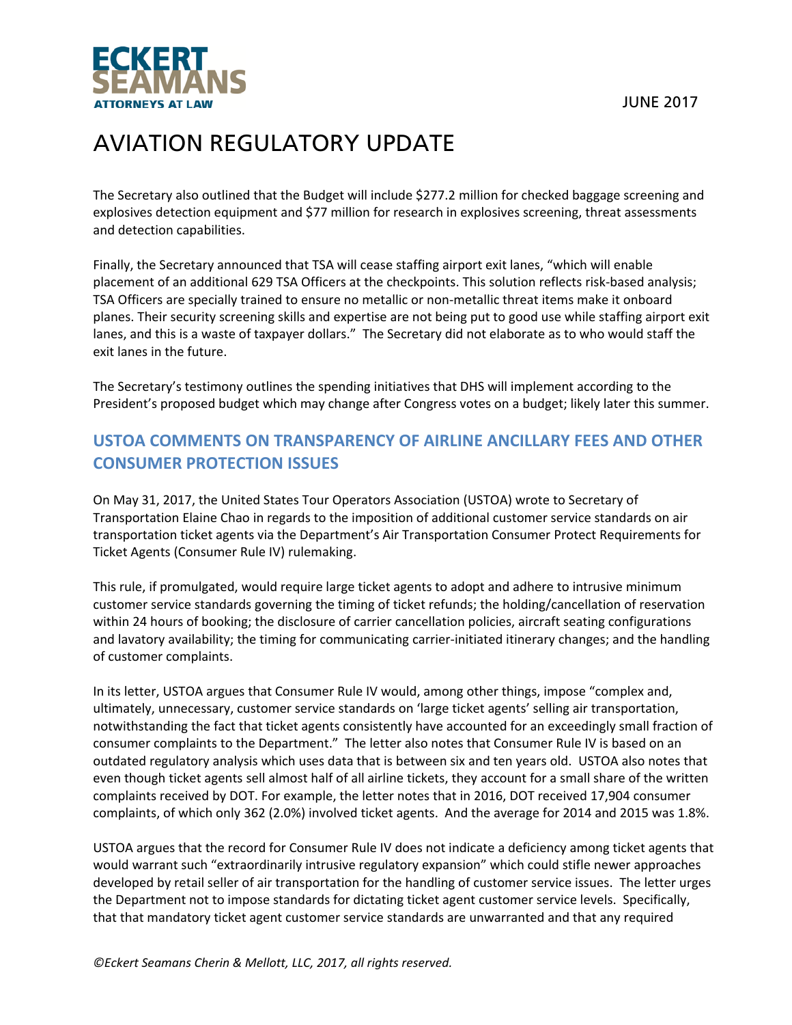



The Secretary also outlined that the Budget will include \$277.2 million for checked baggage screening and explosives detection equipment and \$77 million for research in explosives screening, threat assessments and detection capabilities.

Finally, the Secretary announced that TSA will cease staffing airport exit lanes, "which will enable placement of an additional 629 TSA Officers at the checkpoints. This solution reflects risk-based analysis; TSA Officers are specially trained to ensure no metallic or non‐metallic threat items make it onboard planes. Their security screening skills and expertise are not being put to good use while staffing airport exit lanes, and this is a waste of taxpayer dollars." The Secretary did not elaborate as to who would staff the exit lanes in the future.

The Secretary's testimony outlines the spending initiatives that DHS will implement according to the President's proposed budget which may change after Congress votes on a budget; likely later this summer.

## **USTOA COMMENTS ON TRANSPARENCY OF AIRLINE ANCILLARY FEES AND OTHER CONSUMER PROTECTION ISSUES**

On May 31, 2017, the United States Tour Operators Association (USTOA) wrote to Secretary of Transportation Elaine Chao in regards to the imposition of additional customer service standards on air transportation ticket agents via the Department's Air Transportation Consumer Protect Requirements for Ticket Agents (Consumer Rule IV) rulemaking.

This rule, if promulgated, would require large ticket agents to adopt and adhere to intrusive minimum customer service standards governing the timing of ticket refunds; the holding/cancellation of reservation within 24 hours of booking; the disclosure of carrier cancellation policies, aircraft seating configurations and lavatory availability; the timing for communicating carrier‐initiated itinerary changes; and the handling of customer complaints.

In its letter, USTOA argues that Consumer Rule IV would, among other things, impose "complex and, ultimately, unnecessary, customer service standards on 'large ticket agents' selling air transportation, notwithstanding the fact that ticket agents consistently have accounted for an exceedingly small fraction of consumer complaints to the Department." The letter also notes that Consumer Rule IV is based on an outdated regulatory analysis which uses data that is between six and ten years old. USTOA also notes that even though ticket agents sell almost half of all airline tickets, they account for a small share of the written complaints received by DOT. For example, the letter notes that in 2016, DOT received 17,904 consumer complaints, of which only 362 (2.0%) involved ticket agents. And the average for 2014 and 2015 was 1.8%.

USTOA argues that the record for Consumer Rule IV does not indicate a deficiency among ticket agents that would warrant such "extraordinarily intrusive regulatory expansion" which could stifle newer approaches developed by retail seller of air transportation for the handling of customer service issues. The letter urges the Department not to impose standards for dictating ticket agent customer service levels. Specifically, that that mandatory ticket agent customer service standards are unwarranted and that any required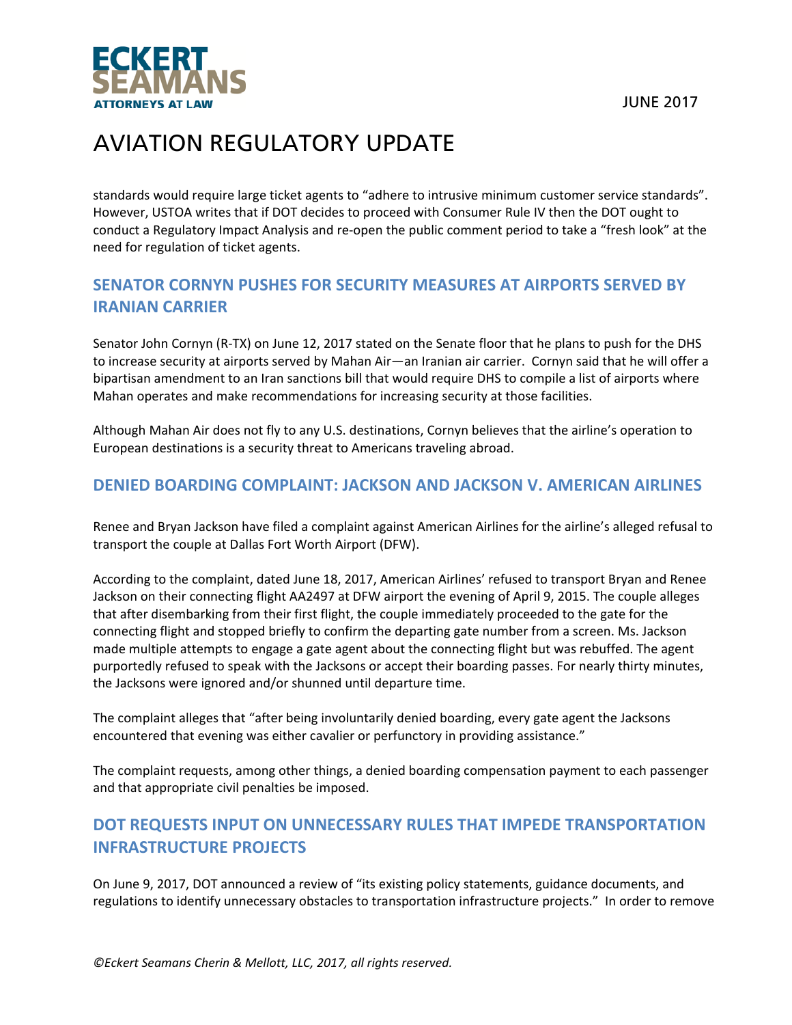

standards would require large ticket agents to "adhere to intrusive minimum customer service standards". However, USTOA writes that if DOT decides to proceed with Consumer Rule IV then the DOT ought to conduct a Regulatory Impact Analysis and re‐open the public comment period to take a "fresh look" at the need for regulation of ticket agents.

## **SENATOR CORNYN PUSHES FOR SECURITY MEASURES AT AIRPORTS SERVED BY IRANIAN CARRIER**

Senator John Cornyn (R‐TX) on June 12, 2017 stated on the Senate floor that he plans to push for the DHS to increase security at airports served by Mahan Air—an Iranian air carrier. Cornyn said that he will offer a bipartisan amendment to an Iran sanctions bill that would require DHS to compile a list of airports where Mahan operates and make recommendations for increasing security at those facilities.

Although Mahan Air does not fly to any U.S. destinations, Cornyn believes that the airline's operation to European destinations is a security threat to Americans traveling abroad.

## **DENIED BOARDING COMPLAINT: JACKSON AND JACKSON V. AMERICAN AIRLINES**

Renee and Bryan Jackson have filed a complaint against American Airlines for the airline's alleged refusal to transport the couple at Dallas Fort Worth Airport (DFW).

According to the complaint, dated June 18, 2017, American Airlines' refused to transport Bryan and Renee Jackson on their connecting flight AA2497 at DFW airport the evening of April 9, 2015. The couple alleges that after disembarking from their first flight, the couple immediately proceeded to the gate for the connecting flight and stopped briefly to confirm the departing gate number from a screen. Ms. Jackson made multiple attempts to engage a gate agent about the connecting flight but was rebuffed. The agent purportedly refused to speak with the Jacksons or accept their boarding passes. For nearly thirty minutes, the Jacksons were ignored and/or shunned until departure time.

The complaint alleges that "after being involuntarily denied boarding, every gate agent the Jacksons encountered that evening was either cavalier or perfunctory in providing assistance."

The complaint requests, among other things, a denied boarding compensation payment to each passenger and that appropriate civil penalties be imposed.

## **DOT REQUESTS INPUT ON UNNECESSARY RULES THAT IMPEDE TRANSPORTATION INFRASTRUCTURE PROJECTS**

On June 9, 2017, DOT announced a review of "its existing policy statements, guidance documents, and regulations to identify unnecessary obstacles to transportation infrastructure projects." In order to remove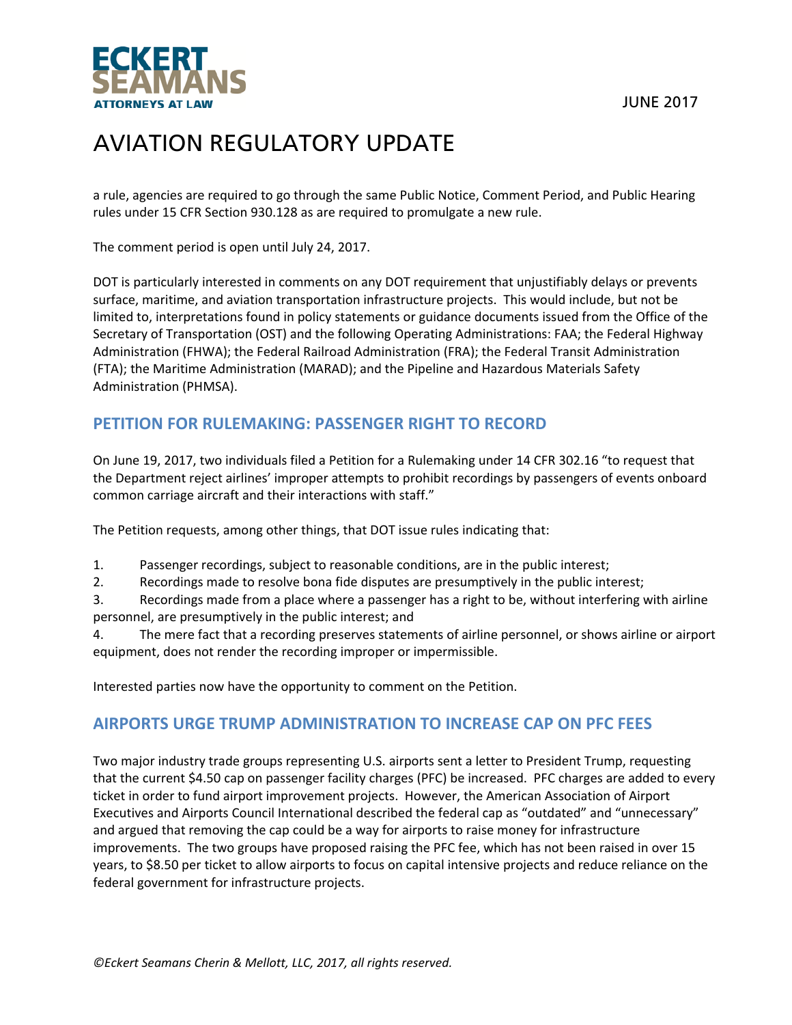



a rule, agencies are required to go through the same Public Notice, Comment Period, and Public Hearing rules under 15 CFR Section 930.128 as are required to promulgate a new rule.

The comment period is open until July 24, 2017.

DOT is particularly interested in comments on any DOT requirement that unjustifiably delays or prevents surface, maritime, and aviation transportation infrastructure projects. This would include, but not be limited to, interpretations found in policy statements or guidance documents issued from the Office of the Secretary of Transportation (OST) and the following Operating Administrations: FAA; the Federal Highway Administration (FHWA); the Federal Railroad Administration (FRA); the Federal Transit Administration (FTA); the Maritime Administration (MARAD); and the Pipeline and Hazardous Materials Safety Administration (PHMSA).

### **PETITION FOR RULEMAKING: PASSENGER RIGHT TO RECORD**

On June 19, 2017, two individuals filed a Petition for a Rulemaking under 14 CFR 302.16 "to request that the Department reject airlines' improper attempts to prohibit recordings by passengers of events onboard common carriage aircraft and their interactions with staff."

The Petition requests, among other things, that DOT issue rules indicating that:

1. Passenger recordings, subject to reasonable conditions, are in the public interest;

2. Recordings made to resolve bona fide disputes are presumptively in the public interest;

3. Recordings made from a place where a passenger has a right to be, without interfering with airline personnel, are presumptively in the public interest; and

4. The mere fact that a recording preserves statements of airline personnel, or shows airline or airport equipment, does not render the recording improper or impermissible.

Interested parties now have the opportunity to comment on the Petition.

### **AIRPORTS URGE TRUMP ADMINISTRATION TO INCREASE CAP ON PFC FEES**

Two major industry trade groups representing U.S. airports sent a letter to President Trump, requesting that the current \$4.50 cap on passenger facility charges (PFC) be increased. PFC charges are added to every ticket in order to fund airport improvement projects. However, the American Association of Airport Executives and Airports Council International described the federal cap as "outdated" and "unnecessary" and argued that removing the cap could be a way for airports to raise money for infrastructure improvements. The two groups have proposed raising the PFC fee, which has not been raised in over 15 years, to \$8.50 per ticket to allow airports to focus on capital intensive projects and reduce reliance on the federal government for infrastructure projects.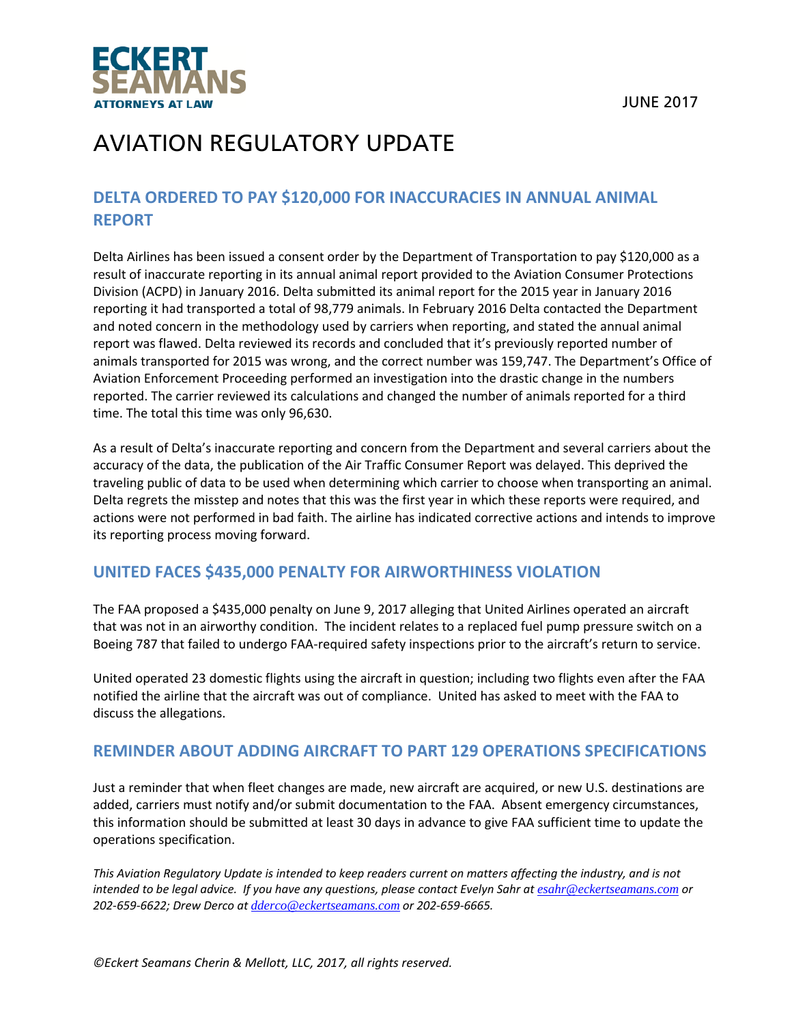

## **DELTA ORDERED TO PAY \$120,000 FOR INACCURACIES IN ANNUAL ANIMAL REPORT**

Delta Airlines has been issued a consent order by the Department of Transportation to pay \$120,000 as a result of inaccurate reporting in its annual animal report provided to the Aviation Consumer Protections Division (ACPD) in January 2016. Delta submitted its animal report for the 2015 year in January 2016 reporting it had transported a total of 98,779 animals. In February 2016 Delta contacted the Department and noted concern in the methodology used by carriers when reporting, and stated the annual animal report was flawed. Delta reviewed its records and concluded that it's previously reported number of animals transported for 2015 was wrong, and the correct number was 159,747. The Department's Office of Aviation Enforcement Proceeding performed an investigation into the drastic change in the numbers reported. The carrier reviewed its calculations and changed the number of animals reported for a third time. The total this time was only 96,630.

As a result of Delta's inaccurate reporting and concern from the Department and several carriers about the accuracy of the data, the publication of the Air Traffic Consumer Report was delayed. This deprived the traveling public of data to be used when determining which carrier to choose when transporting an animal. Delta regrets the misstep and notes that this was the first year in which these reports were required, and actions were not performed in bad faith. The airline has indicated corrective actions and intends to improve its reporting process moving forward.

### **UNITED FACES \$435,000 PENALTY FOR AIRWORTHINESS VIOLATION**

The FAA proposed a \$435,000 penalty on June 9, 2017 alleging that United Airlines operated an aircraft that was not in an airworthy condition. The incident relates to a replaced fuel pump pressure switch on a Boeing 787 that failed to undergo FAA‐required safety inspections prior to the aircraft's return to service.

United operated 23 domestic flights using the aircraft in question; including two flights even after the FAA notified the airline that the aircraft was out of compliance. United has asked to meet with the FAA to discuss the allegations.

### **REMINDER ABOUT ADDING AIRCRAFT TO PART 129 OPERATIONS SPECIFICATIONS**

Just a reminder that when fleet changes are made, new aircraft are acquired, or new U.S. destinations are added, carriers must notify and/or submit documentation to the FAA. Absent emergency circumstances, this information should be submitted at least 30 days in advance to give FAA sufficient time to update the operations specification.

This Aviation Regulatory Update is intended to keep readers current on matters affecting the industry, and is not intended to be legal advice. If you have any questions, please contact Evelyn Sahr at esahr@eckertseamans.com or *202‐659‐6622; Drew Derco at dderco@eckertseamans.com or 202‐659‐6665.*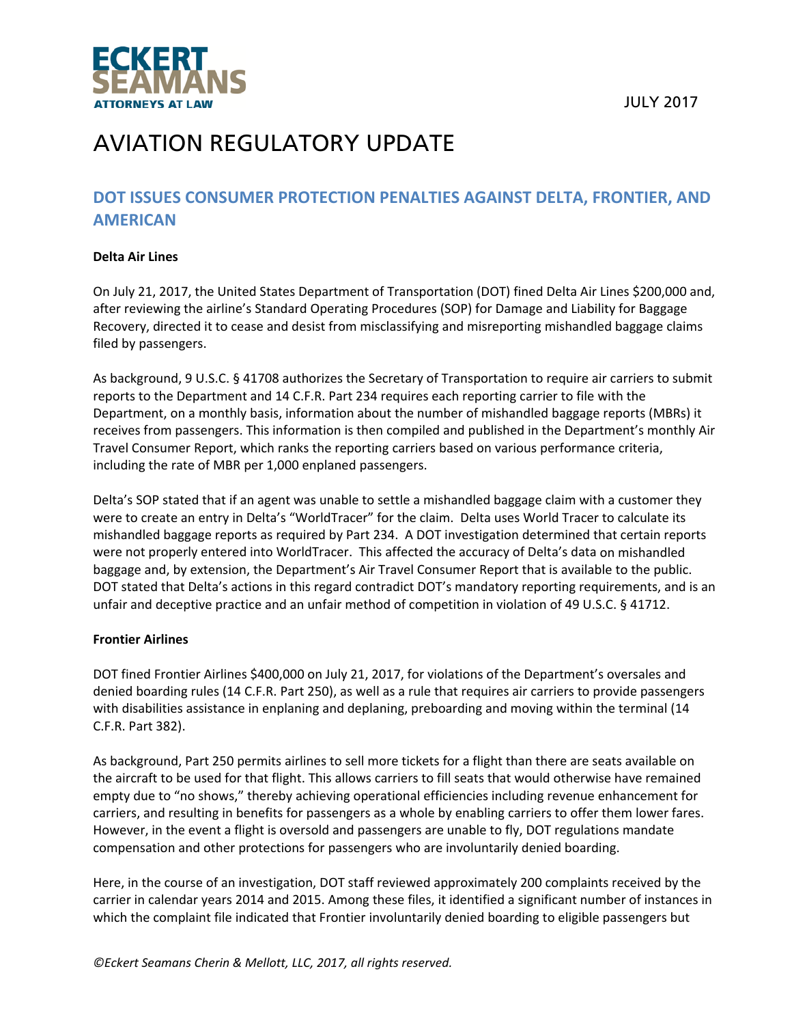



## **DOT ISSUES CONSUMER PROTECTION PENALTIES AGAINST DELTA, FRONTIER, AND AMERICAN**

#### **Delta Air Lines**

On July 21, 2017, the United States Department of Transportation (DOT) fined Delta Air Lines \$200,000 and, after reviewing the airline's Standard Operating Procedures (SOP) for Damage and Liability for Baggage Recovery, directed it to cease and desist from misclassifying and misreporting mishandled baggage claims filed by passengers.

As background, 9 U.S.C. § 41708 authorizes the Secretary of Transportation to require air carriers to submit reports to the Department and 14 C.F.R. Part 234 requires each reporting carrier to file with the Department, on a monthly basis, information about the number of mishandled baggage reports (MBRs) it receives from passengers. This information is then compiled and published in the Department's monthly Air Travel Consumer Report, which ranks the reporting carriers based on various performance criteria, including the rate of MBR per 1,000 enplaned passengers.

Delta's SOP stated that if an agent was unable to settle a mishandled baggage claim with a customer they were to create an entry in Delta's "WorldTracer" for the claim. Delta uses World Tracer to calculate its mishandled baggage reports as required by Part 234. A DOT investigation determined that certain reports were not properly entered into WorldTracer. This affected the accuracy of Delta's data on mishandled baggage and, by extension, the Department's Air Travel Consumer Report that is available to the public. DOT stated that Delta's actions in this regard contradict DOT's mandatory reporting requirements, and is an unfair and deceptive practice and an unfair method of competition in violation of 49 U.S.C. § 41712.

#### **Frontier Airlines**

DOT fined Frontier Airlines \$400,000 on July 21, 2017, for violations of the Department's oversales and denied boarding rules (14 C.F.R. Part 250), as well as a rule that requires air carriers to provide passengers with disabilities assistance in enplaning and deplaning, preboarding and moving within the terminal (14 C.F.R. Part 382).

As background, Part 250 permits airlines to sell more tickets for a flight than there are seats available on the aircraft to be used for that flight. This allows carriers to fill seats that would otherwise have remained empty due to "no shows," thereby achieving operational efficiencies including revenue enhancement for carriers, and resulting in benefits for passengers as a whole by enabling carriers to offer them lower fares. However, in the event a flight is oversold and passengers are unable to fly, DOT regulations mandate compensation and other protections for passengers who are involuntarily denied boarding.

Here, in the course of an investigation, DOT staff reviewed approximately 200 complaints received by the carrier in calendar years 2014 and 2015. Among these files, it identified a significant number of instances in which the complaint file indicated that Frontier involuntarily denied boarding to eligible passengers but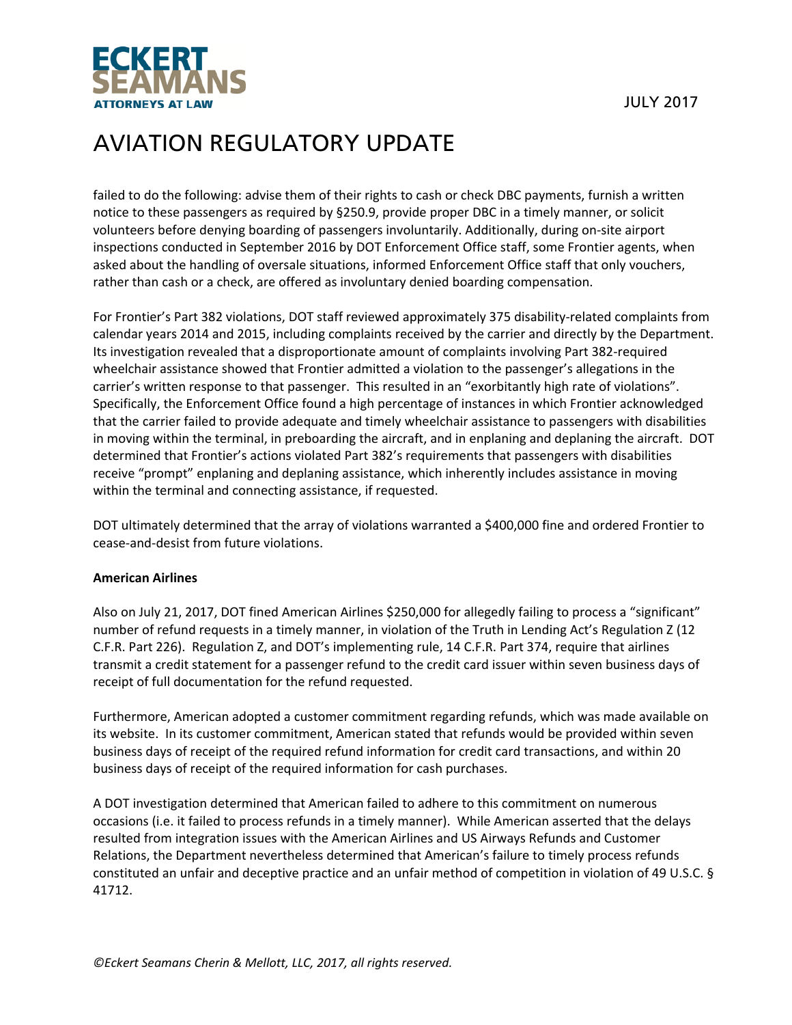

failed to do the following: advise them of their rights to cash or check DBC payments, furnish a written notice to these passengers as required by §250.9, provide proper DBC in a timely manner, or solicit volunteers before denying boarding of passengers involuntarily. Additionally, during on‐site airport inspections conducted in September 2016 by DOT Enforcement Office staff, some Frontier agents, when asked about the handling of oversale situations, informed Enforcement Office staff that only vouchers, rather than cash or a check, are offered as involuntary denied boarding compensation.

For Frontier's Part 382 violations, DOT staff reviewed approximately 375 disability-related complaints from calendar years 2014 and 2015, including complaints received by the carrier and directly by the Department. Its investigation revealed that a disproportionate amount of complaints involving Part 382‐required wheelchair assistance showed that Frontier admitted a violation to the passenger's allegations in the carrier's written response to that passenger. This resulted in an "exorbitantly high rate of violations". Specifically, the Enforcement Office found a high percentage of instances in which Frontier acknowledged that the carrier failed to provide adequate and timely wheelchair assistance to passengers with disabilities in moving within the terminal, in preboarding the aircraft, and in enplaning and deplaning the aircraft. DOT determined that Frontier's actions violated Part 382's requirements that passengers with disabilities receive "prompt" enplaning and deplaning assistance, which inherently includes assistance in moving within the terminal and connecting assistance, if requested.

DOT ultimately determined that the array of violations warranted a \$400,000 fine and ordered Frontier to cease‐and‐desist from future violations.

#### **American Airlines**

Also on July 21, 2017, DOT fined American Airlines \$250,000 for allegedly failing to process a "significant" number of refund requests in a timely manner, in violation of the Truth in Lending Act's Regulation Z (12 C.F.R. Part 226). Regulation Z, and DOT's implementing rule, 14 C.F.R. Part 374, require that airlines transmit a credit statement for a passenger refund to the credit card issuer within seven business days of receipt of full documentation for the refund requested.

Furthermore, American adopted a customer commitment regarding refunds, which was made available on its website. In its customer commitment, American stated that refunds would be provided within seven business days of receipt of the required refund information for credit card transactions, and within 20 business days of receipt of the required information for cash purchases.

A DOT investigation determined that American failed to adhere to this commitment on numerous occasions (i.e. it failed to process refunds in a timely manner). While American asserted that the delays resulted from integration issues with the American Airlines and US Airways Refunds and Customer Relations, the Department nevertheless determined that American's failure to timely process refunds constituted an unfair and deceptive practice and an unfair method of competition in violation of 49 U.S.C. § 41712.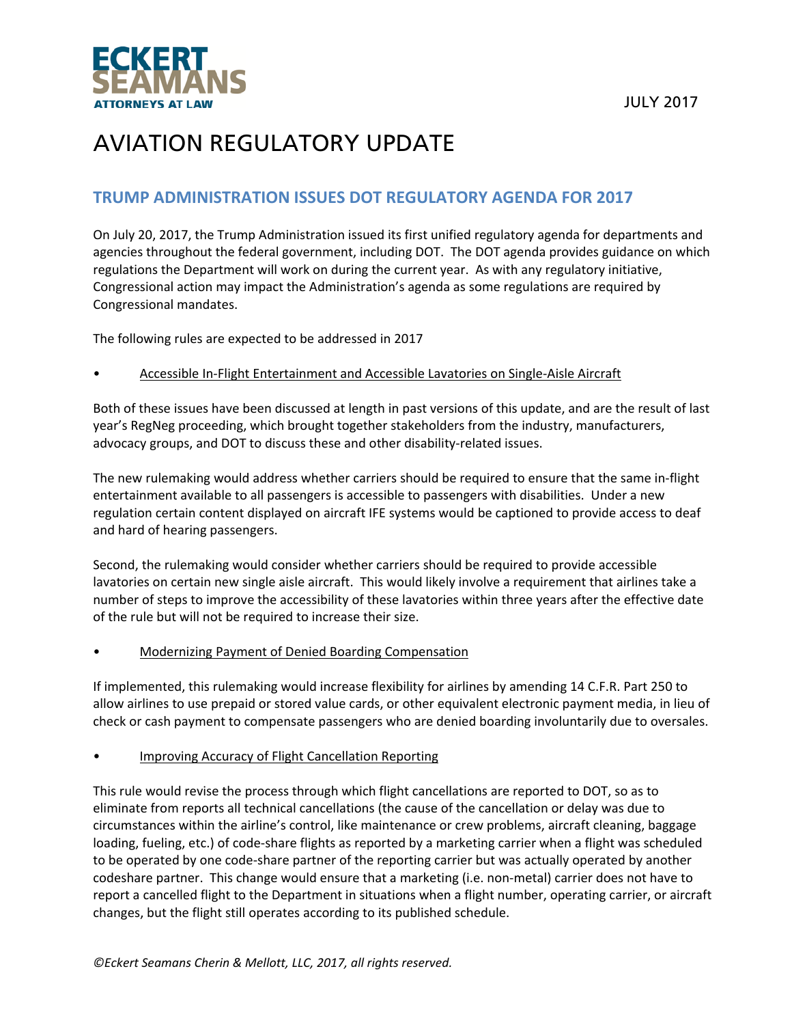

## **TRUMP ADMINISTRATION ISSUES DOT REGULATORY AGENDA FOR 2017**

On July 20, 2017, the Trump Administration issued its first unified regulatory agenda for departments and agencies throughout the federal government, including DOT. The DOT agenda provides guidance on which regulations the Department will work on during the current year. As with any regulatory initiative, Congressional action may impact the Administration's agenda as some regulations are required by Congressional mandates.

The following rules are expected to be addressed in 2017

#### • Accessible In‐Flight Entertainment and Accessible Lavatories on Single‐Aisle Aircraft

Both of these issues have been discussed at length in past versions of this update, and are the result of last year's RegNeg proceeding, which brought together stakeholders from the industry, manufacturers, advocacy groups, and DOT to discuss these and other disability‐related issues.

The new rulemaking would address whether carriers should be required to ensure that the same in‐flight entertainment available to all passengers is accessible to passengers with disabilities. Under a new regulation certain content displayed on aircraft IFE systems would be captioned to provide access to deaf and hard of hearing passengers.

Second, the rulemaking would consider whether carriers should be required to provide accessible lavatories on certain new single aisle aircraft. This would likely involve a requirement that airlines take a number of steps to improve the accessibility of these lavatories within three years after the effective date of the rule but will not be required to increase their size.

• Modernizing Payment of Denied Boarding Compensation

If implemented, this rulemaking would increase flexibility for airlines by amending 14 C.F.R. Part 250 to allow airlines to use prepaid or stored value cards, or other equivalent electronic payment media, in lieu of check or cash payment to compensate passengers who are denied boarding involuntarily due to oversales.

#### • Improving Accuracy of Flight Cancellation Reporting

This rule would revise the process through which flight cancellations are reported to DOT, so as to eliminate from reports all technical cancellations (the cause of the cancellation or delay was due to circumstances within the airline's control, like maintenance or crew problems, aircraft cleaning, baggage loading, fueling, etc.) of code‐share flights as reported by a marketing carrier when a flight was scheduled to be operated by one code‐share partner of the reporting carrier but was actually operated by another codeshare partner. This change would ensure that a marketing (i.e. non‐metal) carrier does not have to report a cancelled flight to the Department in situations when a flight number, operating carrier, or aircraft changes, but the flight still operates according to its published schedule.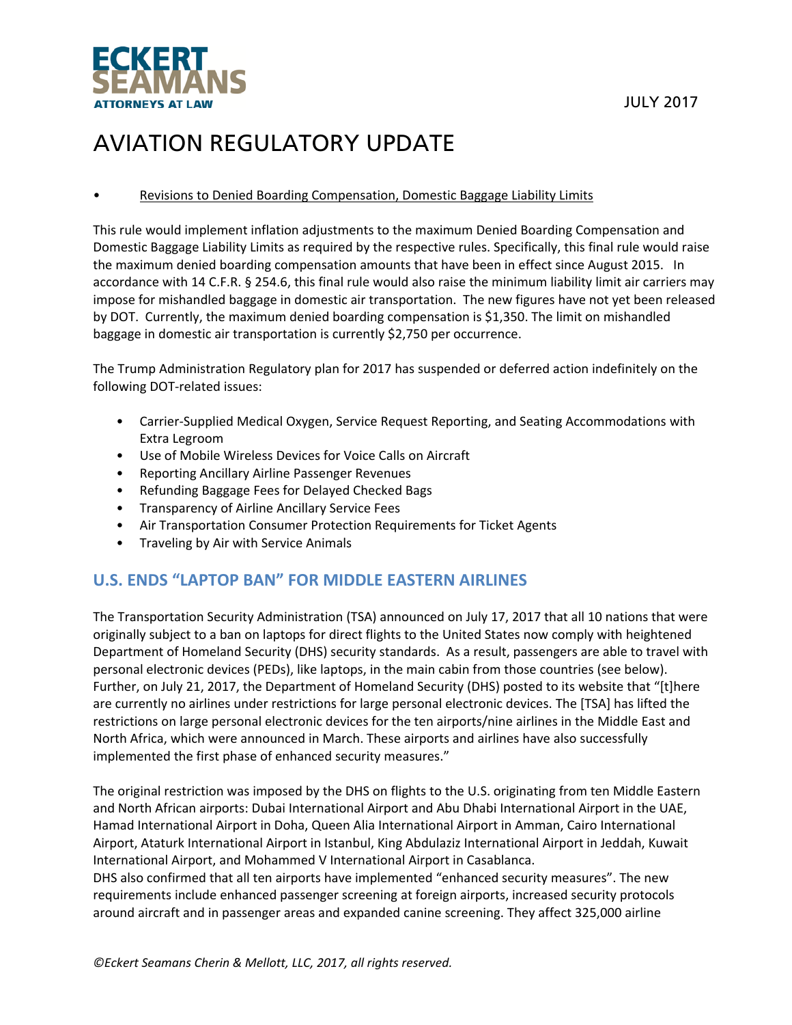

#### • Revisions to Denied Boarding Compensation, Domestic Baggage Liability Limits

This rule would implement inflation adjustments to the maximum Denied Boarding Compensation and Domestic Baggage Liability Limits as required by the respective rules. Specifically, this final rule would raise the maximum denied boarding compensation amounts that have been in effect since August 2015. In accordance with 14 C.F.R. § 254.6, this final rule would also raise the minimum liability limit air carriers may impose for mishandled baggage in domestic air transportation. The new figures have not yet been released by DOT. Currently, the maximum denied boarding compensation is \$1,350. The limit on mishandled baggage in domestic air transportation is currently \$2,750 per occurrence.

The Trump Administration Regulatory plan for 2017 has suspended or deferred action indefinitely on the following DOT‐related issues:

- Carrier‐Supplied Medical Oxygen, Service Request Reporting, and Seating Accommodations with Extra Legroom
- Use of Mobile Wireless Devices for Voice Calls on Aircraft
- Reporting Ancillary Airline Passenger Revenues
- Refunding Baggage Fees for Delayed Checked Bags
- Transparency of Airline Ancillary Service Fees
- Air Transportation Consumer Protection Requirements for Ticket Agents
- Traveling by Air with Service Animals

### **U.S. ENDS "LAPTOP BAN" FOR MIDDLE EASTERN AIRLINES**

The Transportation Security Administration (TSA) announced on July 17, 2017 that all 10 nations that were originally subject to a ban on laptops for direct flights to the United States now comply with heightened Department of Homeland Security (DHS) security standards. As a result, passengers are able to travel with personal electronic devices (PEDs), like laptops, in the main cabin from those countries (see below). Further, on July 21, 2017, the Department of Homeland Security (DHS) posted to its website that "[t]here are currently no airlines under restrictions for large personal electronic devices. The [TSA] has lifted the restrictions on large personal electronic devices for the ten airports/nine airlines in the Middle East and North Africa, which were announced in March. These airports and airlines have also successfully implemented the first phase of enhanced security measures."

The original restriction was imposed by the DHS on flights to the U.S. originating from ten Middle Eastern and North African airports: Dubai International Airport and Abu Dhabi International Airport in the UAE, Hamad International Airport in Doha, Queen Alia International Airport in Amman, Cairo International Airport, Ataturk International Airport in Istanbul, King Abdulaziz International Airport in Jeddah, Kuwait International Airport, and Mohammed V International Airport in Casablanca.

DHS also confirmed that all ten airports have implemented "enhanced security measures". The new requirements include enhanced passenger screening at foreign airports, increased security protocols around aircraft and in passenger areas and expanded canine screening. They affect 325,000 airline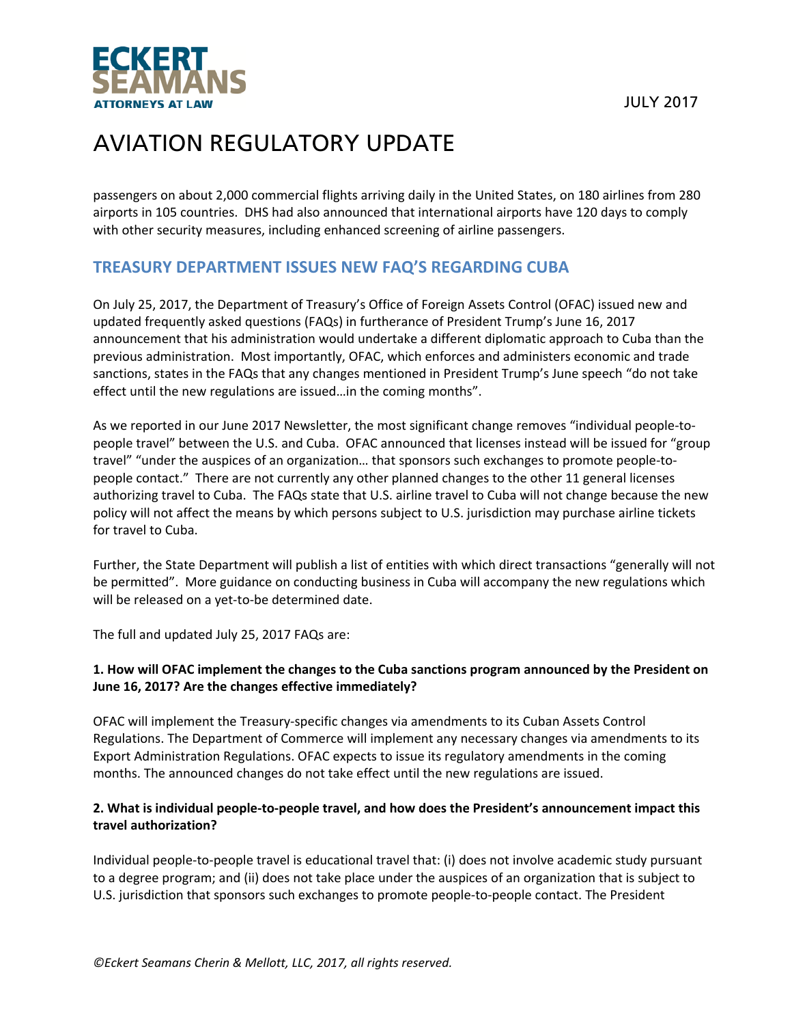

passengers on about 2,000 commercial flights arriving daily in the United States, on 180 airlines from 280 airports in 105 countries. DHS had also announced that international airports have 120 days to comply with other security measures, including enhanced screening of airline passengers.

## **TREASURY DEPARTMENT ISSUES NEW FAQ'S REGARDING CUBA**

On July 25, 2017, the Department of Treasury's Office of Foreign Assets Control (OFAC) issued new and updated frequently asked questions (FAQs) in furtherance of President Trump's June 16, 2017 announcement that his administration would undertake a different diplomatic approach to Cuba than the previous administration. Most importantly, OFAC, which enforces and administers economic and trade sanctions, states in the FAQs that any changes mentioned in President Trump's June speech "do not take effect until the new regulations are issued…in the coming months".

As we reported in our June 2017 Newsletter, the most significant change removes "individual people‐to‐ people travel" between the U.S. and Cuba. OFAC announced that licenses instead will be issued for "group travel" "under the auspices of an organization… that sponsors such exchanges to promote people‐to‐ people contact." There are not currently any other planned changes to the other 11 general licenses authorizing travel to Cuba. The FAQs state that U.S. airline travel to Cuba will not change because the new policy will not affect the means by which persons subject to U.S. jurisdiction may purchase airline tickets for travel to Cuba.

Further, the State Department will publish a list of entities with which direct transactions "generally will not be permitted". More guidance on conducting business in Cuba will accompany the new regulations which will be released on a yet-to-be determined date.

The full and updated July 25, 2017 FAQs are:

### **1. How will OFAC implement the changes to the Cuba sanctions program announced by the President on June 16, 2017? Are the changes effective immediately?**

OFAC will implement the Treasury‐specific changes via amendments to its Cuban Assets Control Regulations. The Department of Commerce will implement any necessary changes via amendments to its Export Administration Regulations. OFAC expects to issue its regulatory amendments in the coming months. The announced changes do not take effect until the new regulations are issued.

### 2. What is individual people-to-people travel, and how does the President's announcement impact this **travel authorization?**

Individual people‐to‐people travel is educational travel that: (i) does not involve academic study pursuant to a degree program; and (ii) does not take place under the auspices of an organization that is subject to U.S. jurisdiction that sponsors such exchanges to promote people‐to‐people contact. The President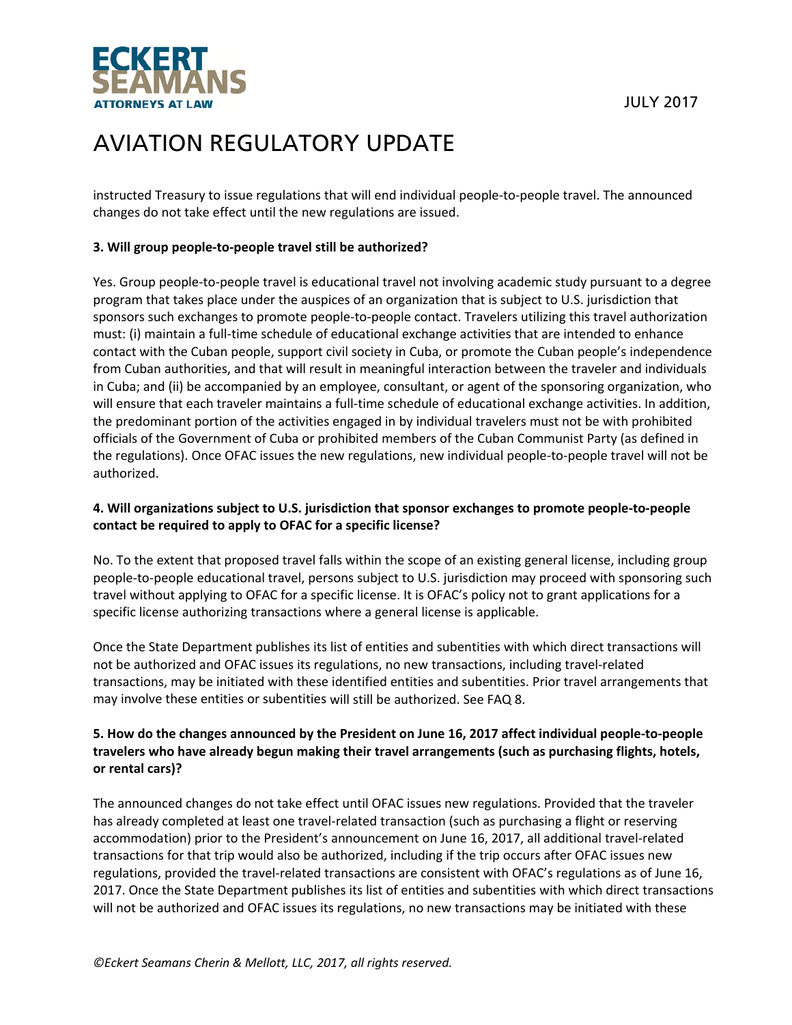

instructed Treasury to issue regulations that will end individual people‐to‐people travel. The announced changes do not take effect until the new regulations are issued.

#### **3. Will group people‐to‐people travel still be authorized?**

Yes. Group people‐to‐people travel is educational travel not involving academic study pursuant to a degree program that takes place under the auspices of an organization that is subject to U.S. jurisdiction that sponsors such exchanges to promote people-to-people contact. Travelers utilizing this travel authorization must: (i) maintain a full-time schedule of educational exchange activities that are intended to enhance contact with the Cuban people, support civil society in Cuba, or promote the Cuban people's independence from Cuban authorities, and that will result in meaningful interaction between the traveler and individuals in Cuba; and (ii) be accompanied by an employee, consultant, or agent of the sponsoring organization, who will ensure that each traveler maintains a full-time schedule of educational exchange activities. In addition, the predominant portion of the activities engaged in by individual travelers must not be with prohibited officials of the Government of Cuba or prohibited members of the Cuban Communist Party (as defined in the regulations). Once OFAC issues the new regulations, new individual people‐to‐people travel will not be authorized.

#### **4. Will organizations subject to U.S. jurisdiction that sponsor exchanges to promote people‐to‐people contact be required to apply to OFAC for a specific license?**

No. To the extent that proposed travel falls within the scope of an existing general license, including group people‐to‐people educational travel, persons subject to U.S. jurisdiction may proceed with sponsoring such travel without applying to OFAC for a specific license. It is OFAC's policy not to grant applications for a specific license authorizing transactions where a general license is applicable.

Once the State Department publishes its list of entities and subentities with which direct transactions will not be authorized and OFAC issues its regulations, no new transactions, including travel‐related transactions, may be initiated with these identified entities and subentities. Prior travel arrangements that may involve these entities or subentities will still be authorized. See FAQ 8.

### 5. How do the changes announced by the President on June 16, 2017 affect individual people-to-people **travelers who have already begun making their travel arrangements (such as purchasing flights, hotels, or rental cars)?**

The announced changes do not take effect until OFAC issues new regulations. Provided that the traveler has already completed at least one travel-related transaction (such as purchasing a flight or reserving accommodation) prior to the President's announcement on June 16, 2017, all additional travel‐related transactions for that trip would also be authorized, including if the trip occurs after OFAC issues new regulations, provided the travel‐related transactions are consistent with OFAC's regulations as of June 16, 2017. Once the State Department publishes its list of entities and subentities with which direct transactions will not be authorized and OFAC issues its regulations, no new transactions may be initiated with these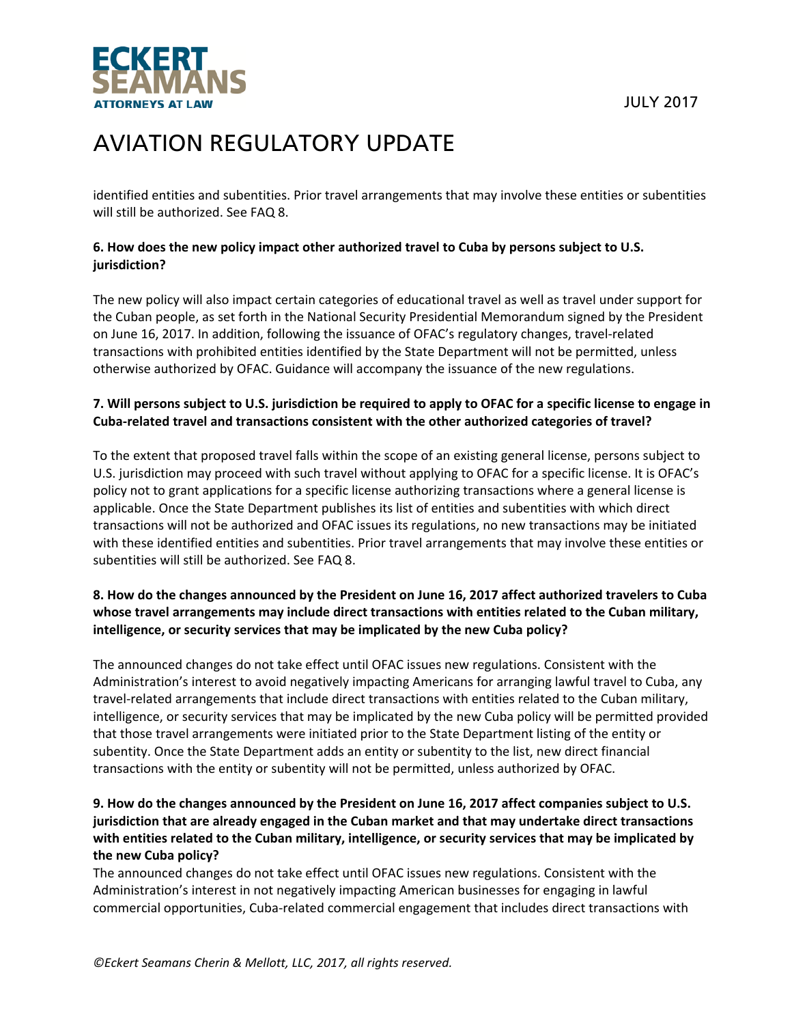



identified entities and subentities. Prior travel arrangements that may involve these entities or subentities will still be authorized. See FAQ 8.

### **6. How does the new policy impact other authorized travel to Cuba by persons subject to U.S. jurisdiction?**

The new policy will also impact certain categories of educational travel as well as travel under support for the Cuban people, as set forth in the National Security Presidential Memorandum signed by the President on June 16, 2017. In addition, following the issuance of OFAC's regulatory changes, travel‐related transactions with prohibited entities identified by the State Department will not be permitted, unless otherwise authorized by OFAC. Guidance will accompany the issuance of the new regulations.

### 7. Will persons subject to U.S. jurisdiction be required to apply to OFAC for a specific license to engage in **Cuba‐related travel and transactions consistent with the other authorized categories of travel?**

To the extent that proposed travel falls within the scope of an existing general license, persons subject to U.S. jurisdiction may proceed with such travel without applying to OFAC for a specific license. It is OFAC's policy not to grant applications for a specific license authorizing transactions where a general license is applicable. Once the State Department publishes its list of entities and subentities with which direct transactions will not be authorized and OFAC issues its regulations, no new transactions may be initiated with these identified entities and subentities. Prior travel arrangements that may involve these entities or subentities will still be authorized. See FAQ 8.

### 8. How do the changes announced by the President on June 16, 2017 affect authorized travelers to Cuba **whose travel arrangements may include direct transactions with entities related to the Cuban military, intelligence, or security services that may be implicated by the new Cuba policy?**

The announced changes do not take effect until OFAC issues new regulations. Consistent with the Administration's interest to avoid negatively impacting Americans for arranging lawful travel to Cuba, any travel‐related arrangements that include direct transactions with entities related to the Cuban military, intelligence, or security services that may be implicated by the new Cuba policy will be permitted provided that those travel arrangements were initiated prior to the State Department listing of the entity or subentity. Once the State Department adds an entity or subentity to the list, new direct financial transactions with the entity or subentity will not be permitted, unless authorized by OFAC.

### **9. How do the changes announced by the President on June 16, 2017 affect companies subject to U.S. jurisdiction that are already engaged in the Cuban market and that may undertake direct transactions with entities related to the Cuban military, intelligence, or security services that may be implicated by the new Cuba policy?**

The announced changes do not take effect until OFAC issues new regulations. Consistent with the Administration's interest in not negatively impacting American businesses for engaging in lawful commercial opportunities, Cuba‐related commercial engagement that includes direct transactions with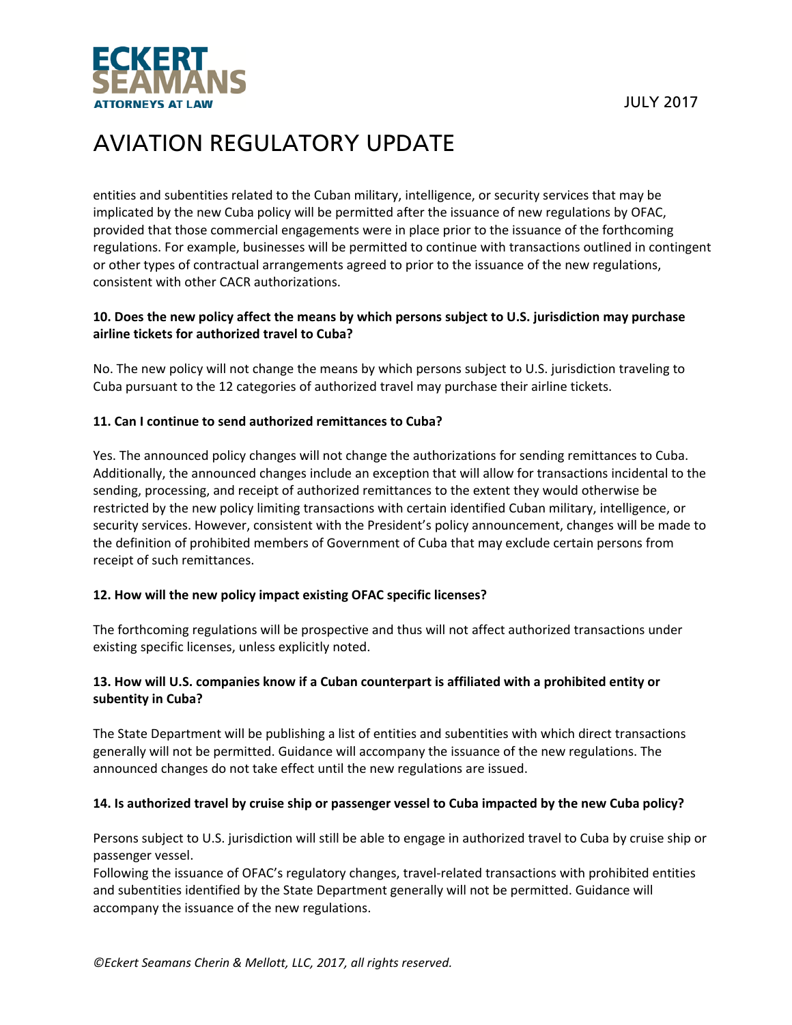

entities and subentities related to the Cuban military, intelligence, or security services that may be implicated by the new Cuba policy will be permitted after the issuance of new regulations by OFAC, provided that those commercial engagements were in place prior to the issuance of the forthcoming regulations. For example, businesses will be permitted to continue with transactions outlined in contingent or other types of contractual arrangements agreed to prior to the issuance of the new regulations, consistent with other CACR authorizations.

### **10. Does the new policy affect the means by which persons subject to U.S. jurisdiction may purchase airline tickets for authorized travel to Cuba?**

No. The new policy will not change the means by which persons subject to U.S. jurisdiction traveling to Cuba pursuant to the 12 categories of authorized travel may purchase their airline tickets.

#### **11. Can I continue to send authorized remittances to Cuba?**

Yes. The announced policy changes will not change the authorizations for sending remittances to Cuba. Additionally, the announced changes include an exception that will allow for transactions incidental to the sending, processing, and receipt of authorized remittances to the extent they would otherwise be restricted by the new policy limiting transactions with certain identified Cuban military, intelligence, or security services. However, consistent with the President's policy announcement, changes will be made to the definition of prohibited members of Government of Cuba that may exclude certain persons from receipt of such remittances.

#### **12. How will the new policy impact existing OFAC specific licenses?**

The forthcoming regulations will be prospective and thus will not affect authorized transactions under existing specific licenses, unless explicitly noted.

#### **13. How will U.S. companies know if a Cuban counterpart is affiliated with a prohibited entity or subentity in Cuba?**

The State Department will be publishing a list of entities and subentities with which direct transactions generally will not be permitted. Guidance will accompany the issuance of the new regulations. The announced changes do not take effect until the new regulations are issued.

#### 14. Is authorized travel by cruise ship or passenger vessel to Cuba impacted by the new Cuba policy?

Persons subject to U.S. jurisdiction will still be able to engage in authorized travel to Cuba by cruise ship or passenger vessel.

Following the issuance of OFAC's regulatory changes, travel-related transactions with prohibited entities and subentities identified by the State Department generally will not be permitted. Guidance will accompany the issuance of the new regulations.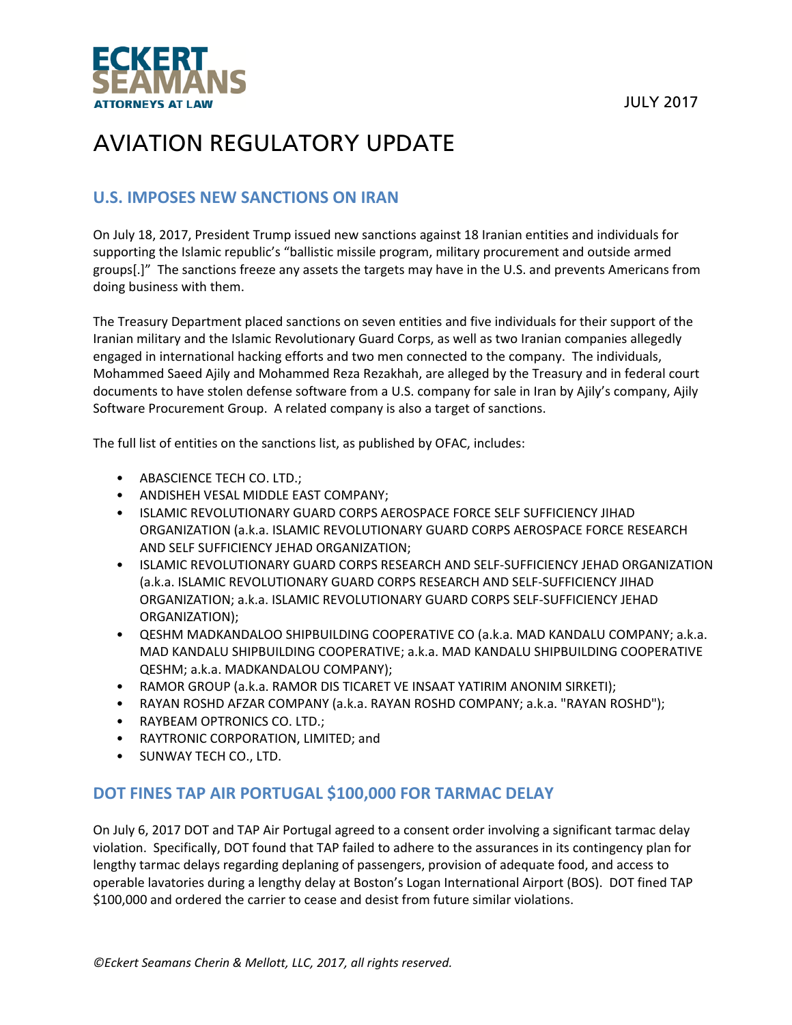



## **U.S. IMPOSES NEW SANCTIONS ON IRAN**

On July 18, 2017, President Trump issued new sanctions against 18 Iranian entities and individuals for supporting the Islamic republic's "ballistic missile program, military procurement and outside armed groups[.]" The sanctions freeze any assets the targets may have in the U.S. and prevents Americans from doing business with them.

The Treasury Department placed sanctions on seven entities and five individuals for their support of the Iranian military and the Islamic Revolutionary Guard Corps, as well as two Iranian companies allegedly engaged in international hacking efforts and two men connected to the company. The individuals, Mohammed Saeed Ajily and Mohammed Reza Rezakhah, are alleged by the Treasury and in federal court documents to have stolen defense software from a U.S. company for sale in Iran by Ajily's company, Ajily Software Procurement Group. A related company is also a target of sanctions.

The full list of entities on the sanctions list, as published by OFAC, includes:

- ABASCIENCE TECH CO. LTD.;
- ANDISHEH VESAL MIDDLE EAST COMPANY;
- ISLAMIC REVOLUTIONARY GUARD CORPS AEROSPACE FORCE SELF SUFFICIENCY JIHAD ORGANIZATION (a.k.a. ISLAMIC REVOLUTIONARY GUARD CORPS AEROSPACE FORCE RESEARCH AND SELF SUFFICIENCY JEHAD ORGANIZATION;
- ISLAMIC REVOLUTIONARY GUARD CORPS RESEARCH AND SELF‐SUFFICIENCY JEHAD ORGANIZATION (a.k.a. ISLAMIC REVOLUTIONARY GUARD CORPS RESEARCH AND SELF‐SUFFICIENCY JIHAD ORGANIZATION; a.k.a. ISLAMIC REVOLUTIONARY GUARD CORPS SELF‐SUFFICIENCY JEHAD ORGANIZATION);
- QESHM MADKANDALOO SHIPBUILDING COOPERATIVE CO (a.k.a. MAD KANDALU COMPANY; a.k.a. MAD KANDALU SHIPBUILDING COOPERATIVE; a.k.a. MAD KANDALU SHIPBUILDING COOPERATIVE QESHM; a.k.a. MADKANDALOU COMPANY);
- RAMOR GROUP (a.k.a. RAMOR DIS TICARET VE INSAAT YATIRIM ANONIM SIRKETI);
- RAYAN ROSHD AFZAR COMPANY (a.k.a. RAYAN ROSHD COMPANY; a.k.a. "RAYAN ROSHD");
- RAYBEAM OPTRONICS CO. LTD.;
- RAYTRONIC CORPORATION, LIMITED; and
- SUNWAY TECH CO., LTD.

### **DOT FINES TAP AIR PORTUGAL \$100,000 FOR TARMAC DELAY**

On July 6, 2017 DOT and TAP Air Portugal agreed to a consent order involving a significant tarmac delay violation. Specifically, DOT found that TAP failed to adhere to the assurances in its contingency plan for lengthy tarmac delays regarding deplaning of passengers, provision of adequate food, and access to operable lavatories during a lengthy delay at Boston's Logan International Airport (BOS). DOT fined TAP \$100,000 and ordered the carrier to cease and desist from future similar violations.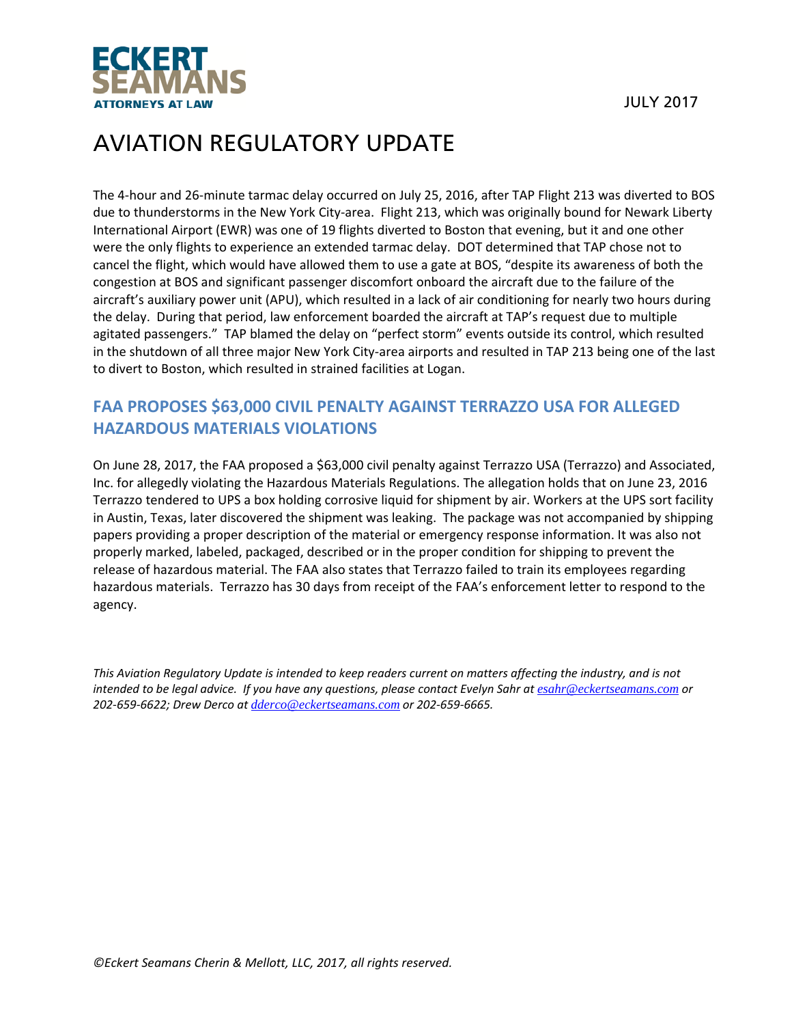

The 4‐hour and 26‐minute tarmac delay occurred on July 25, 2016, after TAP Flight 213 was diverted to BOS due to thunderstorms in the New York City-area. Flight 213, which was originally bound for Newark Liberty International Airport (EWR) was one of 19 flights diverted to Boston that evening, but it and one other were the only flights to experience an extended tarmac delay. DOT determined that TAP chose not to cancel the flight, which would have allowed them to use a gate at BOS, "despite its awareness of both the congestion at BOS and significant passenger discomfort onboard the aircraft due to the failure of the aircraft's auxiliary power unit (APU), which resulted in a lack of air conditioning for nearly two hours during the delay. During that period, law enforcement boarded the aircraft at TAP's request due to multiple agitated passengers." TAP blamed the delay on "perfect storm" events outside its control, which resulted in the shutdown of all three major New York City‐area airports and resulted in TAP 213 being one of the last to divert to Boston, which resulted in strained facilities at Logan.

## **FAA PROPOSES \$63,000 CIVIL PENALTY AGAINST TERRAZZO USA FOR ALLEGED HAZARDOUS MATERIALS VIOLATIONS**

On June 28, 2017, the FAA proposed a \$63,000 civil penalty against Terrazzo USA (Terrazzo) and Associated, Inc. for allegedly violating the Hazardous Materials Regulations. The allegation holds that on June 23, 2016 Terrazzo tendered to UPS a box holding corrosive liquid for shipment by air. Workers at the UPS sort facility in Austin, Texas, later discovered the shipment was leaking. The package was not accompanied by shipping papers providing a proper description of the material or emergency response information. It was also not properly marked, labeled, packaged, described or in the proper condition for shipping to prevent the release of hazardous material. The FAA also states that Terrazzo failed to train its employees regarding hazardous materials. Terrazzo has 30 days from receipt of the FAA's enforcement letter to respond to the agency.

This Aviation Regulatory Update is intended to keep readers current on matters affecting the industry, and is not intended to be legal advice. If you have any questions, please contact Evelyn Sahr at esahr@eckertseamans.com or *202‐659‐6622; Drew Derco at dderco@eckertseamans.com or 202‐659‐6665.*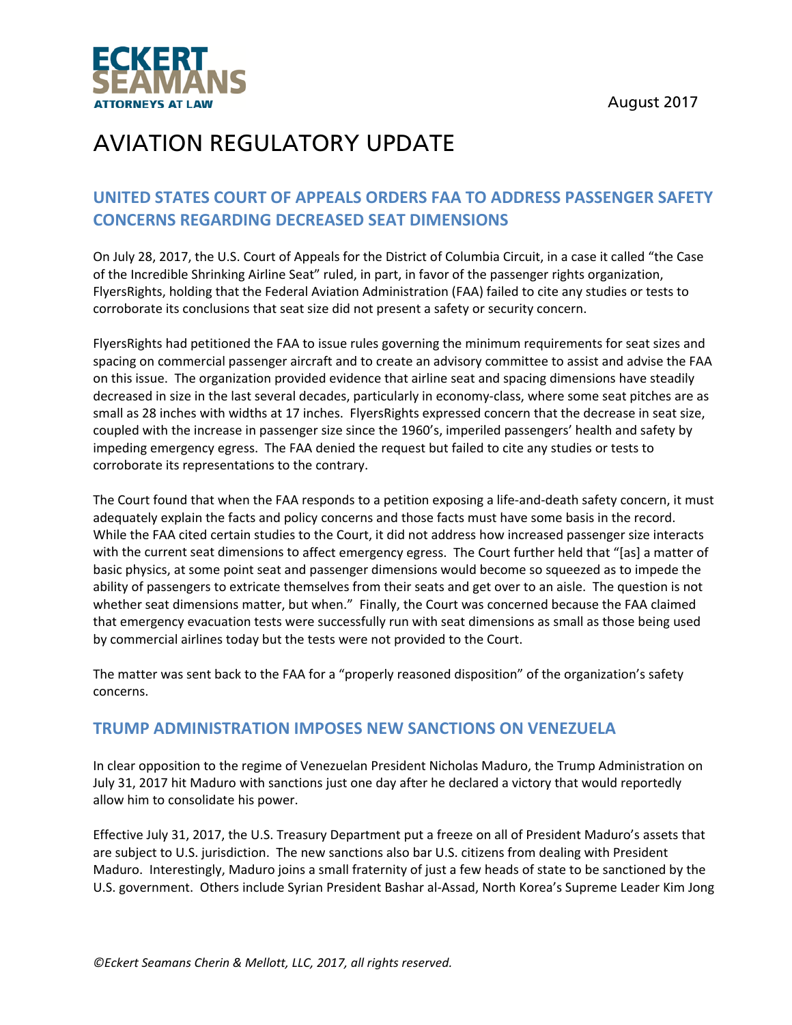August 2017



## AVIATION REGULATORY UPDATE

## **UNITED STATES COURT OF APPEALS ORDERS FAA TO ADDRESS PASSENGER SAFETY CONCERNS REGARDING DECREASED SEAT DIMENSIONS**

On July 28, 2017, the U.S. Court of Appeals for the District of Columbia Circuit, in a case it called "the Case of the Incredible Shrinking Airline Seat" ruled, in part, in favor of the passenger rights organization, FlyersRights, holding that the Federal Aviation Administration (FAA) failed to cite any studies or tests to corroborate its conclusions that seat size did not present a safety or security concern.

FlyersRights had petitioned the FAA to issue rules governing the minimum requirements for seat sizes and spacing on commercial passenger aircraft and to create an advisory committee to assist and advise the FAA on this issue. The organization provided evidence that airline seat and spacing dimensions have steadily decreased in size in the last several decades, particularly in economy‐class, where some seat pitches are as small as 28 inches with widths at 17 inches. FlyersRights expressed concern that the decrease in seat size, coupled with the increase in passenger size since the 1960's, imperiled passengers' health and safety by impeding emergency egress. The FAA denied the request but failed to cite any studies or tests to corroborate its representations to the contrary.

The Court found that when the FAA responds to a petition exposing a life-and-death safety concern, it must adequately explain the facts and policy concerns and those facts must have some basis in the record. While the FAA cited certain studies to the Court, it did not address how increased passenger size interacts with the current seat dimensions to affect emergency egress. The Court further held that "[as] a matter of basic physics, at some point seat and passenger dimensions would become so squeezed as to impede the ability of passengers to extricate themselves from their seats and get over to an aisle. The question is not whether seat dimensions matter, but when." Finally, the Court was concerned because the FAA claimed that emergency evacuation tests were successfully run with seat dimensions as small as those being used by commercial airlines today but the tests were not provided to the Court.

The matter was sent back to the FAA for a "properly reasoned disposition" of the organization's safety concerns.

### **TRUMP ADMINISTRATION IMPOSES NEW SANCTIONS ON VENEZUELA**

In clear opposition to the regime of Venezuelan President Nicholas Maduro, the Trump Administration on July 31, 2017 hit Maduro with sanctions just one day after he declared a victory that would reportedly allow him to consolidate his power.

Effective July 31, 2017, the U.S. Treasury Department put a freeze on all of President Maduro's assets that are subject to U.S. jurisdiction. The new sanctions also bar U.S. citizens from dealing with President Maduro. Interestingly, Maduro joins a small fraternity of just a few heads of state to be sanctioned by the U.S. government. Others include Syrian President Bashar al‐Assad, North Korea's Supreme Leader Kim Jong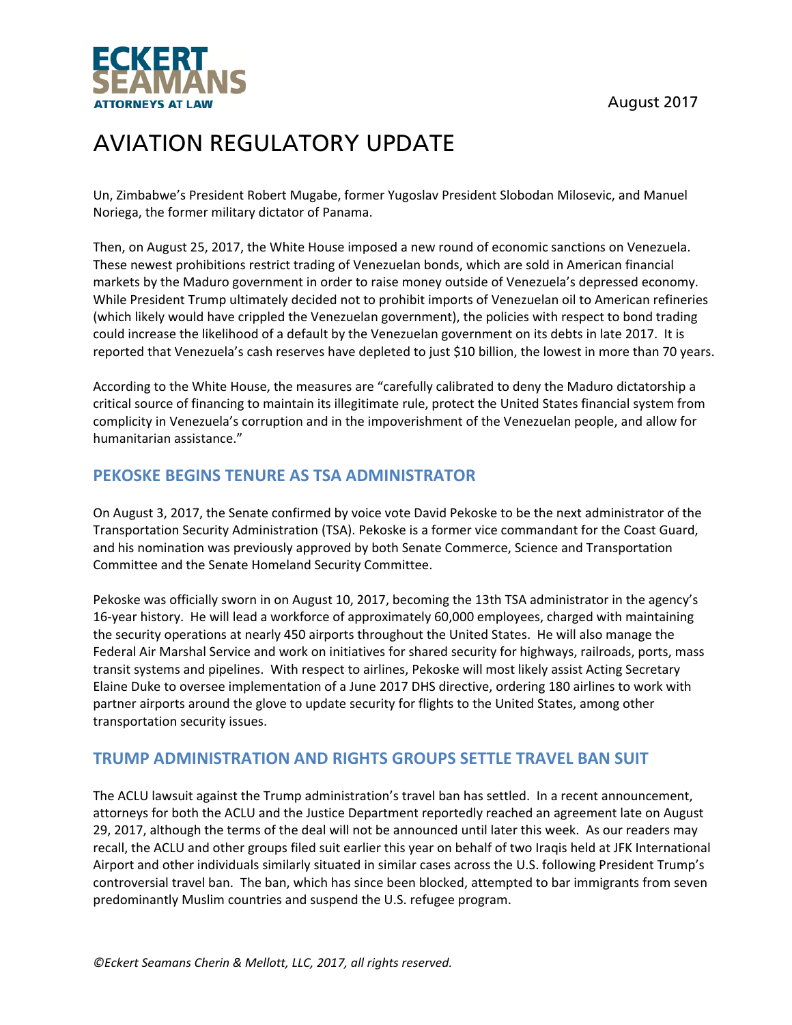



Un, Zimbabwe's President Robert Mugabe, former Yugoslav President Slobodan Milosevic, and Manuel Noriega, the former military dictator of Panama.

Then, on August 25, 2017, the White House imposed a new round of economic sanctions on Venezuela. These newest prohibitions restrict trading of Venezuelan bonds, which are sold in American financial markets by the Maduro government in order to raise money outside of Venezuela's depressed economy. While President Trump ultimately decided not to prohibit imports of Venezuelan oil to American refineries (which likely would have crippled the Venezuelan government), the policies with respect to bond trading could increase the likelihood of a default by the Venezuelan government on its debts in late 2017. It is reported that Venezuela's cash reserves have depleted to just \$10 billion, the lowest in more than 70 years.

According to the White House, the measures are "carefully calibrated to deny the Maduro dictatorship a critical source of financing to maintain its illegitimate rule, protect the United States financial system from complicity in Venezuela's corruption and in the impoverishment of the Venezuelan people, and allow for humanitarian assistance."

### **PEKOSKE BEGINS TENURE AS TSA ADMINISTRATOR**

On August 3, 2017, the Senate confirmed by voice vote David Pekoske to be the next administrator of the Transportation Security Administration (TSA). Pekoske is a former vice commandant for the Coast Guard, and his nomination was previously approved by both Senate Commerce, Science and Transportation Committee and the Senate Homeland Security Committee.

Pekoske was officially sworn in on August 10, 2017, becoming the 13th TSA administrator in the agency's 16‐year history. He will lead a workforce of approximately 60,000 employees, charged with maintaining the security operations at nearly 450 airports throughout the United States. He will also manage the Federal Air Marshal Service and work on initiatives for shared security for highways, railroads, ports, mass transit systems and pipelines. With respect to airlines, Pekoske will most likely assist Acting Secretary Elaine Duke to oversee implementation of a June 2017 DHS directive, ordering 180 airlines to work with partner airports around the glove to update security for flights to the United States, among other transportation security issues.

### **TRUMP ADMINISTRATION AND RIGHTS GROUPS SETTLE TRAVEL BAN SUIT**

The ACLU lawsuit against the Trump administration's travel ban has settled. In a recent announcement, attorneys for both the ACLU and the Justice Department reportedly reached an agreement late on August 29, 2017, although the terms of the deal will not be announced until later this week. As our readers may recall, the ACLU and other groups filed suit earlier this year on behalf of two Iraqis held at JFK International Airport and other individuals similarly situated in similar cases across the U.S. following President Trump's controversial travel ban. The ban, which has since been blocked, attempted to bar immigrants from seven predominantly Muslim countries and suspend the U.S. refugee program.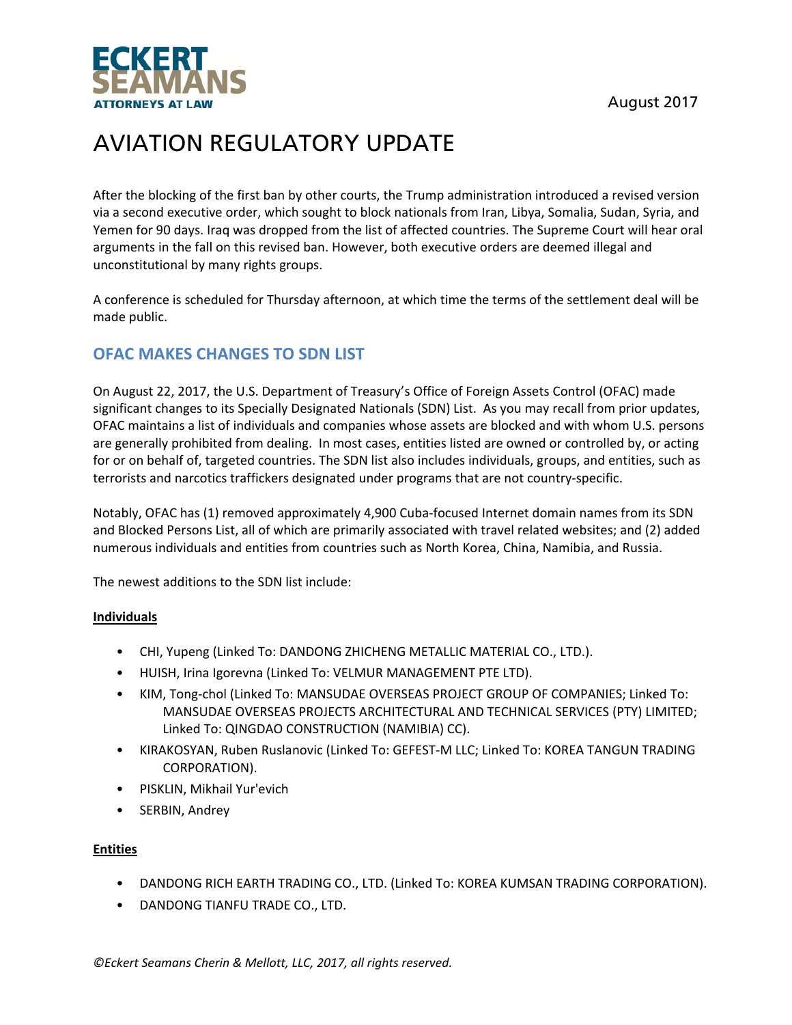



After the blocking of the first ban by other courts, the Trump administration introduced a revised version via a second executive order, which sought to block nationals from Iran, Libya, Somalia, Sudan, Syria, and Yemen for 90 days. Iraq was dropped from the list of affected countries. The Supreme Court will hear oral arguments in the fall on this revised ban. However, both executive orders are deemed illegal and unconstitutional by many rights groups.

A conference is scheduled for Thursday afternoon, at which time the terms of the settlement deal will be made public.

## **OFAC MAKES CHANGES TO SDN LIST**

On August 22, 2017, the U.S. Department of Treasury's Office of Foreign Assets Control (OFAC) made significant changes to its Specially Designated Nationals (SDN) List. As you may recall from prior updates, OFAC maintains a list of individuals and companies whose assets are blocked and with whom U.S. persons are generally prohibited from dealing. In most cases, entities listed are owned or controlled by, or acting for or on behalf of, targeted countries. The SDN list also includes individuals, groups, and entities, such as terrorists and narcotics traffickers designated under programs that are not country‐specific.

Notably, OFAC has (1) removed approximately 4,900 Cuba‐focused Internet domain names from its SDN and Blocked Persons List, all of which are primarily associated with travel related websites; and (2) added numerous individuals and entities from countries such as North Korea, China, Namibia, and Russia.

The newest additions to the SDN list include:

#### **Individuals**

- CHI, Yupeng (Linked To: DANDONG ZHICHENG METALLIC MATERIAL CO., LTD.).
- HUISH, Irina Igorevna (Linked To: VELMUR MANAGEMENT PTE LTD).
- KIM, Tong-chol (Linked To: MANSUDAE OVERSEAS PROJECT GROUP OF COMPANIES; Linked To: MANSUDAE OVERSEAS PROJECTS ARCHITECTURAL AND TECHNICAL SERVICES (PTY) LIMITED; Linked To: QINGDAO CONSTRUCTION (NAMIBIA) CC).
- KIRAKOSYAN, Ruben Ruslanovic (Linked To: GEFEST‐M LLC; Linked To: KOREA TANGUN TRADING CORPORATION).
- PISKLIN, Mikhail Yur'evich
- SERBIN, Andrey

#### **Entities**

- DANDONG RICH EARTH TRADING CO., LTD. (Linked To: KOREA KUMSAN TRADING CORPORATION).
- DANDONG TIANFU TRADE CO., LTD.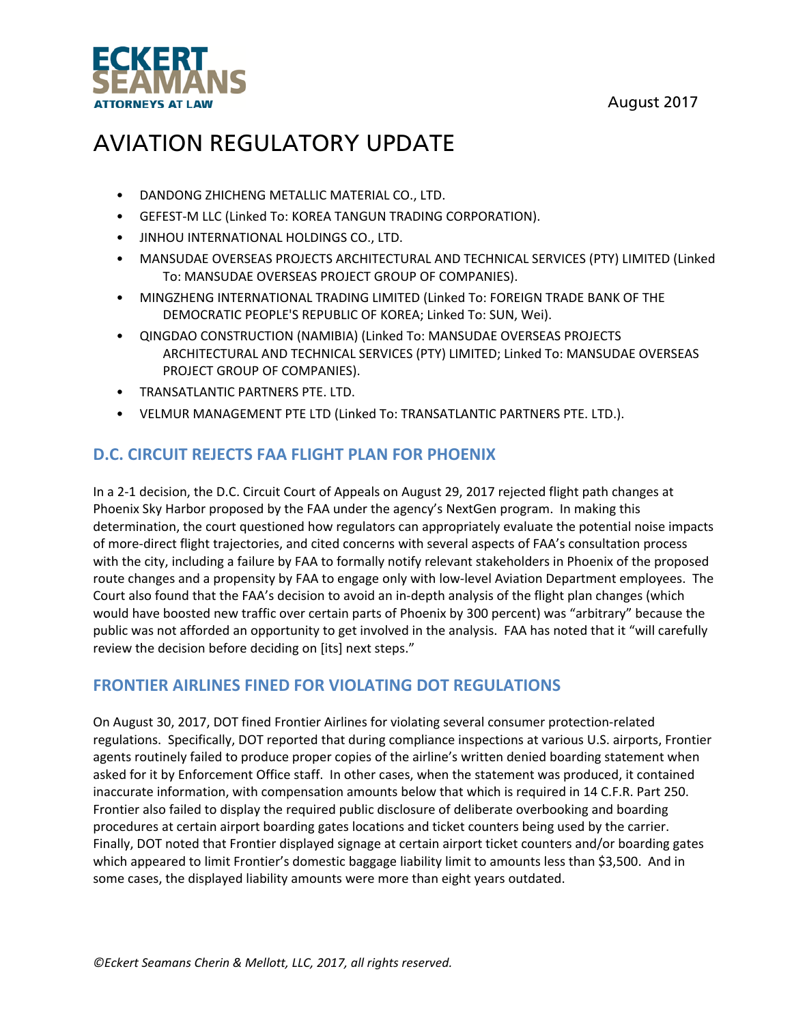August 2017



# AVIATION REGULATORY UPDATE

- DANDONG ZHICHENG METALLIC MATERIAL CO., LTD.
- GEFEST‐M LLC (Linked To: KOREA TANGUN TRADING CORPORATION).
- JINHOU INTERNATIONAL HOLDINGS CO., LTD.
- MANSUDAE OVERSEAS PROJECTS ARCHITECTURAL AND TECHNICAL SERVICES (PTY) LIMITED (Linked To: MANSUDAE OVERSEAS PROJECT GROUP OF COMPANIES).
- MINGZHENG INTERNATIONAL TRADING LIMITED (Linked To: FOREIGN TRADE BANK OF THE DEMOCRATIC PEOPLE'S REPUBLIC OF KOREA; Linked To: SUN, Wei).
- QINGDAO CONSTRUCTION (NAMIBIA) (Linked To: MANSUDAE OVERSEAS PROJECTS ARCHITECTURAL AND TECHNICAL SERVICES (PTY) LIMITED; Linked To: MANSUDAE OVERSEAS PROJECT GROUP OF COMPANIES).
- TRANSATLANTIC PARTNERS PTE. LTD.
- VELMUR MANAGEMENT PTE LTD (Linked To: TRANSATLANTIC PARTNERS PTE. LTD.).

### **D.C. CIRCUIT REJECTS FAA FLIGHT PLAN FOR PHOENIX**

In a 2-1 decision, the D.C. Circuit Court of Appeals on August 29, 2017 rejected flight path changes at Phoenix Sky Harbor proposed by the FAA under the agency's NextGen program. In making this determination, the court questioned how regulators can appropriately evaluate the potential noise impacts of more‐direct flight trajectories, and cited concerns with several aspects of FAA's consultation process with the city, including a failure by FAA to formally notify relevant stakeholders in Phoenix of the proposed route changes and a propensity by FAA to engage only with low‐level Aviation Department employees. The Court also found that the FAA's decision to avoid an in‐depth analysis of the flight plan changes (which would have boosted new traffic over certain parts of Phoenix by 300 percent) was "arbitrary" because the public was not afforded an opportunity to get involved in the analysis. FAA has noted that it "will carefully review the decision before deciding on [its] next steps."

### **FRONTIER AIRLINES FINED FOR VIOLATING DOT REGULATIONS**

On August 30, 2017, DOT fined Frontier Airlines for violating several consumer protection‐related regulations. Specifically, DOT reported that during compliance inspections at various U.S. airports, Frontier agents routinely failed to produce proper copies of the airline's written denied boarding statement when asked for it by Enforcement Office staff. In other cases, when the statement was produced, it contained inaccurate information, with compensation amounts below that which is required in 14 C.F.R. Part 250. Frontier also failed to display the required public disclosure of deliberate overbooking and boarding procedures at certain airport boarding gates locations and ticket counters being used by the carrier. Finally, DOT noted that Frontier displayed signage at certain airport ticket counters and/or boarding gates which appeared to limit Frontier's domestic baggage liability limit to amounts less than \$3,500. And in some cases, the displayed liability amounts were more than eight years outdated.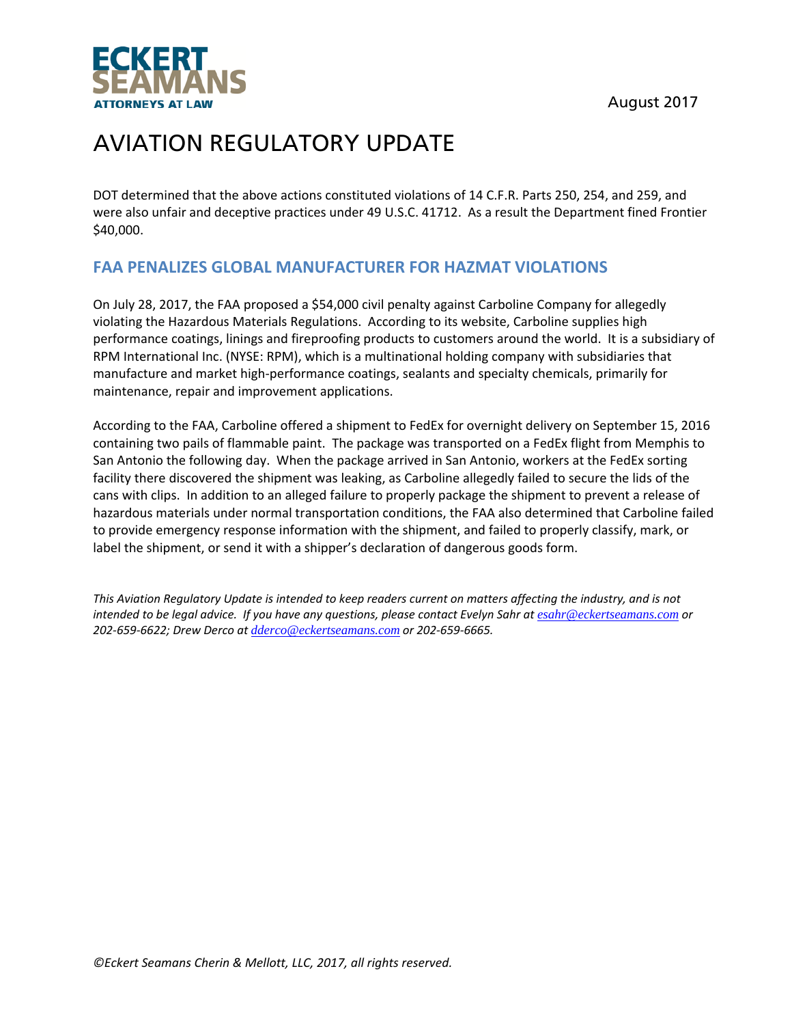



DOT determined that the above actions constituted violations of 14 C.F.R. Parts 250, 254, and 259, and were also unfair and deceptive practices under 49 U.S.C. 41712. As a result the Department fined Frontier \$40,000.

## **FAA PENALIZES GLOBAL MANUFACTURER FOR HAZMAT VIOLATIONS**

On July 28, 2017, the FAA proposed a \$54,000 civil penalty against Carboline Company for allegedly violating the Hazardous Materials Regulations. According to its website, Carboline supplies high performance coatings, linings and fireproofing products to customers around the world. It is a subsidiary of RPM International Inc. (NYSE: RPM), which is a multinational holding company with subsidiaries that manufacture and market high‐performance coatings, sealants and specialty chemicals, primarily for maintenance, repair and improvement applications.

According to the FAA, Carboline offered a shipment to FedEx for overnight delivery on September 15, 2016 containing two pails of flammable paint. The package was transported on a FedEx flight from Memphis to San Antonio the following day. When the package arrived in San Antonio, workers at the FedEx sorting facility there discovered the shipment was leaking, as Carboline allegedly failed to secure the lids of the cans with clips. In addition to an alleged failure to properly package the shipment to prevent a release of hazardous materials under normal transportation conditions, the FAA also determined that Carboline failed to provide emergency response information with the shipment, and failed to properly classify, mark, or label the shipment, or send it with a shipper's declaration of dangerous goods form.

This Aviation Regulatory Update is intended to keep readers current on matters affecting the industry, and is not intended to be legal advice. If you have any questions, please contact Evelyn Sahr at esahr@eckertseamans.com or *202‐659‐6622; Drew Derco at dderco@eckertseamans.com or 202‐659‐6665.*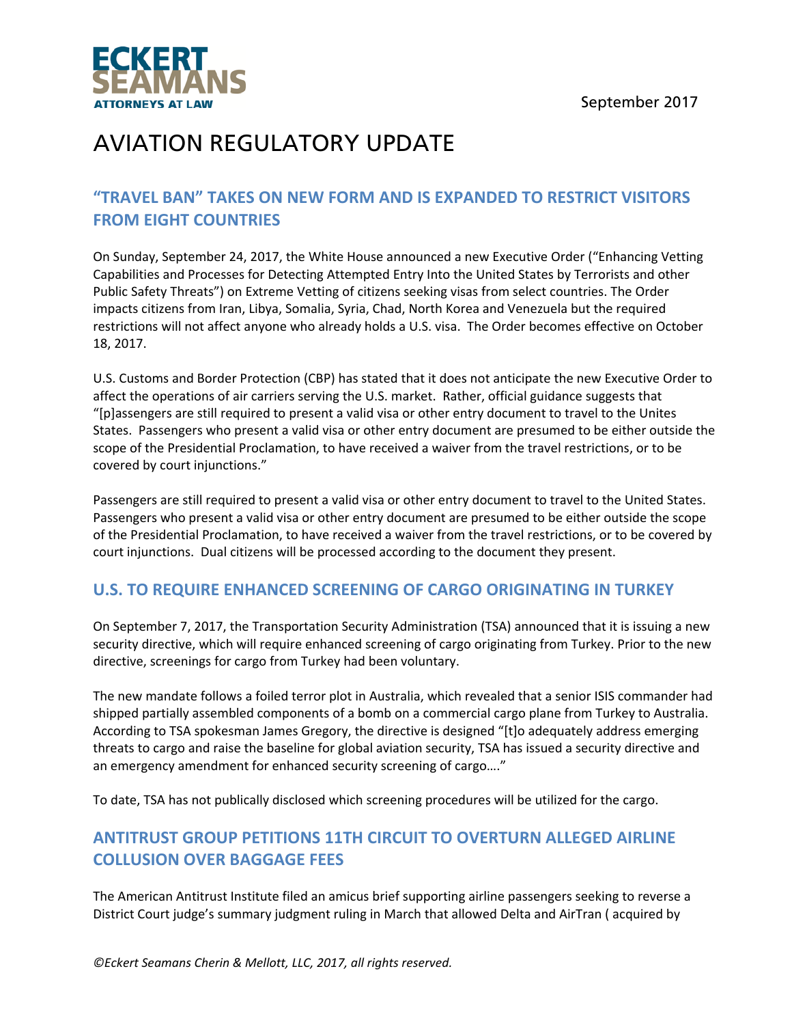

## **"TRAVEL BAN" TAKES ON NEW FORM AND IS EXPANDED TO RESTRICT VISITORS FROM EIGHT COUNTRIES**

On Sunday, September 24, 2017, the White House announced a new Executive Order ("Enhancing Vetting Capabilities and Processes for Detecting Attempted Entry Into the United States by Terrorists and other Public Safety Threats") on Extreme Vetting of citizens seeking visas from select countries. The Order impacts citizens from Iran, Libya, Somalia, Syria, Chad, North Korea and Venezuela but the required restrictions will not affect anyone who already holds a U.S. visa. The Order becomes effective on October 18, 2017.

U.S. Customs and Border Protection (CBP) has stated that it does not anticipate the new Executive Order to affect the operations of air carriers serving the U.S. market. Rather, official guidance suggests that "[p]assengers are still required to present a valid visa or other entry document to travel to the Unites States. Passengers who present a valid visa or other entry document are presumed to be either outside the scope of the Presidential Proclamation, to have received a waiver from the travel restrictions, or to be covered by court injunctions."

Passengers are still required to present a valid visa or other entry document to travel to the United States. Passengers who present a valid visa or other entry document are presumed to be either outside the scope of the Presidential Proclamation, to have received a waiver from the travel restrictions, or to be covered by court injunctions. Dual citizens will be processed according to the document they present.

## **U.S. TO REQUIRE ENHANCED SCREENING OF CARGO ORIGINATING IN TURKEY**

On September 7, 2017, the Transportation Security Administration (TSA) announced that it is issuing a new security directive, which will require enhanced screening of cargo originating from Turkey. Prior to the new directive, screenings for cargo from Turkey had been voluntary.

The new mandate follows a foiled terror plot in Australia, which revealed that a senior ISIS commander had shipped partially assembled components of a bomb on a commercial cargo plane from Turkey to Australia. According to TSA spokesman James Gregory, the directive is designed "[t]o adequately address emerging threats to cargo and raise the baseline for global aviation security, TSA has issued a security directive and an emergency amendment for enhanced security screening of cargo…."

To date, TSA has not publically disclosed which screening procedures will be utilized for the cargo.

## **ANTITRUST GROUP PETITIONS 11TH CIRCUIT TO OVERTURN ALLEGED AIRLINE COLLUSION OVER BAGGAGE FEES**

The American Antitrust Institute filed an amicus brief supporting airline passengers seeking to reverse a District Court judge's summary judgment ruling in March that allowed Delta and AirTran ( acquired by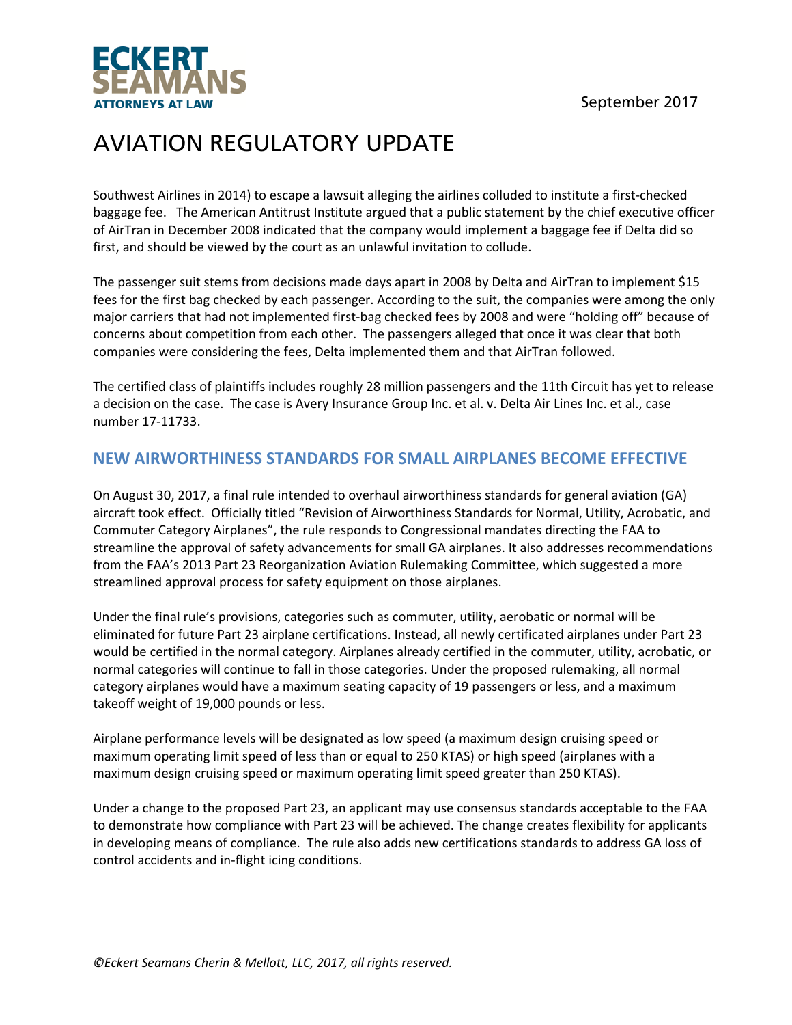



Southwest Airlines in 2014) to escape a lawsuit alleging the airlines colluded to institute a first‐checked baggage fee. The American Antitrust Institute argued that a public statement by the chief executive officer of AirTran in December 2008 indicated that the company would implement a baggage fee if Delta did so first, and should be viewed by the court as an unlawful invitation to collude.

The passenger suit stems from decisions made days apart in 2008 by Delta and AirTran to implement \$15 fees for the first bag checked by each passenger. According to the suit, the companies were among the only major carriers that had not implemented first‐bag checked fees by 2008 and were "holding off" because of concerns about competition from each other. The passengers alleged that once it was clear that both companies were considering the fees, Delta implemented them and that AirTran followed.

The certified class of plaintiffs includes roughly 28 million passengers and the 11th Circuit has yet to release a decision on the case. The case is Avery Insurance Group Inc. et al. v. Delta Air Lines Inc. et al., case number 17‐11733.

### **NEW AIRWORTHINESS STANDARDS FOR SMALL AIRPLANES BECOME EFFECTIVE**

On August 30, 2017, a final rule intended to overhaul airworthiness standards for general aviation (GA) aircraft took effect. Officially titled "Revision of Airworthiness Standards for Normal, Utility, Acrobatic, and Commuter Category Airplanes", the rule responds to Congressional mandates directing the FAA to streamline the approval of safety advancements for small GA airplanes. It also addresses recommendations from the FAA's 2013 Part 23 Reorganization Aviation Rulemaking Committee, which suggested a more streamlined approval process for safety equipment on those airplanes.

Under the final rule's provisions, categories such as commuter, utility, aerobatic or normal will be eliminated for future Part 23 airplane certifications. Instead, all newly certificated airplanes under Part 23 would be certified in the normal category. Airplanes already certified in the commuter, utility, acrobatic, or normal categories will continue to fall in those categories. Under the proposed rulemaking, all normal category airplanes would have a maximum seating capacity of 19 passengers or less, and a maximum takeoff weight of 19,000 pounds or less.

Airplane performance levels will be designated as low speed (a maximum design cruising speed or maximum operating limit speed of less than or equal to 250 KTAS) or high speed (airplanes with a maximum design cruising speed or maximum operating limit speed greater than 250 KTAS).

Under a change to the proposed Part 23, an applicant may use consensus standards acceptable to the FAA to demonstrate how compliance with Part 23 will be achieved. The change creates flexibility for applicants in developing means of compliance. The rule also adds new certifications standards to address GA loss of control accidents and in‐flight icing conditions.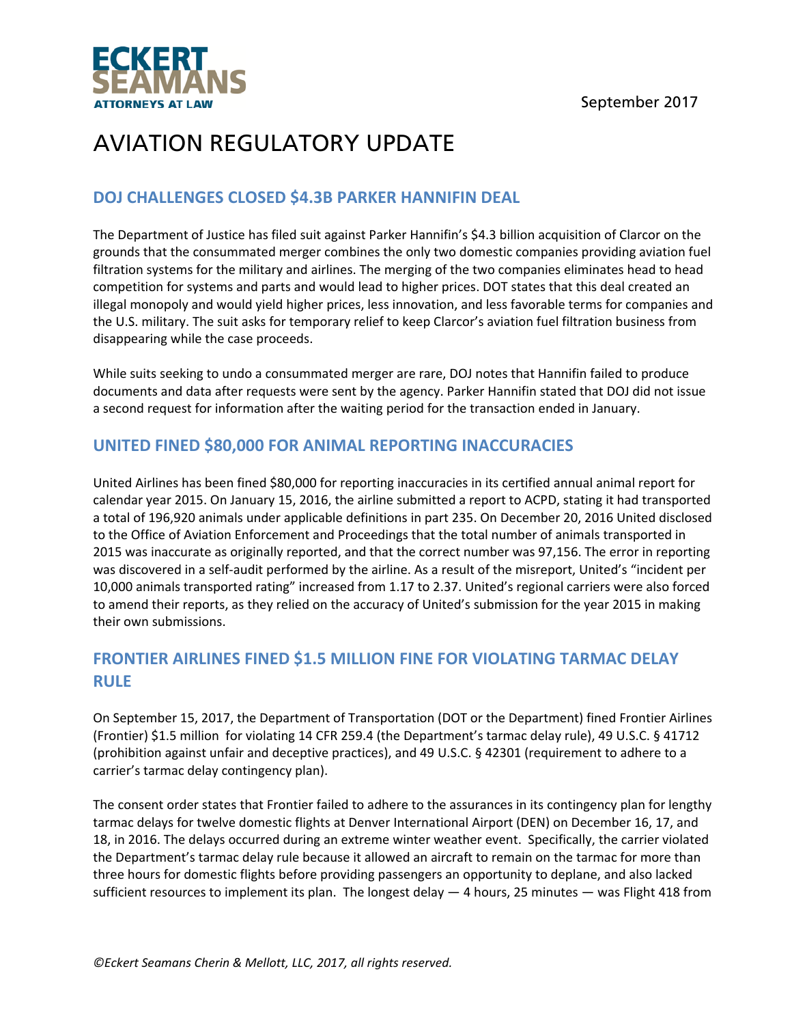

### **DOJ CHALLENGES CLOSED \$4.3B PARKER HANNIFIN DEAL**

The Department of Justice has filed suit against Parker Hannifin's \$4.3 billion acquisition of Clarcor on the grounds that the consummated merger combines the only two domestic companies providing aviation fuel filtration systems for the military and airlines. The merging of the two companies eliminates head to head competition for systems and parts and would lead to higher prices. DOT states that this deal created an illegal monopoly and would yield higher prices, less innovation, and less favorable terms for companies and the U.S. military. The suit asks for temporary relief to keep Clarcor's aviation fuel filtration business from disappearing while the case proceeds.

While suits seeking to undo a consummated merger are rare, DOJ notes that Hannifin failed to produce documents and data after requests were sent by the agency. Parker Hannifin stated that DOJ did not issue a second request for information after the waiting period for the transaction ended in January.

### **UNITED FINED \$80,000 FOR ANIMAL REPORTING INACCURACIES**

United Airlines has been fined \$80,000 for reporting inaccuracies in its certified annual animal report for calendar year 2015. On January 15, 2016, the airline submitted a report to ACPD, stating it had transported a total of 196,920 animals under applicable definitions in part 235. On December 20, 2016 United disclosed to the Office of Aviation Enforcement and Proceedings that the total number of animals transported in 2015 was inaccurate as originally reported, and that the correct number was 97,156. The error in reporting was discovered in a self-audit performed by the airline. As a result of the misreport, United's "incident per 10,000 animals transported rating" increased from 1.17 to 2.37. United's regional carriers were also forced to amend their reports, as they relied on the accuracy of United's submission for the year 2015 in making their own submissions.

## **FRONTIER AIRLINES FINED \$1.5 MILLION FINE FOR VIOLATING TARMAC DELAY RULE**

On September 15, 2017, the Department of Transportation (DOT or the Department) fined Frontier Airlines (Frontier) \$1.5 million for violating 14 CFR 259.4 (the Department's tarmac delay rule), 49 U.S.C. § 41712 (prohibition against unfair and deceptive practices), and 49 U.S.C. § 42301 (requirement to adhere to a carrier's tarmac delay contingency plan).

The consent order states that Frontier failed to adhere to the assurances in its contingency plan for lengthy tarmac delays for twelve domestic flights at Denver International Airport (DEN) on December 16, 17, and 18, in 2016. The delays occurred during an extreme winter weather event. Specifically, the carrier violated the Department's tarmac delay rule because it allowed an aircraft to remain on the tarmac for more than three hours for domestic flights before providing passengers an opportunity to deplane, and also lacked sufficient resources to implement its plan. The longest delay  $-$  4 hours, 25 minutes  $-$  was Flight 418 from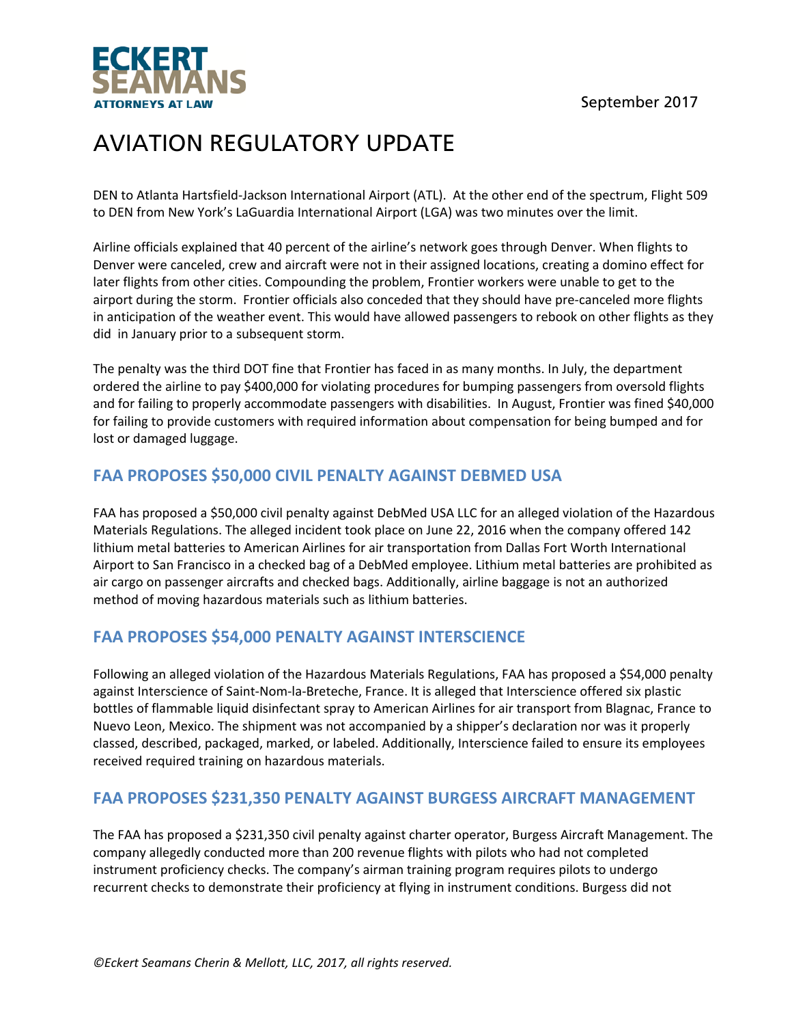September 2017



# AVIATION REGULATORY UPDATE

DEN to Atlanta Hartsfield‐Jackson International Airport (ATL). At the other end of the spectrum, Flight 509 to DEN from New York's LaGuardia International Airport (LGA) was two minutes over the limit.

Airline officials explained that 40 percent of the airline's network goes through Denver. When flights to Denver were canceled, crew and aircraft were not in their assigned locations, creating a domino effect for later flights from other cities. Compounding the problem, Frontier workers were unable to get to the airport during the storm. Frontier officials also conceded that they should have pre-canceled more flights in anticipation of the weather event. This would have allowed passengers to rebook on other flights as they did in January prior to a subsequent storm.

The penalty was the third DOT fine that Frontier has faced in as many months. In July, the department ordered the airline to pay \$400,000 for violating procedures for bumping passengers from oversold flights and for failing to properly accommodate passengers with disabilities. In August, Frontier was fined \$40,000 for failing to provide customers with required information about compensation for being bumped and for lost or damaged luggage.

## **FAA PROPOSES \$50,000 CIVIL PENALTY AGAINST DEBMED USA**

FAA has proposed a \$50,000 civil penalty against DebMed USA LLC for an alleged violation of the Hazardous Materials Regulations. The alleged incident took place on June 22, 2016 when the company offered 142 lithium metal batteries to American Airlines for air transportation from Dallas Fort Worth International Airport to San Francisco in a checked bag of a DebMed employee. Lithium metal batteries are prohibited as air cargo on passenger aircrafts and checked bags. Additionally, airline baggage is not an authorized method of moving hazardous materials such as lithium batteries.

### **FAA PROPOSES \$54,000 PENALTY AGAINST INTERSCIENCE**

Following an alleged violation of the Hazardous Materials Regulations, FAA has proposed a \$54,000 penalty against Interscience of Saint‐Nom‐la‐Breteche, France. It is alleged that Interscience offered six plastic bottles of flammable liquid disinfectant spray to American Airlines for air transport from Blagnac, France to Nuevo Leon, Mexico. The shipment was not accompanied by a shipper's declaration nor was it properly classed, described, packaged, marked, or labeled. Additionally, Interscience failed to ensure its employees received required training on hazardous materials.

### **FAA PROPOSES \$231,350 PENALTY AGAINST BURGESS AIRCRAFT MANAGEMENT**

The FAA has proposed a \$231,350 civil penalty against charter operator, Burgess Aircraft Management. The company allegedly conducted more than 200 revenue flights with pilots who had not completed instrument proficiency checks. The company's airman training program requires pilots to undergo recurrent checks to demonstrate their proficiency at flying in instrument conditions. Burgess did not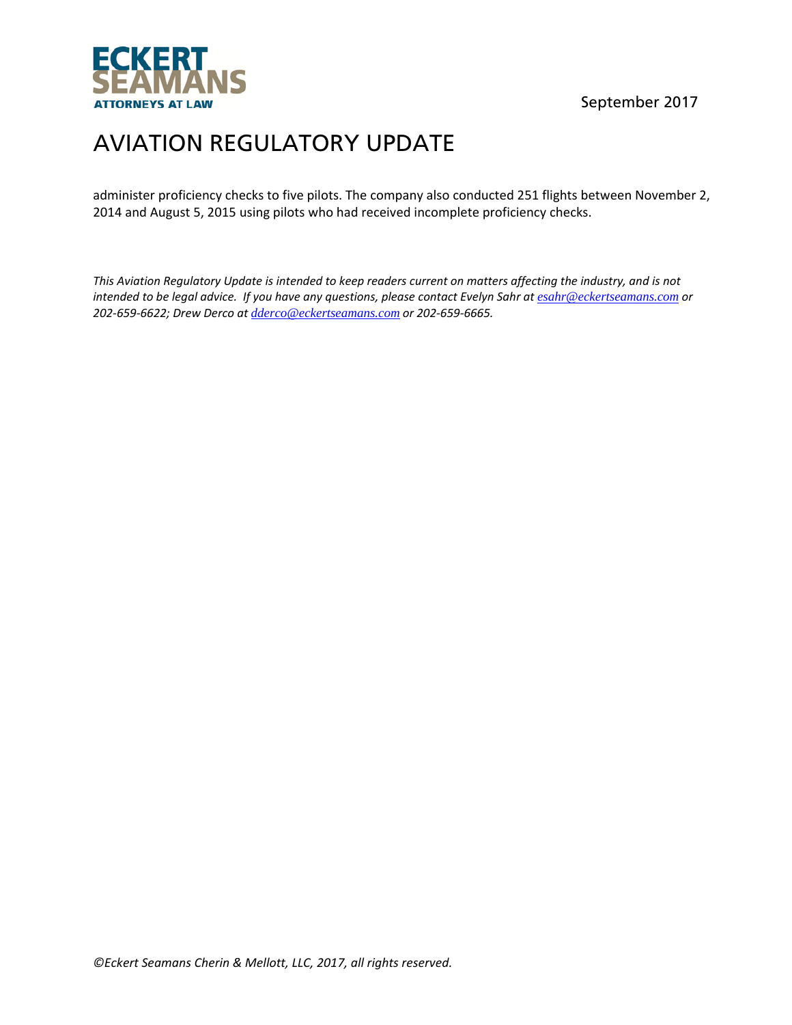

September 2017

# AVIATION REGULATORY UPDATE

administer proficiency checks to five pilots. The company also conducted 251 flights between November 2, 2014 and August 5, 2015 using pilots who had received incomplete proficiency checks.

This Aviation Regulatory Update is intended to keep readers current on matters affecting the industry, and is not intended to be legal advice. If you have any questions, please contact Evelyn Sahr at esahr@eckertseamans.com or *202‐659‐6622; Drew Derco at dderco@eckertseamans.com or 202‐659‐6665.*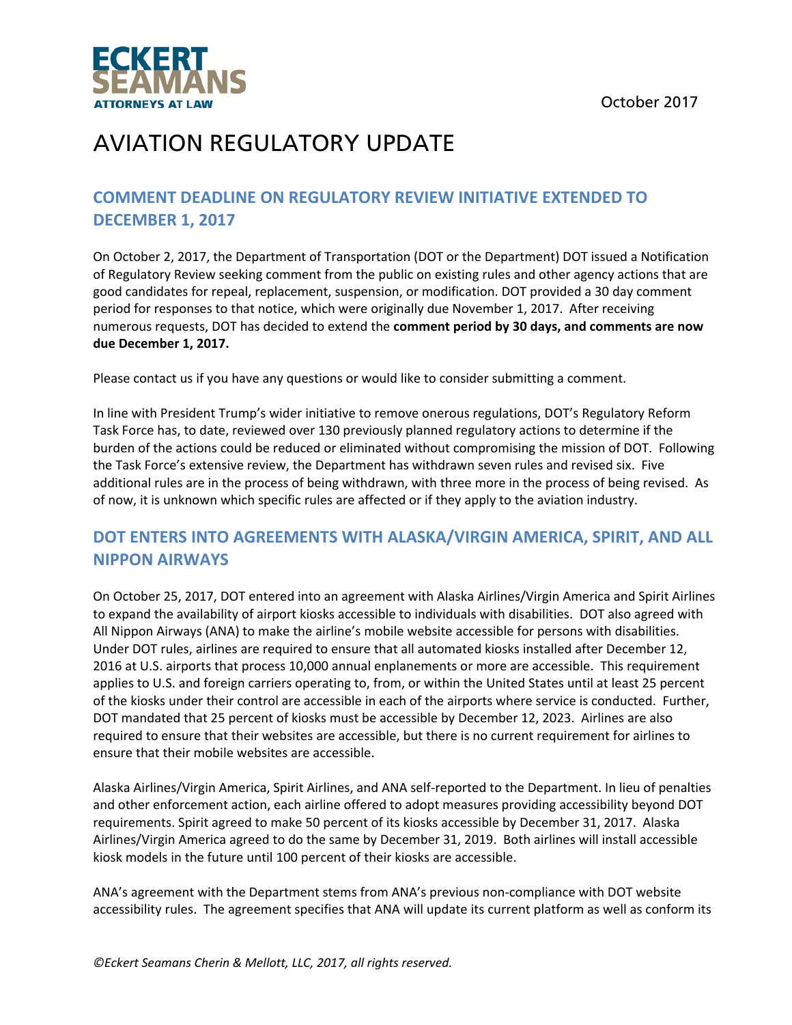

## **COMMENT DEADLINE ON REGULATORY REVIEW INITIATIVE EXTENDED TO DECEMBER 1, 2017**

On October 2, 2017, the Department of Transportation (DOT or the Department) DOT issued a Notification of Regulatory Review seeking comment from the public on existing rules and other agency actions that are good candidates for repeal, replacement, suspension, or modification. DOT provided a 30 day comment period for responses to that notice, which were originally due November 1, 2017. After receiving numerous requests, DOT has decided to extend the **comment period by 30 days, and comments are now due December 1, 2017.**

Please contact us if you have any questions or would like to consider submitting a comment.

In line with President Trump's wider initiative to remove onerous regulations, DOT's Regulatory Reform Task Force has, to date, reviewed over 130 previously planned regulatory actions to determine if the burden of the actions could be reduced or eliminated without compromising the mission of DOT. Following the Task Force's extensive review, the Department has withdrawn seven rules and revised six. Five additional rules are in the process of being withdrawn, with three more in the process of being revised. As of now, it is unknown which specific rules are affected or if they apply to the aviation industry.

## **DOT ENTERS INTO AGREEMENTS WITH ALASKA/VIRGIN AMERICA, SPIRIT, AND ALL NIPPON AIRWAYS**

On October 25, 2017, DOT entered into an agreement with Alaska Airlines/Virgin America and Spirit Airlines to expand the availability of airport kiosks accessible to individuals with disabilities. DOT also agreed with All Nippon Airways (ANA) to make the airline's mobile website accessible for persons with disabilities. Under DOT rules, airlines are required to ensure that all automated kiosks installed after December 12, 2016 at U.S. airports that process 10,000 annual enplanements or more are accessible. This requirement applies to U.S. and foreign carriers operating to, from, or within the United States until at least 25 percent of the kiosks under their control are accessible in each of the airports where service is conducted. Further, DOT mandated that 25 percent of kiosks must be accessible by December 12, 2023. Airlines are also required to ensure that their websites are accessible, but there is no current requirement for airlines to ensure that their mobile websites are accessible.

Alaska Airlines/Virgin America, Spirit Airlines, and ANA self‐reported to the Department. In lieu of penalties and other enforcement action, each airline offered to adopt measures providing accessibility beyond DOT requirements. Spirit agreed to make 50 percent of its kiosks accessible by December 31, 2017. Alaska Airlines/Virgin America agreed to do the same by December 31, 2019. Both airlines will install accessible kiosk models in the future until 100 percent of their kiosks are accessible.

ANA's agreement with the Department stems from ANA's previous non‐compliance with DOT website accessibility rules. The agreement specifies that ANA will update its current platform as well as conform its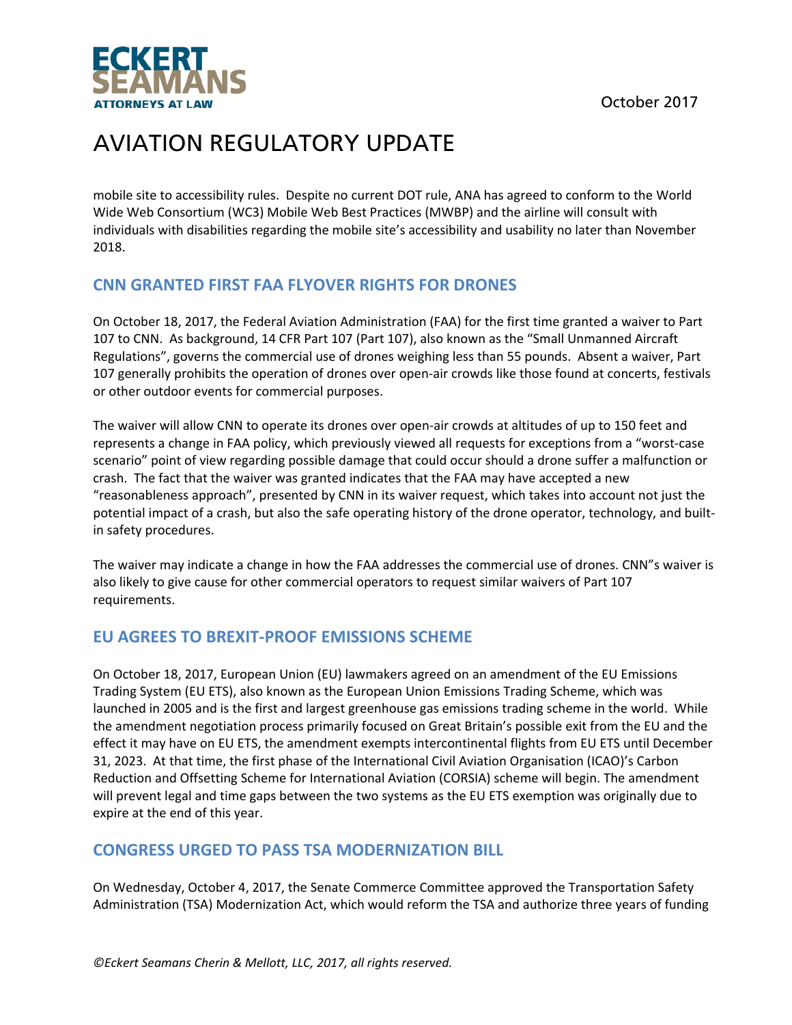

mobile site to accessibility rules. Despite no current DOT rule, ANA has agreed to conform to the World Wide Web Consortium (WC3) Mobile Web Best Practices (MWBP) and the airline will consult with individuals with disabilities regarding the mobile site's accessibility and usability no later than November 2018.

## **CNN GRANTED FIRST FAA FLYOVER RIGHTS FOR DRONES**

On October 18, 2017, the Federal Aviation Administration (FAA) for the first time granted a waiver to Part 107 to CNN. As background, 14 CFR Part 107 (Part 107), also known as the "Small Unmanned Aircraft Regulations", governs the commercial use of drones weighing less than 55 pounds. Absent a waiver, Part 107 generally prohibits the operation of drones over open‐air crowds like those found at concerts, festivals or other outdoor events for commercial purposes.

The waiver will allow CNN to operate its drones over open‐air crowds at altitudes of up to 150 feet and represents a change in FAA policy, which previously viewed all requests for exceptions from a "worst‐case scenario" point of view regarding possible damage that could occur should a drone suffer a malfunction or crash. The fact that the waiver was granted indicates that the FAA may have accepted a new "reasonableness approach", presented by CNN in its waiver request, which takes into account not just the potential impact of a crash, but also the safe operating history of the drone operator, technology, and builtin safety procedures.

The waiver may indicate a change in how the FAA addresses the commercial use of drones. CNN"s waiver is also likely to give cause for other commercial operators to request similar waivers of Part 107 requirements.

### **EU AGREES TO BREXIT‐PROOF EMISSIONS SCHEME**

On October 18, 2017, European Union (EU) lawmakers agreed on an amendment of the EU Emissions Trading System (EU ETS), also known as the European Union Emissions Trading Scheme, which was launched in 2005 and is the first and largest greenhouse gas emissions trading scheme in the world. While the amendment negotiation process primarily focused on Great Britain's possible exit from the EU and the effect it may have on EU ETS, the amendment exempts intercontinental flights from EU ETS until December 31, 2023. At that time, the first phase of the International Civil Aviation Organisation (ICAO)'s Carbon Reduction and Offsetting Scheme for International Aviation (CORSIA) scheme will begin. The amendment will prevent legal and time gaps between the two systems as the EU ETS exemption was originally due to expire at the end of this year.

### **CONGRESS URGED TO PASS TSA MODERNIZATION BILL**

On Wednesday, October 4, 2017, the Senate Commerce Committee approved the Transportation Safety Administration (TSA) Modernization Act, which would reform the TSA and authorize three years of funding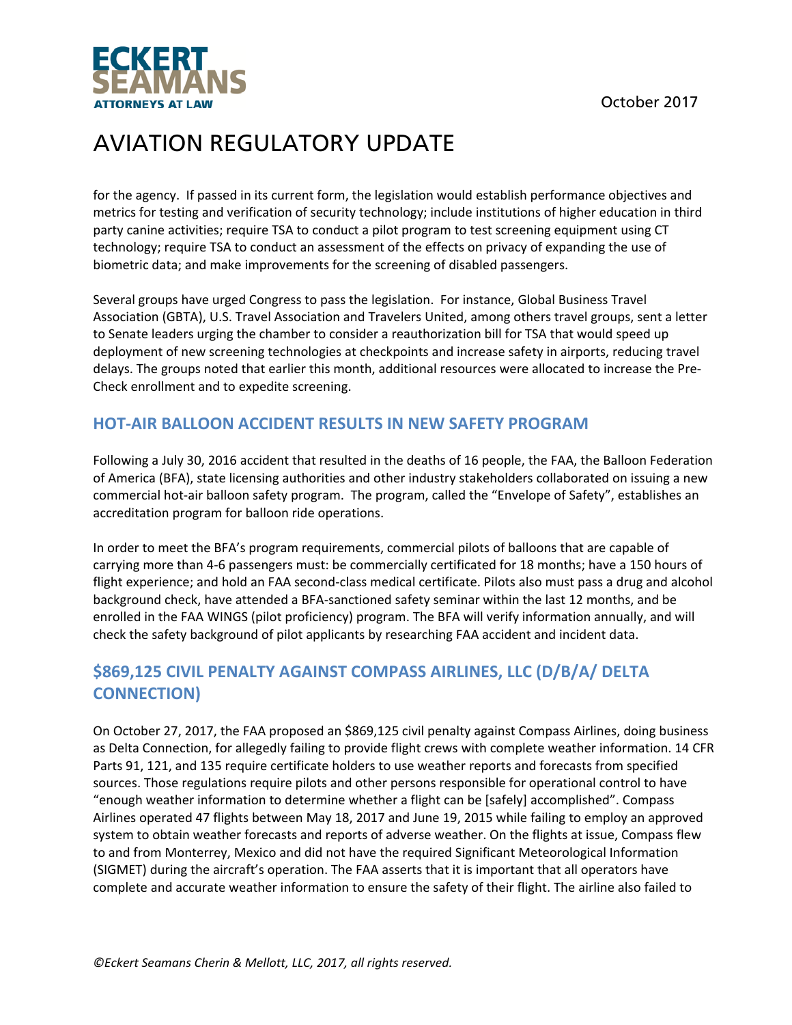



for the agency. If passed in its current form, the legislation would establish performance objectives and metrics for testing and verification of security technology; include institutions of higher education in third party canine activities; require TSA to conduct a pilot program to test screening equipment using CT technology; require TSA to conduct an assessment of the effects on privacy of expanding the use of biometric data; and make improvements for the screening of disabled passengers.

Several groups have urged Congress to pass the legislation. For instance, Global Business Travel Association (GBTA), U.S. Travel Association and Travelers United, among others travel groups, sent a letter to Senate leaders urging the chamber to consider a reauthorization bill for TSA that would speed up deployment of new screening technologies at checkpoints and increase safety in airports, reducing travel delays. The groups noted that earlier this month, additional resources were allocated to increase the Pre‐ Check enrollment and to expedite screening.

## **HOT‐AIR BALLOON ACCIDENT RESULTS IN NEW SAFETY PROGRAM**

Following a July 30, 2016 accident that resulted in the deaths of 16 people, the FAA, the Balloon Federation of America (BFA), state licensing authorities and other industry stakeholders collaborated on issuing a new commercial hot‐air balloon safety program. The program, called the "Envelope of Safety", establishes an accreditation program for balloon ride operations.

In order to meet the BFA's program requirements, commercial pilots of balloons that are capable of carrying more than 4‐6 passengers must: be commercially certificated for 18 months; have a 150 hours of flight experience; and hold an FAA second‐class medical certificate. Pilots also must pass a drug and alcohol background check, have attended a BFA‐sanctioned safety seminar within the last 12 months, and be enrolled in the FAA WINGS (pilot proficiency) program. The BFA will verify information annually, and will check the safety background of pilot applicants by researching FAA accident and incident data.

## **\$869,125 CIVIL PENALTY AGAINST COMPASS AIRLINES, LLC (D/B/A/ DELTA CONNECTION)**

On October 27, 2017, the FAA proposed an \$869,125 civil penalty against Compass Airlines, doing business as Delta Connection, for allegedly failing to provide flight crews with complete weather information. 14 CFR Parts 91, 121, and 135 require certificate holders to use weather reports and forecasts from specified sources. Those regulations require pilots and other persons responsible for operational control to have "enough weather information to determine whether a flight can be [safely] accomplished". Compass Airlines operated 47 flights between May 18, 2017 and June 19, 2015 while failing to employ an approved system to obtain weather forecasts and reports of adverse weather. On the flights at issue, Compass flew to and from Monterrey, Mexico and did not have the required Significant Meteorological Information (SIGMET) during the aircraft's operation. The FAA asserts that it is important that all operators have complete and accurate weather information to ensure the safety of their flight. The airline also failed to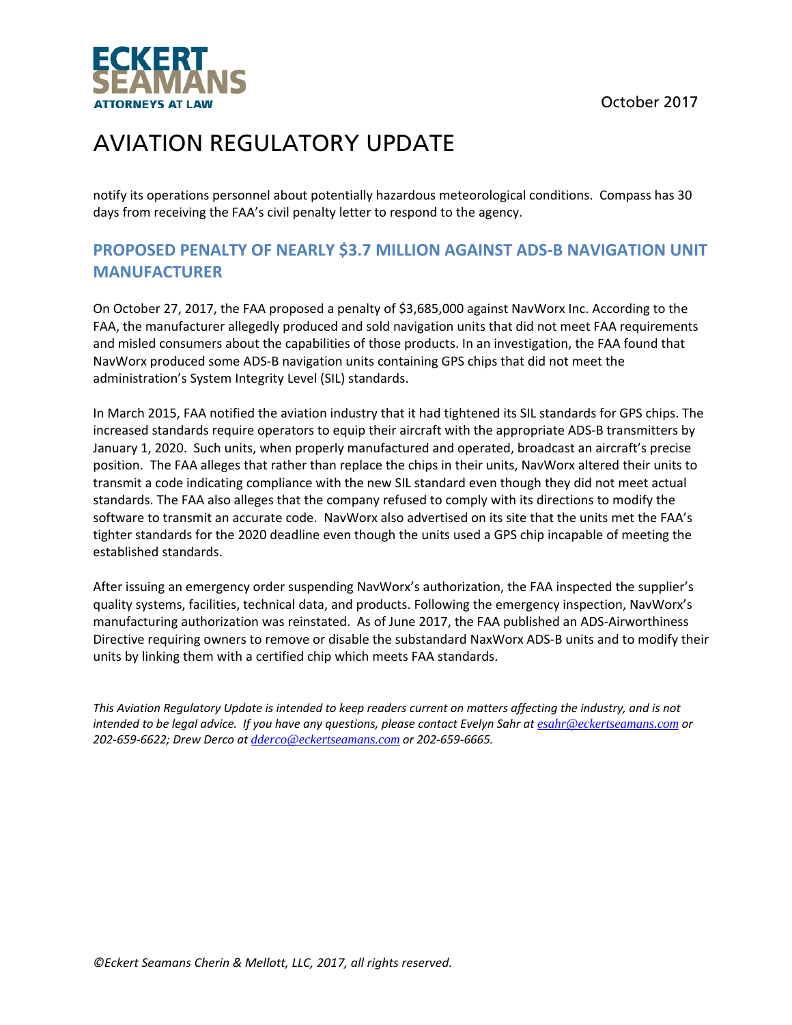October 2017



# AVIATION REGULATORY UPDATE

notify its operations personnel about potentially hazardous meteorological conditions. Compass has 30 days from receiving the FAA's civil penalty letter to respond to the agency.

## **PROPOSED PENALTY OF NEARLY \$3.7 MILLION AGAINST ADS‐B NAVIGATION UNIT MANUFACTURER**

On October 27, 2017, the FAA proposed a penalty of \$3,685,000 against NavWorx Inc. According to the FAA, the manufacturer allegedly produced and sold navigation units that did not meet FAA requirements and misled consumers about the capabilities of those products. In an investigation, the FAA found that NavWorx produced some ADS‐B navigation units containing GPS chips that did not meet the administration's System Integrity Level (SIL) standards.

In March 2015, FAA notified the aviation industry that it had tightened its SIL standards for GPS chips. The increased standards require operators to equip their aircraft with the appropriate ADS‐B transmitters by January 1, 2020. Such units, when properly manufactured and operated, broadcast an aircraft's precise position. The FAA alleges that rather than replace the chips in their units, NavWorx altered their units to transmit a code indicating compliance with the new SIL standard even though they did not meet actual standards. The FAA also alleges that the company refused to comply with its directions to modify the software to transmit an accurate code. NavWorx also advertised on its site that the units met the FAA's tighter standards for the 2020 deadline even though the units used a GPS chip incapable of meeting the established standards.

After issuing an emergency order suspending NavWorx's authorization, the FAA inspected the supplier's quality systems, facilities, technical data, and products. Following the emergency inspection, NavWorx's manufacturing authorization was reinstated. As of June 2017, the FAA published an ADS‐Airworthiness Directive requiring owners to remove or disable the substandard NaxWorx ADS‐B units and to modify their units by linking them with a certified chip which meets FAA standards.

This Aviation Regulatory Update is intended to keep readers current on matters affecting the industry, and is not intended to be legal advice. If you have any questions, please contact Evelyn Sahr at esahr@eckertseamans.com or *202‐659‐6622; Drew Derco at dderco@eckertseamans.com or 202‐659‐6665.*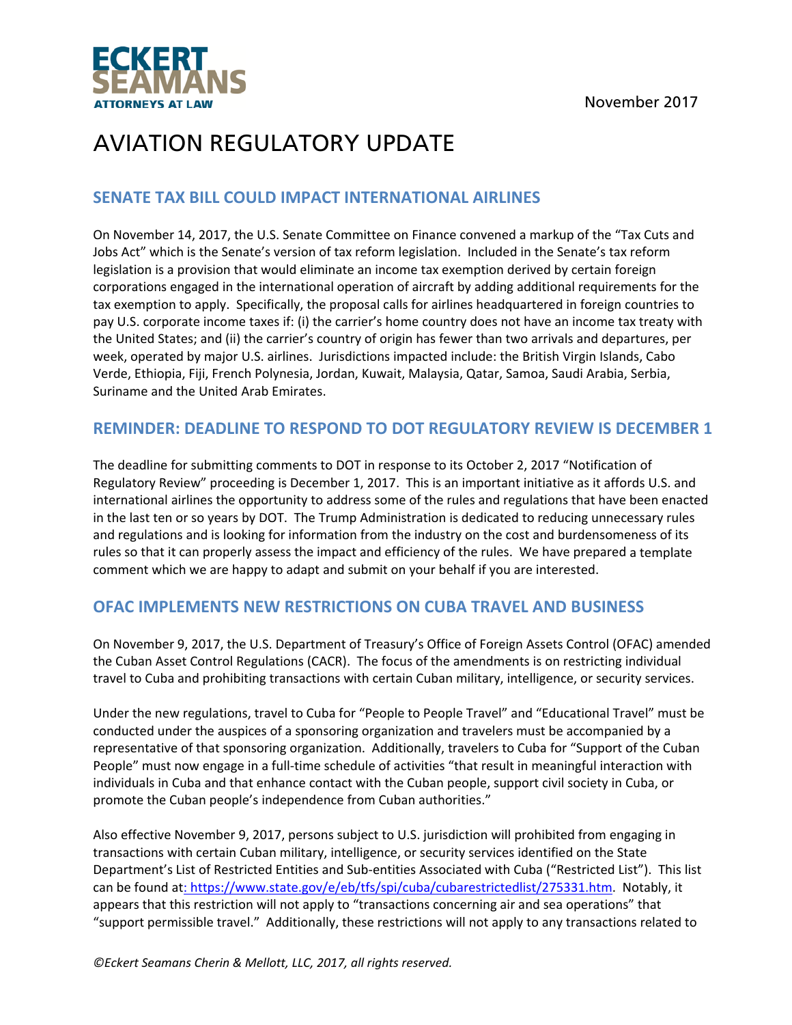

### **SENATE TAX BILL COULD IMPACT INTERNATIONAL AIRLINES**

On November 14, 2017, the U.S. Senate Committee on Finance convened a markup of the "Tax Cuts and Jobs Act" which is the Senate's version of tax reform legislation. Included in the Senate's tax reform legislation is a provision that would eliminate an income tax exemption derived by certain foreign corporations engaged in the international operation of aircraft by adding additional requirements for the tax exemption to apply. Specifically, the proposal calls for airlines headquartered in foreign countries to pay U.S. corporate income taxes if: (i) the carrier's home country does not have an income tax treaty with the United States; and (ii) the carrier's country of origin has fewer than two arrivals and departures, per week, operated by major U.S. airlines. Jurisdictions impacted include: the British Virgin Islands, Cabo Verde, Ethiopia, Fiji, French Polynesia, Jordan, Kuwait, Malaysia, Qatar, Samoa, Saudi Arabia, Serbia, Suriname and the United Arab Emirates.

### **REMINDER: DEADLINE TO RESPOND TO DOT REGULATORY REVIEW IS DECEMBER 1**

The deadline for submitting comments to DOT in response to its October 2, 2017 "Notification of Regulatory Review" proceeding is December 1, 2017. This is an important initiative as it affords U.S. and international airlines the opportunity to address some of the rules and regulations that have been enacted in the last ten or so years by DOT. The Trump Administration is dedicated to reducing unnecessary rules and regulations and is looking for information from the industry on the cost and burdensomeness of its rules so that it can properly assess the impact and efficiency of the rules. We have prepared a template comment which we are happy to adapt and submit on your behalf if you are interested.

### **OFAC IMPLEMENTS NEW RESTRICTIONS ON CUBA TRAVEL AND BUSINESS**

On November 9, 2017, the U.S. Department of Treasury's Office of Foreign Assets Control (OFAC) amended the Cuban Asset Control Regulations (CACR). The focus of the amendments is on restricting individual travel to Cuba and prohibiting transactions with certain Cuban military, intelligence, or security services.

Under the new regulations, travel to Cuba for "People to People Travel" and "Educational Travel" must be conducted under the auspices of a sponsoring organization and travelers must be accompanied by a representative of that sponsoring organization. Additionally, travelers to Cuba for "Support of the Cuban People" must now engage in a full‐time schedule of activities "that result in meaningful interaction with individuals in Cuba and that enhance contact with the Cuban people, support civil society in Cuba, or promote the Cuban people's independence from Cuban authorities."

Also effective November 9, 2017, persons subject to U.S. jurisdiction will prohibited from engaging in transactions with certain Cuban military, intelligence, or security services identified on the State Department's List of Restricted Entities and Sub‐entities Associated with Cuba ("Restricted List"). This list can be found at: https://www.state.gov/e/eb/tfs/spi/cuba/cubarestrictedlist/275331.htm. Notably, it appears that this restriction will not apply to "transactions concerning air and sea operations" that "support permissible travel." Additionally, these restrictions will not apply to any transactions related to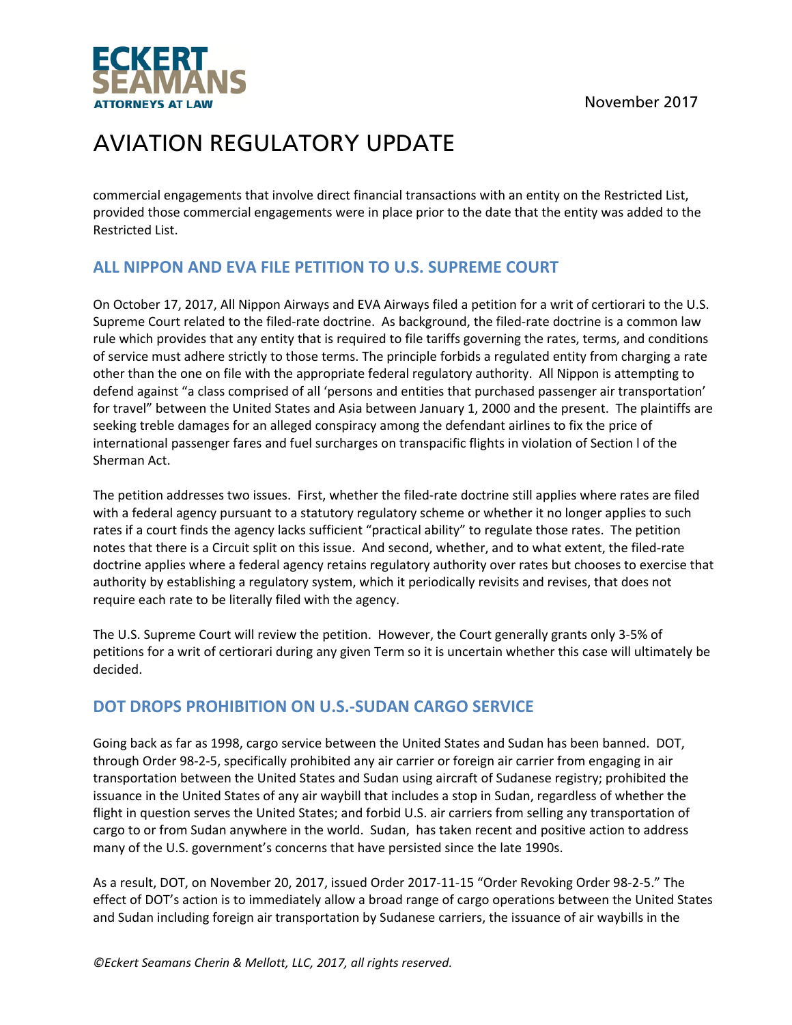

commercial engagements that involve direct financial transactions with an entity on the Restricted List, provided those commercial engagements were in place prior to the date that the entity was added to the Restricted List.

## **ALL NIPPON AND EVA FILE PETITION TO U.S. SUPREME COURT**

On October 17, 2017, All Nippon Airways and EVA Airways filed a petition for a writ of certiorari to the U.S. Supreme Court related to the filed-rate doctrine. As background, the filed-rate doctrine is a common law rule which provides that any entity that is required to file tariffs governing the rates, terms, and conditions of service must adhere strictly to those terms. The principle forbids a regulated entity from charging a rate other than the one on file with the appropriate federal regulatory authority. All Nippon is attempting to defend against "a class comprised of all 'persons and entities that purchased passenger air transportation' for travel" between the United States and Asia between January 1, 2000 and the present. The plaintiffs are seeking treble damages for an alleged conspiracy among the defendant airlines to fix the price of international passenger fares and fuel surcharges on transpacific flights in violation of Section l of the Sherman Act.

The petition addresses two issues. First, whether the filed‐rate doctrine still applies where rates are filed with a federal agency pursuant to a statutory regulatory scheme or whether it no longer applies to such rates if a court finds the agency lacks sufficient "practical ability" to regulate those rates. The petition notes that there is a Circuit split on this issue. And second, whether, and to what extent, the filed‐rate doctrine applies where a federal agency retains regulatory authority over rates but chooses to exercise that authority by establishing a regulatory system, which it periodically revisits and revises, that does not require each rate to be literally filed with the agency.

The U.S. Supreme Court will review the petition. However, the Court generally grants only 3‐5% of petitions for a writ of certiorari during any given Term so it is uncertain whether this case will ultimately be decided.

## **DOT DROPS PROHIBITION ON U.S.‐SUDAN CARGO SERVICE**

Going back as far as 1998, cargo service between the United States and Sudan has been banned. DOT, through Order 98‐2‐5, specifically prohibited any air carrier or foreign air carrier from engaging in air transportation between the United States and Sudan using aircraft of Sudanese registry; prohibited the issuance in the United States of any air waybill that includes a stop in Sudan, regardless of whether the flight in question serves the United States; and forbid U.S. air carriers from selling any transportation of cargo to or from Sudan anywhere in the world. Sudan, has taken recent and positive action to address many of the U.S. government's concerns that have persisted since the late 1990s.

As a result, DOT, on November 20, 2017, issued Order 2017‐11‐15 "Order Revoking Order 98‐2‐5." The effect of DOT's action is to immediately allow a broad range of cargo operations between the United States and Sudan including foreign air transportation by Sudanese carriers, the issuance of air waybills in the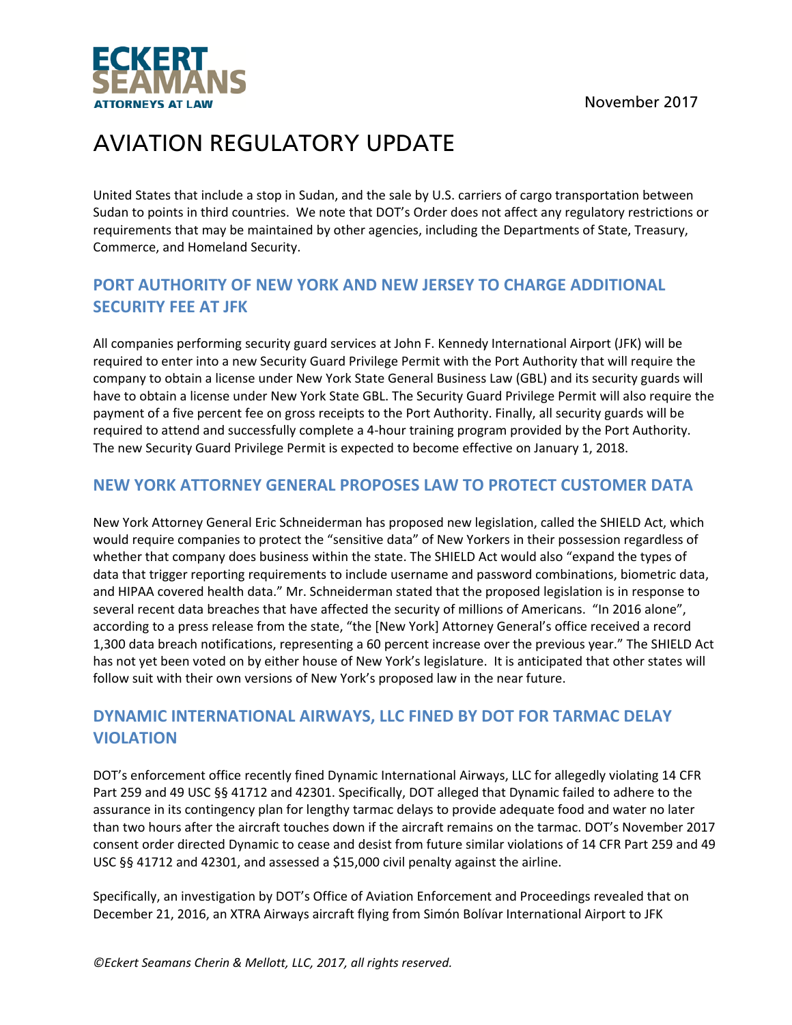

United States that include a stop in Sudan, and the sale by U.S. carriers of cargo transportation between Sudan to points in third countries. We note that DOT's Order does not affect any regulatory restrictions or requirements that may be maintained by other agencies, including the Departments of State, Treasury, Commerce, and Homeland Security.

## **PORT AUTHORITY OF NEW YORK AND NEW JERSEY TO CHARGE ADDITIONAL SECURITY FEE AT JFK**

All companies performing security guard services at John F. Kennedy International Airport (JFK) will be required to enter into a new Security Guard Privilege Permit with the Port Authority that will require the company to obtain a license under New York State General Business Law (GBL) and its security guards will have to obtain a license under New York State GBL. The Security Guard Privilege Permit will also require the payment of a five percent fee on gross receipts to the Port Authority. Finally, all security guards will be required to attend and successfully complete a 4‐hour training program provided by the Port Authority. The new Security Guard Privilege Permit is expected to become effective on January 1, 2018.

## **NEW YORK ATTORNEY GENERAL PROPOSES LAW TO PROTECT CUSTOMER DATA**

New York Attorney General Eric Schneiderman has proposed new legislation, called the SHIELD Act, which would require companies to protect the "sensitive data" of New Yorkers in their possession regardless of whether that company does business within the state. The SHIELD Act would also "expand the types of data that trigger reporting requirements to include username and password combinations, biometric data, and HIPAA covered health data." Mr. Schneiderman stated that the proposed legislation is in response to several recent data breaches that have affected the security of millions of Americans. "In 2016 alone", according to a press release from the state, "the [New York] Attorney General's office received a record 1,300 data breach notifications, representing a 60 percent increase over the previous year." The SHIELD Act has not yet been voted on by either house of New York's legislature. It is anticipated that other states will follow suit with their own versions of New York's proposed law in the near future.

## **DYNAMIC INTERNATIONAL AIRWAYS, LLC FINED BY DOT FOR TARMAC DELAY VIOLATION**

DOT's enforcement office recently fined Dynamic International Airways, LLC for allegedly violating 14 CFR Part 259 and 49 USC §§ 41712 and 42301. Specifically, DOT alleged that Dynamic failed to adhere to the assurance in its contingency plan for lengthy tarmac delays to provide adequate food and water no later than two hours after the aircraft touches down if the aircraft remains on the tarmac. DOT's November 2017 consent order directed Dynamic to cease and desist from future similar violations of 14 CFR Part 259 and 49 USC §§ 41712 and 42301, and assessed a \$15,000 civil penalty against the airline.

Specifically, an investigation by DOT's Office of Aviation Enforcement and Proceedings revealed that on December 21, 2016, an XTRA Airways aircraft flying from Simón Bolívar International Airport to JFK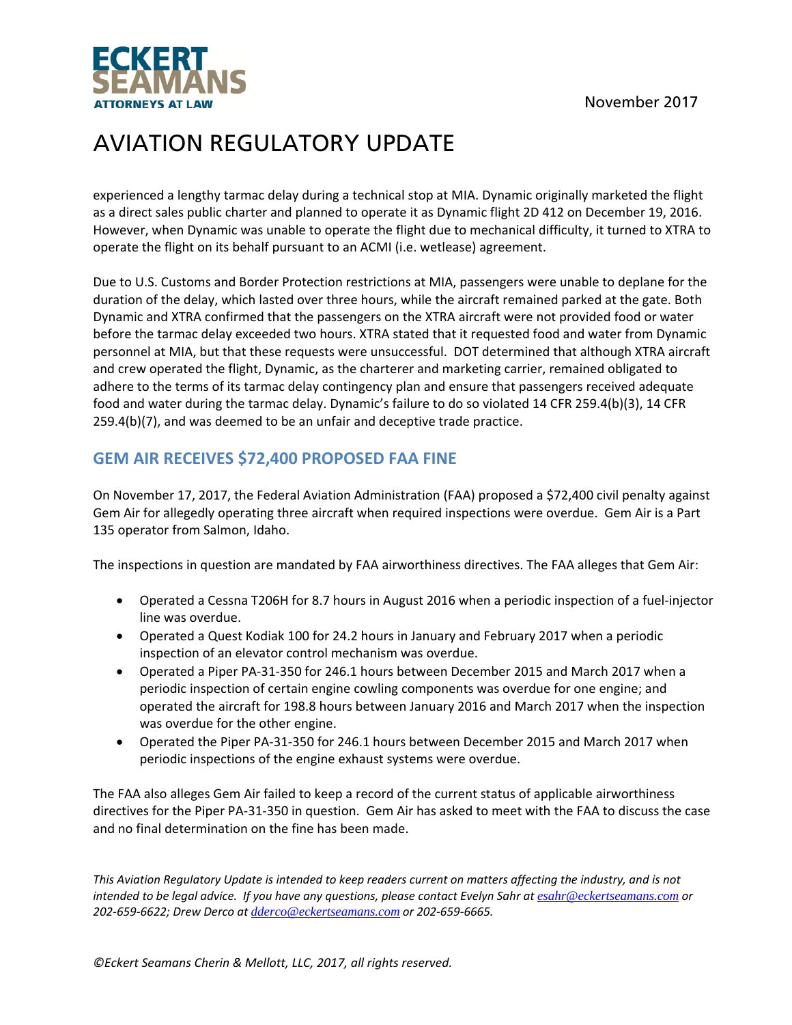

experienced a lengthy tarmac delay during a technical stop at MIA. Dynamic originally marketed the flight as a direct sales public charter and planned to operate it as Dynamic flight 2D 412 on December 19, 2016. However, when Dynamic was unable to operate the flight due to mechanical difficulty, it turned to XTRA to operate the flight on its behalf pursuant to an ACMI (i.e. wetlease) agreement.

Due to U.S. Customs and Border Protection restrictions at MIA, passengers were unable to deplane for the duration of the delay, which lasted over three hours, while the aircraft remained parked at the gate. Both Dynamic and XTRA confirmed that the passengers on the XTRA aircraft were not provided food or water before the tarmac delay exceeded two hours. XTRA stated that it requested food and water from Dynamic personnel at MIA, but that these requests were unsuccessful. DOT determined that although XTRA aircraft and crew operated the flight, Dynamic, as the charterer and marketing carrier, remained obligated to adhere to the terms of its tarmac delay contingency plan and ensure that passengers received adequate food and water during the tarmac delay. Dynamic's failure to do so violated 14 CFR 259.4(b)(3), 14 CFR 259.4(b)(7), and was deemed to be an unfair and deceptive trade practice.

## **GEM AIR RECEIVES \$72,400 PROPOSED FAA FINE**

On November 17, 2017, the Federal Aviation Administration (FAA) proposed a \$72,400 civil penalty against Gem Air for allegedly operating three aircraft when required inspections were overdue. Gem Air is a Part 135 operator from Salmon, Idaho.

The inspections in question are mandated by FAA airworthiness directives. The FAA alleges that Gem Air:

- Operated a Cessna T206H for 8.7 hours in August 2016 when a periodic inspection of a fuel‐injector line was overdue.
- Operated a Quest Kodiak 100 for 24.2 hours in January and February 2017 when a periodic inspection of an elevator control mechanism was overdue.
- Operated a Piper PA‐31‐350 for 246.1 hours between December 2015 and March 2017 when a periodic inspection of certain engine cowling components was overdue for one engine; and operated the aircraft for 198.8 hours between January 2016 and March 2017 when the inspection was overdue for the other engine.
- Operated the Piper PA‐31‐350 for 246.1 hours between December 2015 and March 2017 when periodic inspections of the engine exhaust systems were overdue.

The FAA also alleges Gem Air failed to keep a record of the current status of applicable airworthiness directives for the Piper PA‐31‐350 in question. Gem Air has asked to meet with the FAA to discuss the case and no final determination on the fine has been made.

This Aviation Regulatory Update is intended to keep readers current on matters affecting the industry, and is not intended to be legal advice. If you have any questions, please contact Evelyn Sahr at esahr@eckertseamans.com or *202‐659‐6622; Drew Derco at dderco@eckertseamans.com or 202‐659‐6665.*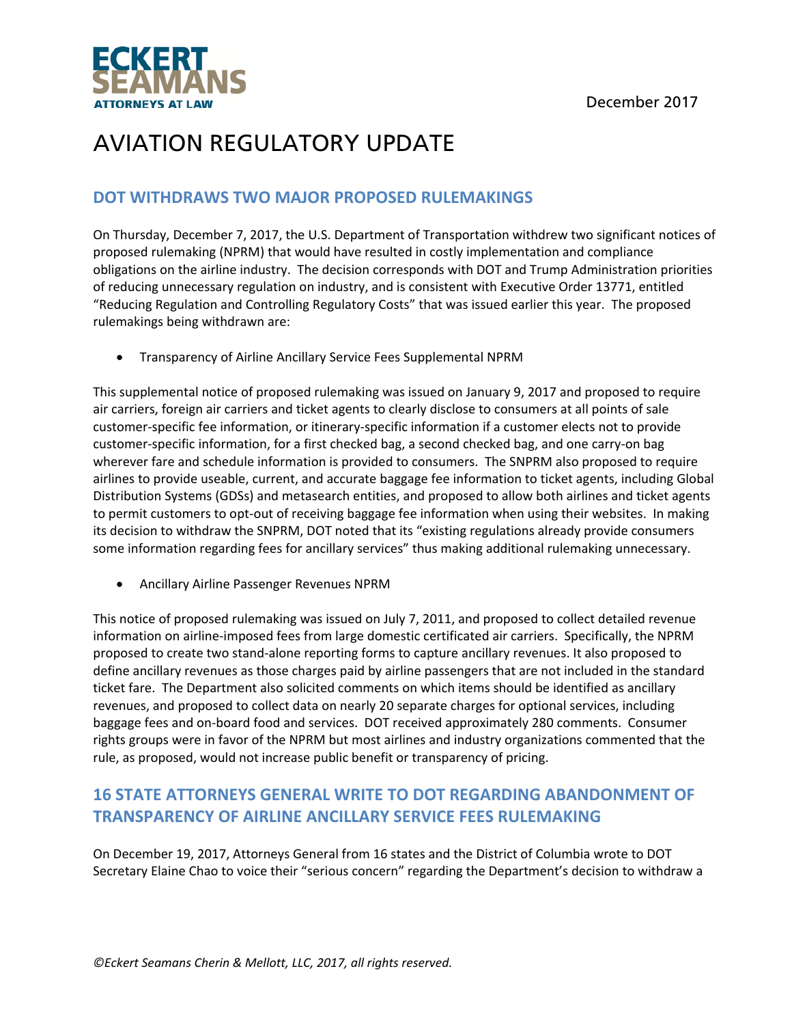

### **DOT WITHDRAWS TWO MAJOR PROPOSED RULEMAKINGS**

On Thursday, December 7, 2017, the U.S. Department of Transportation withdrew two significant notices of proposed rulemaking (NPRM) that would have resulted in costly implementation and compliance obligations on the airline industry. The decision corresponds with DOT and Trump Administration priorities of reducing unnecessary regulation on industry, and is consistent with Executive Order 13771, entitled "Reducing Regulation and Controlling Regulatory Costs" that was issued earlier this year. The proposed rulemakings being withdrawn are:

Transparency of Airline Ancillary Service Fees Supplemental NPRM

This supplemental notice of proposed rulemaking was issued on January 9, 2017 and proposed to require air carriers, foreign air carriers and ticket agents to clearly disclose to consumers at all points of sale customer‐specific fee information, or itinerary‐specific information if a customer elects not to provide customer‐specific information, for a first checked bag, a second checked bag, and one carry‐on bag wherever fare and schedule information is provided to consumers. The SNPRM also proposed to require airlines to provide useable, current, and accurate baggage fee information to ticket agents, including Global Distribution Systems (GDSs) and metasearch entities, and proposed to allow both airlines and ticket agents to permit customers to opt-out of receiving baggage fee information when using their websites. In making its decision to withdraw the SNPRM, DOT noted that its "existing regulations already provide consumers some information regarding fees for ancillary services" thus making additional rulemaking unnecessary.

Ancillary Airline Passenger Revenues NPRM

This notice of proposed rulemaking was issued on July 7, 2011, and proposed to collect detailed revenue information on airline‐imposed fees from large domestic certificated air carriers. Specifically, the NPRM proposed to create two stand‐alone reporting forms to capture ancillary revenues. It also proposed to define ancillary revenues as those charges paid by airline passengers that are not included in the standard ticket fare. The Department also solicited comments on which items should be identified as ancillary revenues, and proposed to collect data on nearly 20 separate charges for optional services, including baggage fees and on‐board food and services. DOT received approximately 280 comments. Consumer rights groups were in favor of the NPRM but most airlines and industry organizations commented that the rule, as proposed, would not increase public benefit or transparency of pricing.

## **16 STATE ATTORNEYS GENERAL WRITE TO DOT REGARDING ABANDONMENT OF TRANSPARENCY OF AIRLINE ANCILLARY SERVICE FEES RULEMAKING**

On December 19, 2017, Attorneys General from 16 states and the District of Columbia wrote to DOT Secretary Elaine Chao to voice their "serious concern" regarding the Department's decision to withdraw a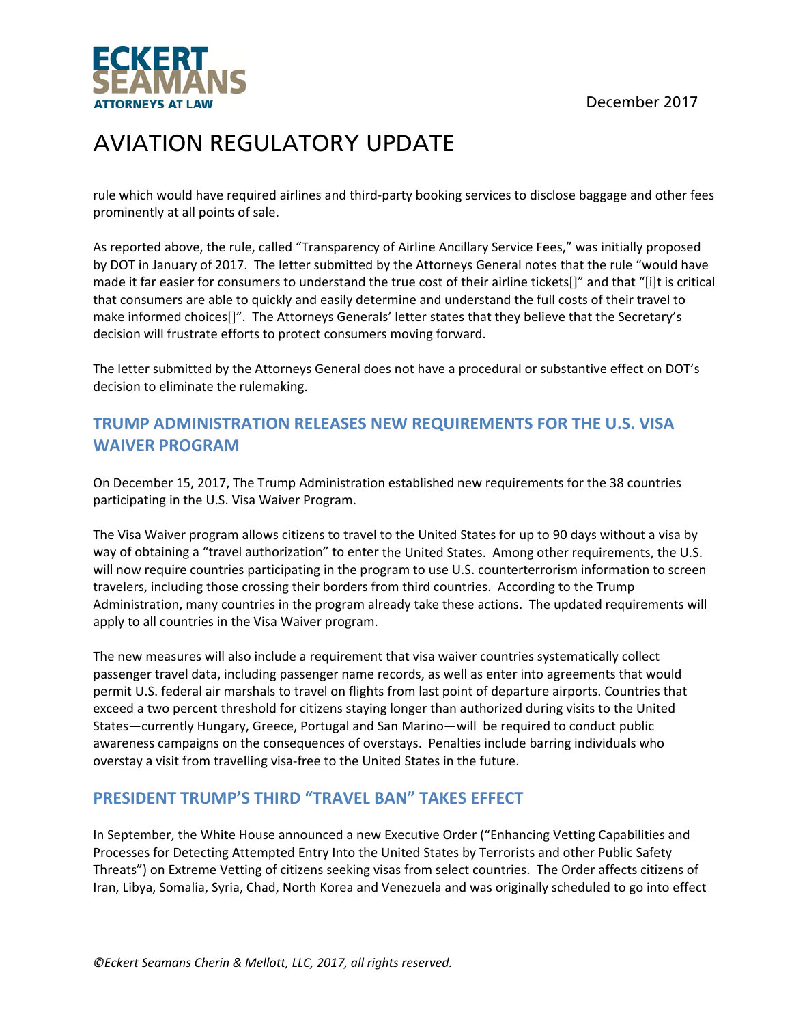December 2017



# AVIATION REGULATORY UPDATE

rule which would have required airlines and third‐party booking services to disclose baggage and other fees prominently at all points of sale.

As reported above, the rule, called "Transparency of Airline Ancillary Service Fees," was initially proposed by DOT in January of 2017. The letter submitted by the Attorneys General notes that the rule "would have made it far easier for consumers to understand the true cost of their airline tickets[]" and that "[i]t is critical that consumers are able to quickly and easily determine and understand the full costs of their travel to make informed choices[]". The Attorneys Generals' letter states that they believe that the Secretary's decision will frustrate efforts to protect consumers moving forward.

The letter submitted by the Attorneys General does not have a procedural or substantive effect on DOT's decision to eliminate the rulemaking.

## **TRUMP ADMINISTRATION RELEASES NEW REQUIREMENTS FOR THE U.S. VISA WAIVER PROGRAM**

On December 15, 2017, The Trump Administration established new requirements for the 38 countries participating in the U.S. Visa Waiver Program.

The Visa Waiver program allows citizens to travel to the United States for up to 90 days without a visa by way of obtaining a "travel authorization" to enter the United States. Among other requirements, the U.S. will now require countries participating in the program to use U.S. counterterrorism information to screen travelers, including those crossing their borders from third countries. According to the Trump Administration, many countries in the program already take these actions. The updated requirements will apply to all countries in the Visa Waiver program.

The new measures will also include a requirement that visa waiver countries systematically collect passenger travel data, including passenger name records, as well as enter into agreements that would permit U.S. federal air marshals to travel on flights from last point of departure airports. Countries that exceed a two percent threshold for citizens staying longer than authorized during visits to the United States—currently Hungary, Greece, Portugal and San Marino—will be required to conduct public awareness campaigns on the consequences of overstays. Penalties include barring individuals who overstay a visit from travelling visa‐free to the United States in the future.

### **PRESIDENT TRUMP'S THIRD "TRAVEL BAN" TAKES EFFECT**

In September, the White House announced a new Executive Order ("Enhancing Vetting Capabilities and Processes for Detecting Attempted Entry Into the United States by Terrorists and other Public Safety Threats") on Extreme Vetting of citizens seeking visas from select countries. The Order affects citizens of Iran, Libya, Somalia, Syria, Chad, North Korea and Venezuela and was originally scheduled to go into effect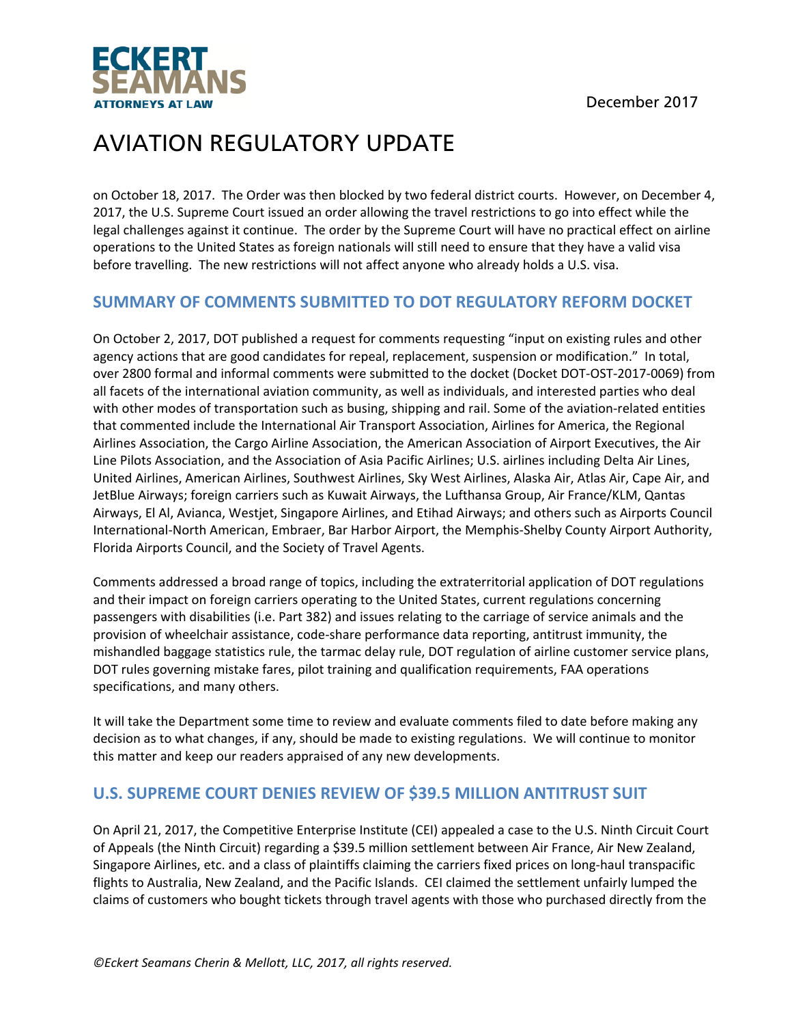

on October 18, 2017. The Order was then blocked by two federal district courts. However, on December 4, 2017, the U.S. Supreme Court issued an order allowing the travel restrictions to go into effect while the legal challenges against it continue. The order by the Supreme Court will have no practical effect on airline operations to the United States as foreign nationals will still need to ensure that they have a valid visa before travelling. The new restrictions will not affect anyone who already holds a U.S. visa.

#### **SUMMARY OF COMMENTS SUBMITTED TO DOT REGULATORY REFORM DOCKET**

On October 2, 2017, DOT published a request for comments requesting "input on existing rules and other agency actions that are good candidates for repeal, replacement, suspension or modification." In total, over 2800 formal and informal comments were submitted to the docket (Docket DOT‐OST‐2017‐0069) from all facets of the international aviation community, as well as individuals, and interested parties who deal with other modes of transportation such as busing, shipping and rail. Some of the aviation-related entities that commented include the International Air Transport Association, Airlines for America, the Regional Airlines Association, the Cargo Airline Association, the American Association of Airport Executives, the Air Line Pilots Association, and the Association of Asia Pacific Airlines; U.S. airlines including Delta Air Lines, United Airlines, American Airlines, Southwest Airlines, Sky West Airlines, Alaska Air, Atlas Air, Cape Air, and JetBlue Airways; foreign carriers such as Kuwait Airways, the Lufthansa Group, Air France/KLM, Qantas Airways, El Al, Avianca, Westjet, Singapore Airlines, and Etihad Airways; and others such as Airports Council International‐North American, Embraer, Bar Harbor Airport, the Memphis‐Shelby County Airport Authority, Florida Airports Council, and the Society of Travel Agents.

Comments addressed a broad range of topics, including the extraterritorial application of DOT regulations and their impact on foreign carriers operating to the United States, current regulations concerning passengers with disabilities (i.e. Part 382) and issues relating to the carriage of service animals and the provision of wheelchair assistance, code‐share performance data reporting, antitrust immunity, the mishandled baggage statistics rule, the tarmac delay rule, DOT regulation of airline customer service plans, DOT rules governing mistake fares, pilot training and qualification requirements, FAA operations specifications, and many others.

It will take the Department some time to review and evaluate comments filed to date before making any decision as to what changes, if any, should be made to existing regulations. We will continue to monitor this matter and keep our readers appraised of any new developments.

#### **U.S. SUPREME COURT DENIES REVIEW OF \$39.5 MILLION ANTITRUST SUIT**

On April 21, 2017, the Competitive Enterprise Institute (CEI) appealed a case to the U.S. Ninth Circuit Court of Appeals (the Ninth Circuit) regarding a \$39.5 million settlement between Air France, Air New Zealand, Singapore Airlines, etc. and a class of plaintiffs claiming the carriers fixed prices on long‐haul transpacific flights to Australia, New Zealand, and the Pacific Islands. CEI claimed the settlement unfairly lumped the claims of customers who bought tickets through travel agents with those who purchased directly from the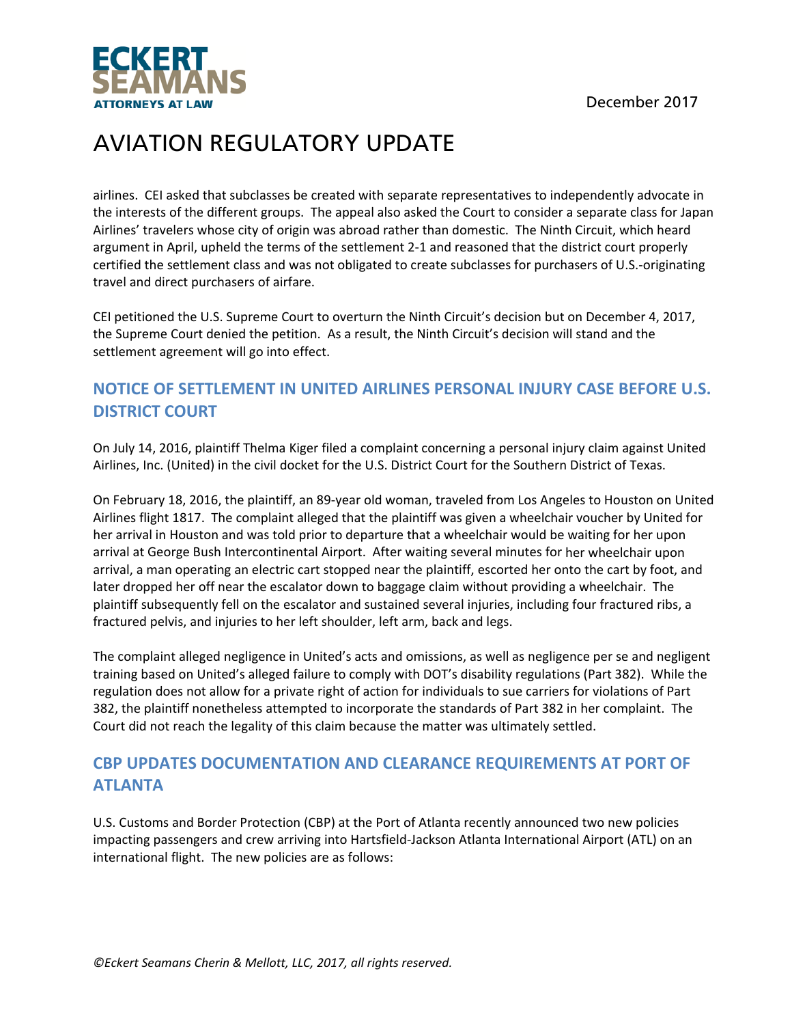



airlines. CEI asked that subclasses be created with separate representatives to independently advocate in the interests of the different groups. The appeal also asked the Court to consider a separate class for Japan Airlines' travelers whose city of origin was abroad rather than domestic. The Ninth Circuit, which heard argument in April, upheld the terms of the settlement 2‐1 and reasoned that the district court properly certified the settlement class and was not obligated to create subclasses for purchasers of U.S.‐originating travel and direct purchasers of airfare.

CEI petitioned the U.S. Supreme Court to overturn the Ninth Circuit's decision but on December 4, 2017, the Supreme Court denied the petition. As a result, the Ninth Circuit's decision will stand and the settlement agreement will go into effect.

### **NOTICE OF SETTLEMENT IN UNITED AIRLINES PERSONAL INJURY CASE BEFORE U.S. DISTRICT COURT**

On July 14, 2016, plaintiff Thelma Kiger filed a complaint concerning a personal injury claim against United Airlines, Inc. (United) in the civil docket for the U.S. District Court for the Southern District of Texas.

On February 18, 2016, the plaintiff, an 89‐year old woman, traveled from Los Angeles to Houston on United Airlines flight 1817. The complaint alleged that the plaintiff was given a wheelchair voucher by United for her arrival in Houston and was told prior to departure that a wheelchair would be waiting for her upon arrival at George Bush Intercontinental Airport. After waiting several minutes for her wheelchair upon arrival, a man operating an electric cart stopped near the plaintiff, escorted her onto the cart by foot, and later dropped her off near the escalator down to baggage claim without providing a wheelchair. The plaintiff subsequently fell on the escalator and sustained several injuries, including four fractured ribs, a fractured pelvis, and injuries to her left shoulder, left arm, back and legs.

The complaint alleged negligence in United's acts and omissions, as well as negligence per se and negligent training based on United's alleged failure to comply with DOT's disability regulations (Part 382). While the regulation does not allow for a private right of action for individuals to sue carriers for violations of Part 382, the plaintiff nonetheless attempted to incorporate the standards of Part 382 in her complaint. The Court did not reach the legality of this claim because the matter was ultimately settled.

### **CBP UPDATES DOCUMENTATION AND CLEARANCE REQUIREMENTS AT PORT OF ATLANTA**

U.S. Customs and Border Protection (CBP) at the Port of Atlanta recently announced two new policies impacting passengers and crew arriving into Hartsfield‐Jackson Atlanta International Airport (ATL) on an international flight. The new policies are as follows: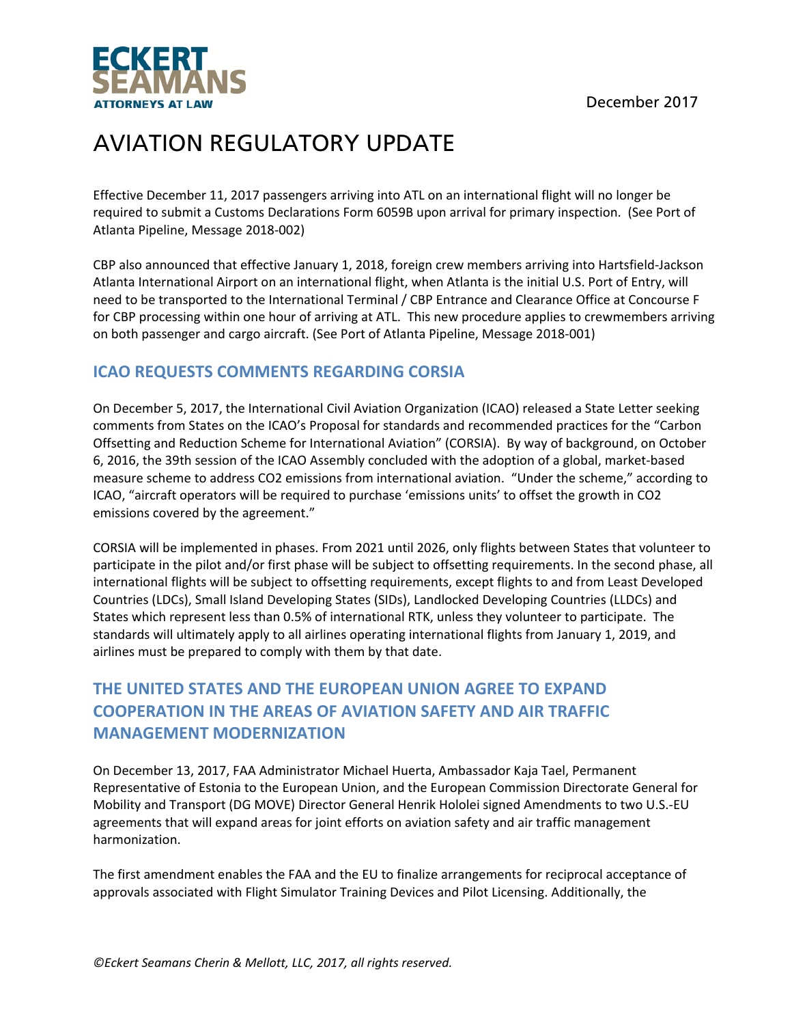

Effective December 11, 2017 passengers arriving into ATL on an international flight will no longer be required to submit a Customs Declarations Form 6059B upon arrival for primary inspection. (See Port of Atlanta Pipeline, Message 2018‐002)

CBP also announced that effective January 1, 2018, foreign crew members arriving into Hartsfield‐Jackson Atlanta International Airport on an international flight, when Atlanta is the initial U.S. Port of Entry, will need to be transported to the International Terminal / CBP Entrance and Clearance Office at Concourse F for CBP processing within one hour of arriving at ATL. This new procedure applies to crewmembers arriving on both passenger and cargo aircraft. (See Port of Atlanta Pipeline, Message 2018‐001)

### **ICAO REQUESTS COMMENTS REGARDING CORSIA**

On December 5, 2017, the International Civil Aviation Organization (ICAO) released a State Letter seeking comments from States on the ICAO's Proposal for standards and recommended practices for the "Carbon Offsetting and Reduction Scheme for International Aviation" (CORSIA). By way of background, on October 6, 2016, the 39th session of the ICAO Assembly concluded with the adoption of a global, market‐based measure scheme to address CO2 emissions from international aviation. "Under the scheme," according to ICAO, "aircraft operators will be required to purchase 'emissions units' to offset the growth in CO2 emissions covered by the agreement."

CORSIA will be implemented in phases. From 2021 until 2026, only flights between States that volunteer to participate in the pilot and/or first phase will be subject to offsetting requirements. In the second phase, all international flights will be subject to offsetting requirements, except flights to and from Least Developed Countries (LDCs), Small Island Developing States (SIDs), Landlocked Developing Countries (LLDCs) and States which represent less than 0.5% of international RTK, unless they volunteer to participate. The standards will ultimately apply to all airlines operating international flights from January 1, 2019, and airlines must be prepared to comply with them by that date.

## **THE UNITED STATES AND THE EUROPEAN UNION AGREE TO EXPAND COOPERATION IN THE AREAS OF AVIATION SAFETY AND AIR TRAFFIC MANAGEMENT MODERNIZATION**

On December 13, 2017, FAA Administrator Michael Huerta, Ambassador Kaja Tael, Permanent Representative of Estonia to the European Union, and the European Commission Directorate General for Mobility and Transport (DG MOVE) Director General Henrik Hololei signed Amendments to two U.S.‐EU agreements that will expand areas for joint efforts on aviation safety and air traffic management harmonization.

The first amendment enables the FAA and the EU to finalize arrangements for reciprocal acceptance of approvals associated with Flight Simulator Training Devices and Pilot Licensing. Additionally, the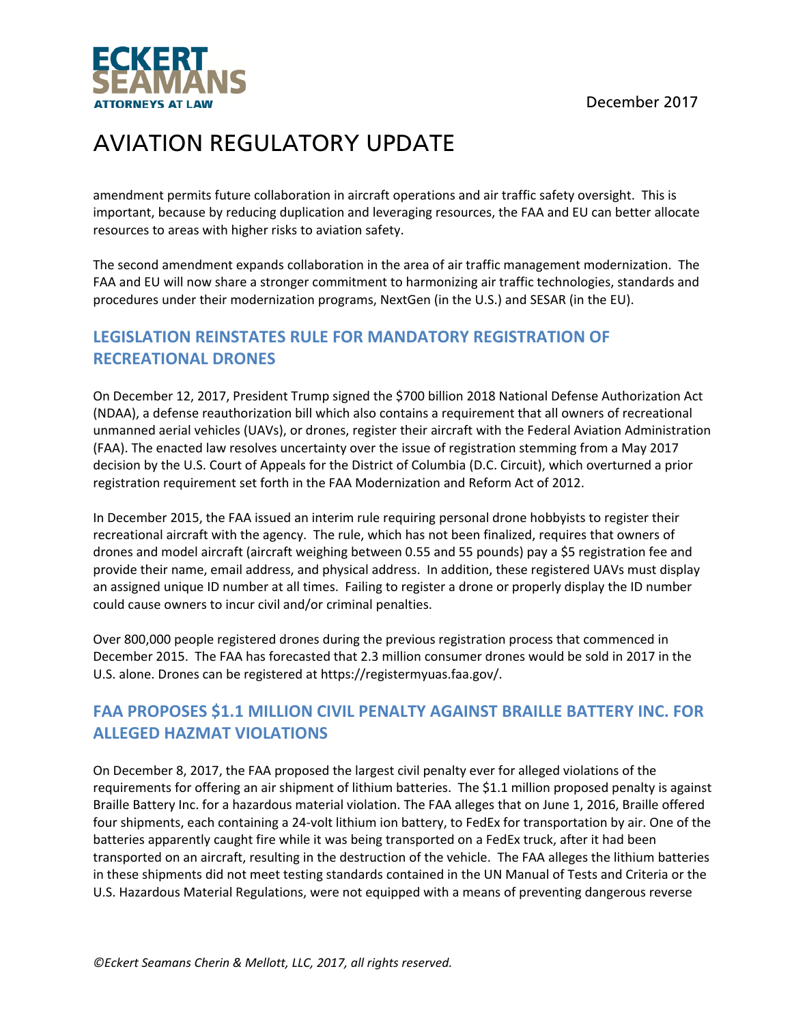

amendment permits future collaboration in aircraft operations and air traffic safety oversight. This is important, because by reducing duplication and leveraging resources, the FAA and EU can better allocate resources to areas with higher risks to aviation safety.

The second amendment expands collaboration in the area of air traffic management modernization. The FAA and EU will now share a stronger commitment to harmonizing air traffic technologies, standards and procedures under their modernization programs, NextGen (in the U.S.) and SESAR (in the EU).

### **LEGISLATION REINSTATES RULE FOR MANDATORY REGISTRATION OF RECREATIONAL DRONES**

On December 12, 2017, President Trump signed the \$700 billion 2018 National Defense Authorization Act (NDAA), a defense reauthorization bill which also contains a requirement that all owners of recreational unmanned aerial vehicles (UAVs), or drones, register their aircraft with the Federal Aviation Administration (FAA). The enacted law resolves uncertainty over the issue of registration stemming from a May 2017 decision by the U.S. Court of Appeals for the District of Columbia (D.C. Circuit), which overturned a prior registration requirement set forth in the FAA Modernization and Reform Act of 2012.

In December 2015, the FAA issued an interim rule requiring personal drone hobbyists to register their recreational aircraft with the agency. The rule, which has not been finalized, requires that owners of drones and model aircraft (aircraft weighing between 0.55 and 55 pounds) pay a \$5 registration fee and provide their name, email address, and physical address. In addition, these registered UAVs must display an assigned unique ID number at all times. Failing to register a drone or properly display the ID number could cause owners to incur civil and/or criminal penalties.

Over 800,000 people registered drones during the previous registration process that commenced in December 2015. The FAA has forecasted that 2.3 million consumer drones would be sold in 2017 in the U.S. alone. Drones can be registered at https://registermyuas.faa.gov/.

### **FAA PROPOSES \$1.1 MILLION CIVIL PENALTY AGAINST BRAILLE BATTERY INC. FOR ALLEGED HAZMAT VIOLATIONS**

On December 8, 2017, the FAA proposed the largest civil penalty ever for alleged violations of the requirements for offering an air shipment of lithium batteries. The \$1.1 million proposed penalty is against Braille Battery Inc. for a hazardous material violation. The FAA alleges that on June 1, 2016, Braille offered four shipments, each containing a 24‐volt lithium ion battery, to FedEx for transportation by air. One of the batteries apparently caught fire while it was being transported on a FedEx truck, after it had been transported on an aircraft, resulting in the destruction of the vehicle. The FAA alleges the lithium batteries in these shipments did not meet testing standards contained in the UN Manual of Tests and Criteria or the U.S. Hazardous Material Regulations, were not equipped with a means of preventing dangerous reverse